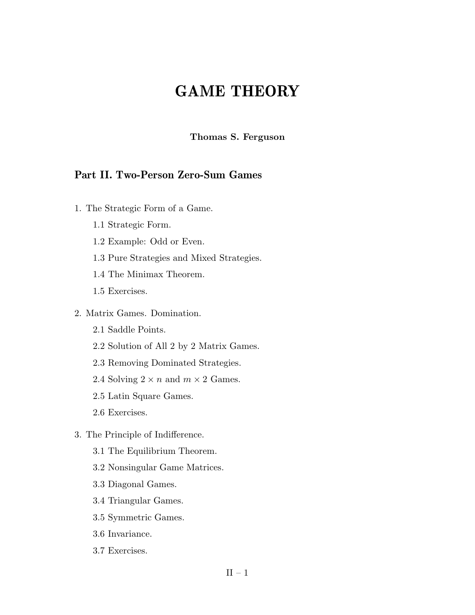# **GAME THEORY**

**Thomas S. Ferguson**

# **Part II. Two-Person Zero-Sum Games**

- 1. The Strategic Form of a Game.
	- 1.1 Strategic Form.
	- 1.2 Example: Odd or Even.
	- 1.3 Pure Strategies and Mixed Strategies.
	- 1.4 The Minimax Theorem.
	- 1.5 Exercises.
- 2. Matrix Games. Domination.
	- 2.1 Saddle Points.
	- 2.2 Solution of All 2 by 2 Matrix Games.
	- 2.3 Removing Dominated Strategies.
	- 2.4 Solving  $2 \times n$  and  $m \times 2$  Games.
	- 2.5 Latin Square Games.
	- 2.6 Exercises.
- 3. The Principle of Indifference.
	- 3.1 The Equilibrium Theorem.
	- 3.2 Nonsingular Game Matrices.
	- 3.3 Diagonal Games.
	- 3.4 Triangular Games.
	- 3.5 Symmetric Games.
	- 3.6 Invariance.
	- 3.7 Exercises.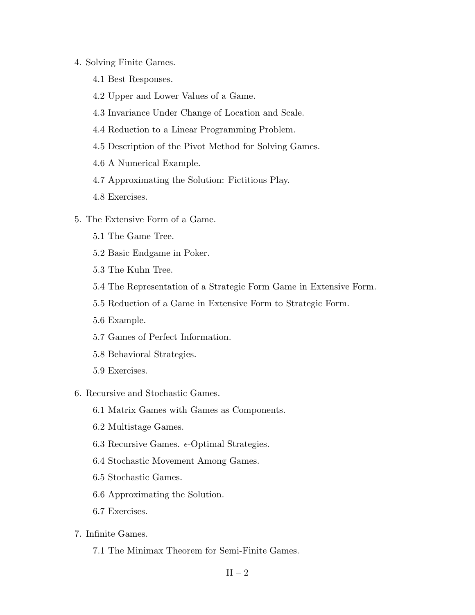- 4. Solving Finite Games.
	- 4.1 Best Responses.
	- 4.2 Upper and Lower Values of a Game.
	- 4.3 Invariance Under Change of Location and Scale.
	- 4.4 Reduction to a Linear Programming Problem.
	- 4.5 Description of the Pivot Method for Solving Games.
	- 4.6 A Numerical Example.
	- 4.7 Approximating the Solution: Fictitious Play.
	- 4.8 Exercises.
- 5. The Extensive Form of a Game.
	- 5.1 The Game Tree.
	- 5.2 Basic Endgame in Poker.
	- 5.3 The Kuhn Tree.
	- 5.4 The Representation of a Strategic Form Game in Extensive Form.
	- 5.5 Reduction of a Game in Extensive Form to Strategic Form.
	- 5.6 Example.
	- 5.7 Games of Perfect Information.
	- 5.8 Behavioral Strategies.
	- 5.9 Exercises.
- 6. Recursive and Stochastic Games.
	- 6.1 Matrix Games with Games as Components.
	- 6.2 Multistage Games.
	- 6.3 Recursive Games.  $\epsilon$ -Optimal Strategies.
	- 6.4 Stochastic Movement Among Games.
	- 6.5 Stochastic Games.
	- 6.6 Approximating the Solution.
	- 6.7 Exercises.
- 7. Infinite Games.
	- 7.1 The Minimax Theorem for Semi-Finite Games.

## $II - 2$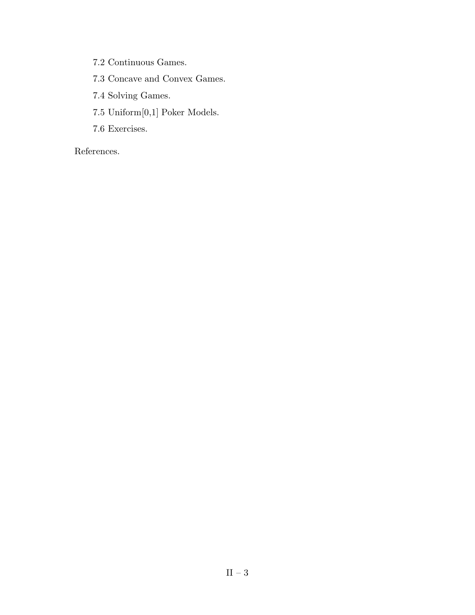- 7.2 Continuous Games.
- 7.3 Concave and Convex Games.
- 7.4 Solving Games.
- 7.5 Uniform[0,1] Poker Models.
- 7.6 Exercises.

References.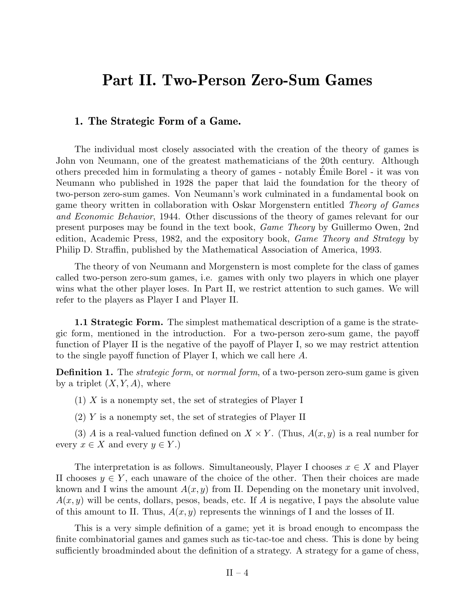# **Part II. Two-Person Zero-Sum Games**

## **1. The Strategic Form of a Game.**

The individual most closely associated with the creation of the theory of games is John von Neumann, one of the greatest mathematicians of the 20th century. Although others preceded him in formulating a theory of games - notably Emile Borel - it was von ´ Neumann who published in 1928 the paper that laid the foundation for the theory of two-person zero-sum games. Von Neumann's work culminated in a fundamental book on game theory written in collaboration with Oskar Morgenstern entitled Theory of Games and Economic Behavior, 1944. Other discussions of the theory of games relevant for our present purposes may be found in the text book, Game Theory by Guillermo Owen, 2nd edition, Academic Press, 1982, and the expository book, Game Theory and Strategy by Philip D. Straffin, published by the Mathematical Association of America, 1993.

The theory of von Neumann and Morgenstern is most complete for the class of games called two-person zero-sum games, i.e. games with only two players in which one player wins what the other player loses. In Part II, we restrict attention to such games. We will refer to the players as Player I and Player II.

**1.1 Strategic Form.** The simplest mathematical description of a game is the strategic form, mentioned in the introduction. For a two-person zero-sum game, the payoff function of Player II is the negative of the payoff of Player I, so we may restrict attention to the single payoff function of Player I, which we call here A.

**Definition 1.** The *strategic form*, or *normal form*, of a two-person zero-sum game is given by a triplet  $(X, Y, A)$ , where

 $(1)$  X is a nonempty set, the set of strategies of Player I

(2) Y is a nonempty set, the set of strategies of Player II

(3) A is a real-valued function defined on  $X \times Y$ . (Thus,  $A(x, y)$  is a real number for every  $x \in X$  and every  $y \in Y$ .)

The interpretation is as follows. Simultaneously, Player I chooses  $x \in X$  and Player II chooses  $y \in Y$ , each unaware of the choice of the other. Then their choices are made known and I wins the amount  $A(x, y)$  from II. Depending on the monetary unit involved,  $A(x, y)$  will be cents, dollars, pesos, beads, etc. If A is negative, I pays the absolute value of this amount to II. Thus,  $A(x, y)$  represents the winnings of I and the losses of II.

This is a very simple definition of a game; yet it is broad enough to encompass the finite combinatorial games and games such as tic-tac-toe and chess. This is done by being sufficiently broadminded about the definition of a strategy. A strategy for a game of chess,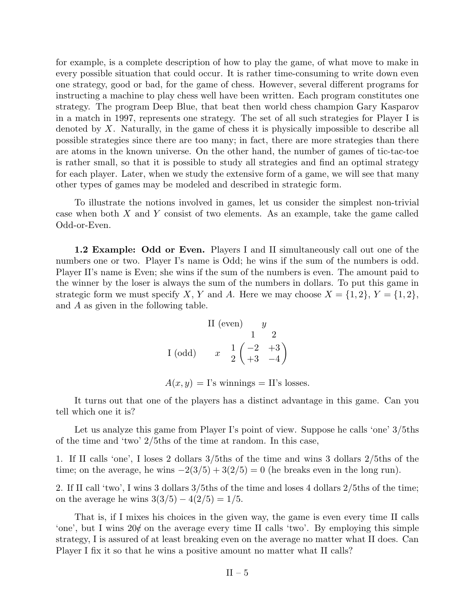for example, is a complete description of how to play the game, of what move to make in every possible situation that could occur. It is rather time-consuming to write down even one strategy, good or bad, for the game of chess. However, several different programs for instructing a machine to play chess well have been written. Each program constitutes one strategy. The program Deep Blue, that beat then world chess champion Gary Kasparov in a match in 1997, represents one strategy. The set of all such strategies for Player I is denoted by  $X$ . Naturally, in the game of chess it is physically impossible to describe all possible strategies since there are too many; in fact, there are more strategies than there are atoms in the known universe. On the other hand, the number of games of tic-tac-toe is rather small, so that it is possible to study all strategies and find an optimal strategy for each player. Later, when we study the extensive form of a game, we will see that many other types of games may be modeled and described in strategic form.

To illustrate the notions involved in games, let us consider the simplest non-trivial case when both X and Y consist of two elements. As an example, take the game called Odd-or-Even.

**1.2 Example: Odd or Even.** Players I and II simultaneously call out one of the numbers one or two. Player I's name is Odd; he wins if the sum of the numbers is odd. Player II's name is Even; she wins if the sum of the numbers is even. The amount paid to the winner by the loser is always the sum of the numbers in dollars. To put this game in strategic form we must specify X, Y and A. Here we may choose  $X = \{1, 2\}, Y = \{1, 2\},\$ and A as given in the following table.

$$
\begin{array}{ccc}\n & \text{II (even)} & y \\
 & 1 & 2 \\
\text{I (odd)} & x & \frac{1}{2} \begin{pmatrix} -2 & +3 \\
+3 & -4 \end{pmatrix}\n\end{array}
$$

$$
A(x, y) =
$$
 I's winnings = II's losses.

It turns out that one of the players has a distinct advantage in this game. Can you tell which one it is?

Let us analyze this game from Player I's point of view. Suppose he calls 'one' 3/5ths of the time and 'two' 2/5ths of the time at random. In this case,

1. If II calls 'one', I loses 2 dollars 3/5ths of the time and wins 3 dollars 2/5ths of the time; on the average, he wins  $-2(3/5) + 3(2/5) = 0$  (he breaks even in the long run).

2. If II call 'two', I wins 3 dollars 3/5ths of the time and loses 4 dollars 2/5ths of the time; on the average he wins  $3(3/5) - 4(2/5) = 1/5$ .

That is, if I mixes his choices in the given way, the game is even every time II calls 'one', but I wins  $20\ell$  on the average every time II calls 'two'. By employing this simple strategy, I is assured of at least breaking even on the average no matter what II does. Can Player I fix it so that he wins a positive amount no matter what II calls?

 $II - 5$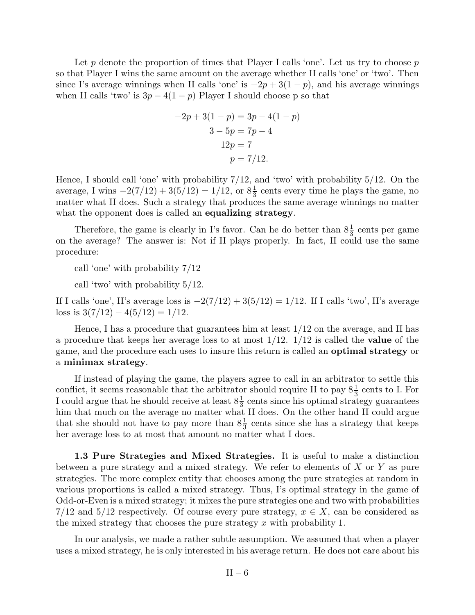Let p denote the proportion of times that Player I calls 'one'. Let us try to choose p so that Player I wins the same amount on the average whether II calls 'one' or 'two'. Then since I's average winnings when II calls 'one' is  $-2p+3(1-p)$ , and his average winnings when II calls 'two' is  $3p - 4(1 - p)$  Player I should choose p so that

$$
-2p + 3(1 - p) = 3p - 4(1 - p)
$$
  

$$
3 - 5p = 7p - 4
$$
  

$$
12p = 7
$$
  

$$
p = 7/12.
$$

Hence, I should call 'one' with probability  $7/12$ , and 'two' with probability  $5/12$ . On the average, I wins  $-2(7/12) + 3(5/12) = 1/12$ , or  $8\frac{1}{3}$  cents every time he plays the game, no matter what II does. Such a strategy that produces the same average winnings no matter what the opponent does is called an **equalizing strategy**.

Therefore, the game is clearly in I's favor. Can he do better than  $8\frac{1}{3}$  cents per game on the average? The answer is: Not if II plays properly. In fact, II could use the same procedure:

call 'one' with probability 7/12

call 'two' with probability 5/12.

If I calls 'one', II's average loss is  $-2(7/12) + 3(5/12) = 1/12$ . If I calls 'two', II's average loss is  $3(7/12) - 4(5/12) = 1/12$ .

Hence, I has a procedure that guarantees him at least  $1/12$  on the average, and II has a procedure that keeps her average loss to at most 1/12. 1/12 is called the **value** of the game, and the procedure each uses to insure this return is called an **optimal strategy** or a **minimax strategy**.

If instead of playing the game, the players agree to call in an arbitrator to settle this conflict, it seems reasonable that the arbitrator should require II to pay  $8\frac{1}{3}$  cents to I. For I could argue that he should receive at least  $8\frac{1}{3}$  cents since his optimal strategy guarantees him that much on the average no matter what II does. On the other hand II could argue that she should not have to pay more than  $8\frac{1}{3}$  cents since she has a strategy that keeps her average loss to at most that amount no matter what I does.

**1.3 Pure Strategies and Mixed Strategies.** It is useful to make a distinction between a pure strategy and a mixed strategy. We refer to elements of  $X$  or  $Y$  as pure strategies. The more complex entity that chooses among the pure strategies at random in various proportions is called a mixed strategy. Thus, I's optimal strategy in the game of Odd-or-Even is a mixed strategy; it mixes the pure strategies one and two with probabilities 7/12 and 5/12 respectively. Of course every pure strategy,  $x \in X$ , can be considered as the mixed strategy that chooses the pure strategy  $x$  with probability 1.

In our analysis, we made a rather subtle assumption. We assumed that when a player uses a mixed strategy, he is only interested in his average return. He does not care about his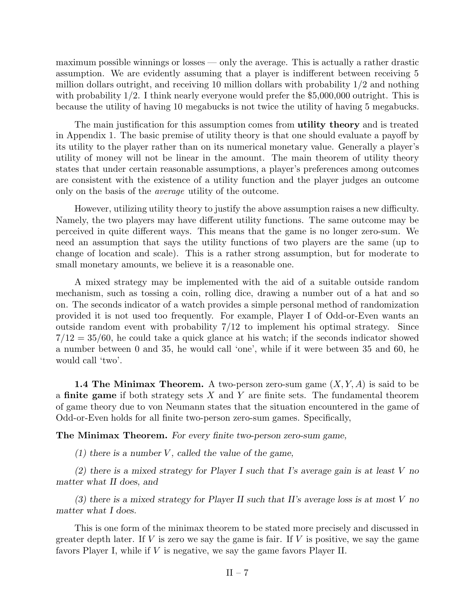maximum possible winnings or losses — only the average. This is actually a rather drastic assumption. We are evidently assuming that a player is indifferent between receiving 5 million dollars outright, and receiving 10 million dollars with probability  $1/2$  and nothing with probability  $1/2$ . I think nearly everyone would prefer the \$5,000,000 outright. This is because the utility of having 10 megabucks is not twice the utility of having 5 megabucks.

The main justification for this assumption comes from **utility theory** and is treated in Appendix 1. The basic premise of utility theory is that one should evaluate a payoff by its utility to the player rather than on its numerical monetary value. Generally a player's utility of money will not be linear in the amount. The main theorem of utility theory states that under certain reasonable assumptions, a player's preferences among outcomes are consistent with the existence of a utility function and the player judges an outcome only on the basis of the average utility of the outcome.

However, utilizing utility theory to justify the above assumption raises a new difficulty. Namely, the two players may have different utility functions. The same outcome may be perceived in quite different ways. This means that the game is no longer zero-sum. We need an assumption that says the utility functions of two players are the same (up to change of location and scale). This is a rather strong assumption, but for moderate to small monetary amounts, we believe it is a reasonable one.

A mixed strategy may be implemented with the aid of a suitable outside random mechanism, such as tossing a coin, rolling dice, drawing a number out of a hat and so on. The seconds indicator of a watch provides a simple personal method of randomization provided it is not used too frequently. For example, Player I of Odd-or-Even wants an outside random event with probability  $7/12$  to implement his optimal strategy. Since  $7/12 = 35/60$ , he could take a quick glance at his watch; if the seconds indicator showed a number between 0 and 35, he would call 'one', while if it were between 35 and 60, he would call 'two'.

**1.4 The Minimax Theorem.** A two-person zero-sum game  $(X, Y, A)$  is said to be a **finite game** if both strategy sets X and Y are finite sets. The fundamental theorem of game theory due to von Neumann states that the situation encountered in the game of Odd-or-Even holds for all finite two-person zero-sum games. Specifically,

**The Minimax Theorem.** *For every finite two-person zero-sum game,*

*(1) there is a number* V *, called the value of the game,*

*(2) there is a mixed strategy for Player I such that I's average gain is at least* V *no matter what II does, and*

*(3) there is a mixed strategy for Player II such that II's average loss is at most* V *no matter what I does.*

This is one form of the minimax theorem to be stated more precisely and discussed in greater depth later. If  $V$  is zero we say the game is fair. If  $V$  is positive, we say the game favors Player I, while if V is negative, we say the game favors Player II.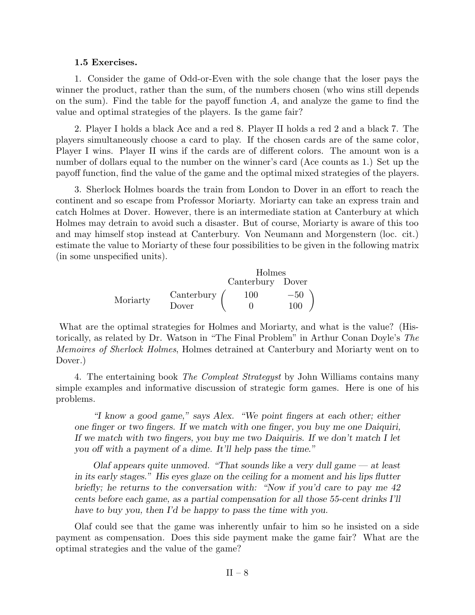#### **1.5 Exercises.**

1. Consider the game of Odd-or-Even with the sole change that the loser pays the winner the product, rather than the sum, of the numbers chosen (who wins still depends on the sum). Find the table for the payoff function A, and analyze the game to find the value and optimal strategies of the players. Is the game fair?

2. Player I holds a black Ace and a red 8. Player II holds a red 2 and a black 7. The players simultaneously choose a card to play. If the chosen cards are of the same color, Player I wins. Player II wins if the cards are of different colors. The amount won is a number of dollars equal to the number on the winner's card (Ace counts as 1.) Set up the payoff function, find the value of the game and the optimal mixed strategies of the players.

3. Sherlock Holmes boards the train from London to Dover in an effort to reach the continent and so escape from Professor Moriarty. Moriarty can take an express train and catch Holmes at Dover. However, there is an intermediate station at Canterbury at which Holmes may detrain to avoid such a disaster. But of course, Moriarty is aware of this too and may himself stop instead at Canterbury. Von Neumann and Morgenstern (loc. cit.) estimate the value to Moriarty of these four possibilities to be given in the following matrix (in some unspecified units).

|          |                   | Holmes           |       |
|----------|-------------------|------------------|-------|
|          |                   | Canterbury Dover |       |
|          | Canterbury $\int$ | 100              | $-50$ |
| Moriarty | Dover             |                  | 100   |

What are the optimal strategies for Holmes and Moriarty, and what is the value? (Historically, as related by Dr. Watson in "The Final Problem" in Arthur Conan Doyle's The Memoires of Sherlock Holmes, Holmes detrained at Canterbury and Moriarty went on to Dover.)

4. The entertaining book *The Compleat Strategyst* by John Williams contains many simple examples and informative discussion of strategic form games. Here is one of his problems.

*"I know a good game," says Alex. "We point fingers at each other; either one finger or two fingers. If we match with one finger, you buy me one Daiquiri, If we match with two fingers, you buy me two Daiquiris. If we don't match I let you off with a payment of a dime. It'll help pass the time."*

*Olaf appears quite unmoved. "That sounds like a very dull game — at least in its early stages." His eyes glaze on the ceiling for a moment and his lips flutter briefly; he returns to the conversation with: "Now if you'd care to pay me 42 cents before each game, as a partial compensation for all those 55-cent drinks I'll have to buy you, then I'd be happy to pass the time with you.*

Olaf could see that the game was inherently unfair to him so he insisted on a side payment as compensation. Does this side payment make the game fair? What are the optimal strategies and the value of the game?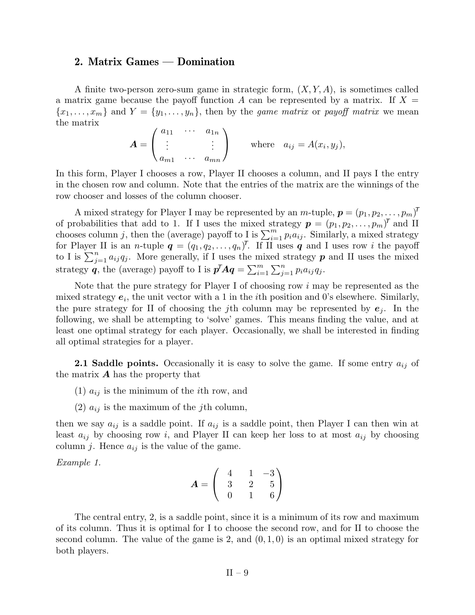## **2. Matrix Games — Domination**

A finite two-person zero-sum game in strategic form,  $(X, Y, A)$ , is sometimes called a matrix game because the payoff function A can be represented by a matrix. If  $X =$  ${x_1,...,x_m}$  and  $Y = {y_1,...,y_n}$ , then by the *game matrix* or *payoff matrix* we mean the matrix

$$
\boldsymbol{A} = \begin{pmatrix} a_{11} & \cdots & a_{1n} \\ \vdots & & \vdots \\ a_{m1} & \cdots & a_{mn} \end{pmatrix} \quad \text{where} \quad a_{ij} = A(x_i, y_j),
$$

In this form, Player I chooses a row, Player II chooses a column, and II pays I the entry in the chosen row and column. Note that the entries of the matrix are the winnings of the row chooser and losses of the column chooser.

A mixed strategy for Player I may be represented by an  $m$ -tuple,  $\boldsymbol{p} = (p_1, p_2, \dots, p_m)^T$ of probabilities that add to 1. If I uses the mixed strategy  $p = (p_1, p_2, \ldots, p_m)^T$  and II chooses column j, then the (average) payoff to I is  $\sum_{i=1}^{m} p_i a_{ij}$ . Similarly, a mixed strategy for Player II is an *n*-tuple  $q = (q_1, q_2, \ldots, q_n)$ <sup>T</sup>. If II uses q and I uses row i the payoff to I is  $\sum_{j=1}^{n} a_{ij} q_j$ . More generally, if I uses the mixed strategy *p* and II uses the mixed strategy  $q$ , the (average) payoff to I is  $p^T A q = \sum_{i=1}^m \sum_{j=1}^n p_i a_{ij} q_j$ .

Note that the pure strategy for Player I of choosing row  $i$  may be represented as the mixed strategy  $e_i$ , the unit vector with a 1 in the *i*th position and 0's elsewhere. Similarly, the pure strategy for II of choosing the j<sup>th</sup> column may be represented by  $e_i$ . In the following, we shall be attempting to 'solve' games. This means finding the value, and at least one optimal strategy for each player. Occasionally, we shall be interested in finding all optimal strategies for a player.

**2.1 Saddle points.** Occasionally it is easy to solve the game. If some entry  $a_{ij}$  of the matrix *A* has the property that

- (1)  $a_{ij}$  is the minimum of the *i*th row, and
- (2)  $a_{ij}$  is the maximum of the j<sup>th</sup> column,

then we say  $a_{ij}$  is a saddle point. If  $a_{ij}$  is a saddle point, then Player I can then win at least  $a_{ij}$  by choosing row i, and Player II can keep her loss to at most  $a_{ij}$  by choosing column *j*. Hence  $a_{ij}$  is the value of the game.

Example 1.

$$
A = \left(\begin{array}{rrr} 4 & 1 & -3 \\ 3 & 2 & 5 \\ 0 & 1 & 6 \end{array}\right)
$$

The central entry, 2, is a saddle point, since it is a minimum of its row and maximum of its column. Thus it is optimal for I to choose the second row, and for II to choose the second column. The value of the game is 2, and  $(0, 1, 0)$  is an optimal mixed strategy for both players.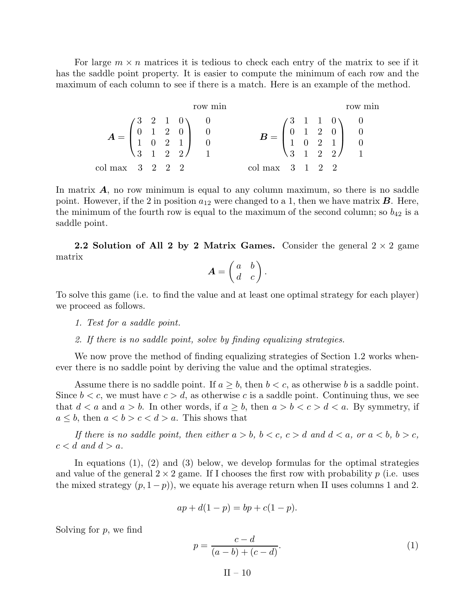For large  $m \times n$  matrices it is tedious to check each entry of the matrix to see if it has the saddle point property. It is easier to compute the minimum of each row and the maximum of each column to see if there is a match. Here is an example of the method.

|                  |  |  | row min                                                                                                                                                        |                                       |  |  | row                                                                                                                                                                       |
|------------------|--|--|----------------------------------------------------------------------------------------------------------------------------------------------------------------|---------------------------------------|--|--|---------------------------------------------------------------------------------------------------------------------------------------------------------------------------|
|                  |  |  | $\boldsymbol{A} = \begin{pmatrix} 3 & 2 & 1 & 0 \\ 0 & 1 & 2 & 0 \\ 1 & 0 & 2 & 1 \\ 3 & 1 & 2 & 2 \end{pmatrix} \begin{matrix} 0 \\ 0 \\ 0 \\ 1 \end{matrix}$ |                                       |  |  | $\boldsymbol{B} = \begin{pmatrix} 3 & 1 & 1 & 0 \\ 0 & 1 & 2 & 0 \\ 1 & 0 & 2 & 1 \\ 3 & 1 & 2 & 2 \end{pmatrix} \quad \begin{matrix} 0 \\ 0 \\ 0 \\ 0 \\ 1 \end{matrix}$ |
| $colmax$ 3 2 2 2 |  |  |                                                                                                                                                                | $col$ max $3 \quad 1 \quad 2 \quad 2$ |  |  |                                                                                                                                                                           |

In matrix *A*, no row minimum is equal to any column maximum, so there is no saddle point. However, if the 2 in position  $a_{12}$  were changed to a 1, then we have matrix *B*. Here, the minimum of the fourth row is equal to the maximum of the second column; so  $b_{42}$  is a saddle point.

**2.2 Solution of All 2 by 2 Matrix Games.** Consider the general  $2 \times 2$  game matrix

$$
\boldsymbol{A} = \begin{pmatrix} a & b \\ d & c \end{pmatrix}.
$$

To solve this game (i.e. to find the value and at least one optimal strategy for each player) we proceed as follows.

#### 1. Test for a saddle point.

#### 2. If there is no saddle point, solve by finding equalizing strategies.

We now prove the method of finding equalizing strategies of Section 1.2 works whenever there is no saddle point by deriving the value and the optimal strategies.

Assume there is no saddle point. If  $a > b$ , then  $b < c$ , as otherwise b is a saddle point. Since  $b < c$ , we must have  $c > d$ , as otherwise c is a saddle point. Continuing thus, we see that  $d < a$  and  $a > b$ . In other words, if  $a \geq b$ , then  $a > b < c > d < a$ . By symmetry, if  $a \leq b$ , then  $a < b > c < d > a$ . This shows that

If there is no saddle point, then either  $a > b$ ,  $b < c$ ,  $c > d$  and  $d < a$ , or  $a < b$ ,  $b > c$ ,  $c < d$  and  $d > a$ .

In equations (1), (2) and (3) below, we develop formulas for the optimal strategies and value of the general  $2 \times 2$  game. If I chooses the first row with probability p (i.e. uses the mixed strategy  $(p, 1-p)$ , we equate his average return when II uses columns 1 and 2.

$$
ap + d(1 - p) = bp + c(1 - p).
$$

Solving for  $p$ , we find

$$
p = \frac{c - d}{(a - b) + (c - d)}.\t(1)
$$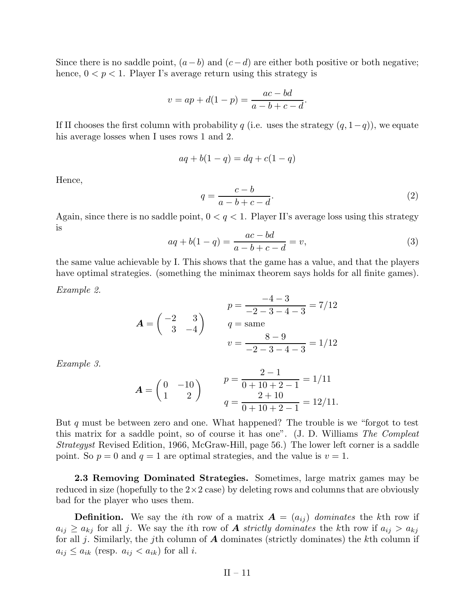Since there is no saddle point,  $(a - b)$  and  $(c - d)$  are either both positive or both negative; hence,  $0 < p < 1$ . Player I's average return using this strategy is

$$
v = ap + d(1 - p) = \frac{ac - bd}{a - b + c - d}.
$$

If II chooses the first column with probability q (i.e. uses the strategy  $(q, 1-q)$ ), we equate his average losses when I uses rows 1 and 2.

$$
aq + b(1 - q) = dq + c(1 - q)
$$

Hence,

$$
q = \frac{c - b}{a - b + c - d}.\tag{2}
$$

Again, since there is no saddle point,  $0 < q < 1$ . Player II's average loss using this strategy is

$$
aq + b(1 - q) = \frac{ac - bd}{a - b + c - d} = v,
$$
\n(3)

the same value achievable by I. This shows that the game has a value, and that the players have optimal strategies. (something the minimax theorem says holds for all finite games).

Example 2.

$$
P = \frac{-4 - 3}{-2 - 3 - 4 - 3} = \frac{7}{12}
$$
  

$$
A = \begin{pmatrix} -2 & 3 \\ 3 & -4 \end{pmatrix}
$$
  

$$
q = \text{same}
$$
  

$$
v = \frac{8 - 9}{-2 - 3 - 4 - 3} = \frac{1}{12}
$$

Example 3.

$$
A = \begin{pmatrix} 0 & -10 \\ 1 & 2 \end{pmatrix} \qquad p = \frac{2 - 1}{0 + 10 + 2 - 1} = \frac{1}{11}
$$

$$
q = \frac{2 + 10}{0 + 10 + 2 - 1} = \frac{12}{11}.
$$

But q must be between zero and one. What happened? The trouble is we "forgot to test this matrix for a saddle point, so of course it has one". (J. D. Williams The Compleat Strategyst Revised Edition, 1966, McGraw-Hill, page 56.) The lower left corner is a saddle point. So  $p = 0$  and  $q = 1$  are optimal strategies, and the value is  $v = 1$ .

**2.3 Removing Dominated Strategies.** Sometimes, large matrix games may be reduced in size (hopefully to the  $2\times 2$  case) by deleting rows and columns that are obviously bad for the player who uses them.

**Definition.** We say the *i*th row of a matrix  $\mathbf{A} = (a_{ij})$  dominates the kth row if  $a_{ij} \ge a_{kj}$  for all j. We say the *i*th row of **A** strictly dominates the kth row if  $a_{ij} > a_{kj}$ for all j. Similarly, the jth column of *A* dominates (strictly dominates) the kth column if  $a_{ij} \leq a_{ik}$  (resp.  $a_{ij} < a_{ik}$ ) for all *i*.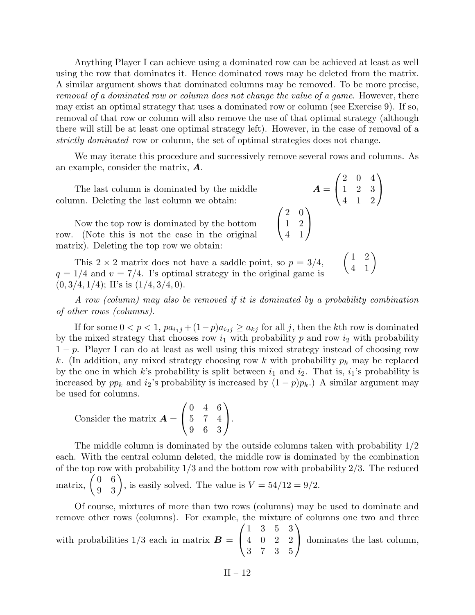Anything Player I can achieve using a dominated row can be achieved at least as well using the row that dominates it. Hence dominated rows may be deleted from the matrix. A similar argument shows that dominated columns may be removed. To be more precise, removal of a dominated row or column does not change the value of a game. However, there may exist an optimal strategy that uses a dominated row or column (see Exercise 9). If so, removal of that row or column will also remove the use of that optimal strategy (although there will still be at least one optimal strategy left). However, in the case of removal of a strictly dominated row or column, the set of optimal strategies does not change.

We may iterate this procedure and successively remove several rows and columns. As an example, consider the matrix, *A*.

 $\bm{A} =$ 

 $\sqrt{2}$ 

 $\setminus$ 

 $\overline{I}$ 

 $\mathcal{L}$ 

 $\sqrt{2}$ 

204 123 412  $\setminus$ 

 $\overline{I}$ 

 $\sqrt{2}$ 

The last column is dominated by the middle column. Deleting the last column we obtain:

Now the top row is dominated by the bottom row. (Note this is not the case in the original matrix). Deleting the top row we obtain:

This  $2\times 2$  matrix does not have a saddle point, so  $p$  = 3/4,  $q = 1/4$  and  $v = 7/4$ . I's optimal strategy in the original game is  $(0, 3/4, 1/4)$ ; II's is  $(1/4, 3/4, 0)$ .  $\begin{pmatrix} 1 & 2 \\ 4 & 1 \end{pmatrix}$ 

A row (column) may also be removed if it is dominated by a probability combination of other rows (columns).

If for some  $0 < p < 1$ ,  $pa_{i_1j} + (1-p)a_{i_2j} \geq a_{kj}$  for all j, then the kth row is dominated by the mixed strategy that chooses row  $i_1$  with probability p and row  $i_2$  with probability  $1 - p$ . Player I can do at least as well using this mixed strategy instead of choosing row k. (In addition, any mixed strategy choosing row k with probability  $p_k$  may be replaced by the one in which k's probability is split between  $i_1$  and  $i_2$ . That is,  $i_1$ 's probability is increased by  $pp_k$  and  $i_2$ 's probability is increased by  $(1-p)p_k$ .) A similar argument may be used for columns.

Consider the matrix 
$$
\mathbf{A} = \begin{pmatrix} 0 & 4 & 6 \\ 5 & 7 & 4 \\ 9 & 6 & 3 \end{pmatrix}
$$
.

The middle column is dominated by the outside columns taken with probability 1/2 each. With the central column deleted, the middle row is dominated by the combination of the top row with probability  $1/3$  and the bottom row with probability  $2/3$ . The reduced matrix,  $\begin{pmatrix} 0 & 6 \\ 9 & 3 \end{pmatrix}$ , is easily solved. The value is  $V = 54/12 = 9/2$ .

Of course, mixtures of more than two rows (columns) may be used to dominate and remove other rows (columns). For example, the mixture of columns one two and three with probabilities  $1/3$  each in matrix  $\boldsymbol{B} =$  $\sqrt{2}$  $\sqrt{2}$ 1353 4022 3735 ⎞ <sup>⎠</sup> dominates the last column,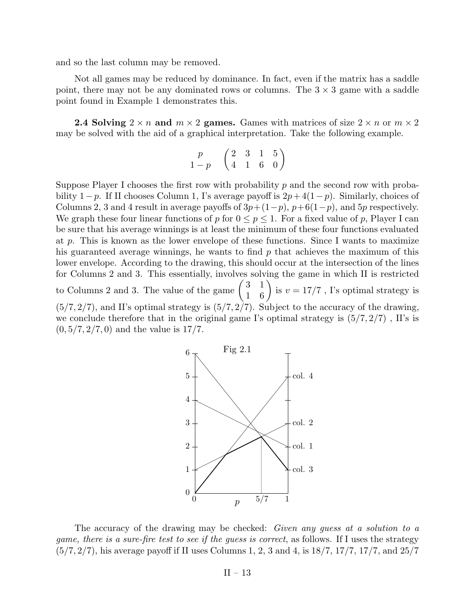and so the last column may be removed.

Not all games may be reduced by dominance. In fact, even if the matrix has a saddle point, there may not be any dominated rows or columns. The  $3 \times 3$  game with a saddle point found in Example 1 demonstrates this.

**2.4 Solving**  $2 \times n$  and  $m \times 2$  games. Games with matrices of size  $2 \times n$  or  $m \times 2$ may be solved with the aid of a graphical interpretation. Take the following example.

$$
\begin{array}{ccc}p&\left(2&3&1&5\right)\\1-p&\left(4&1&6&0\right)\end{array}
$$

Suppose Player I chooses the first row with probability  $p$  and the second row with probability  $1-p$ . If II chooses Column 1, I's average payoff is  $2p+4(1-p)$ . Similarly, choices of Columns 2, 3 and 4 result in average payoffs of  $3p+(1-p)$ ,  $p+6(1-p)$ , and  $5p$  respectively. We graph these four linear functions of p for  $0 \le p \le 1$ . For a fixed value of p, Player I can be sure that his average winnings is at least the minimum of these four functions evaluated at p. This is known as the lower envelope of these functions. Since I wants to maximize his guaranteed average winnings, he wants to find  $p$  that achieves the maximum of this lower envelope. According to the drawing, this should occur at the intersection of the lines for Columns 2 and 3. This essentially, involves solving the game in which II is restricted to Columns 2 and 3. The value of the game  $\begin{pmatrix} 3 & 1 \\ 1 & 6 \end{pmatrix}$  is  $v = 17/7$  , I's optimal strategy is  $(5/7, 2/7)$ , and II's optimal strategy is  $(5/7, 2/7)$ . Subject to the accuracy of the drawing, we conclude therefore that in the original game I's optimal strategy is  $(5/7, 2/7)$ , II's is  $(0, 5/7, 2/7, 0)$  and the value is 17/7.



The accuracy of the drawing may be checked: *Given any guess at a solution to a* game, there is a sure-fire test to see if the guess is correct, as follows. If I uses the strategy  $(5/7, 2/7)$ , his average payoff if II uses Columns 1, 2, 3 and 4, is  $18/7$ ,  $17/7$ ,  $17/7$ , and  $25/7$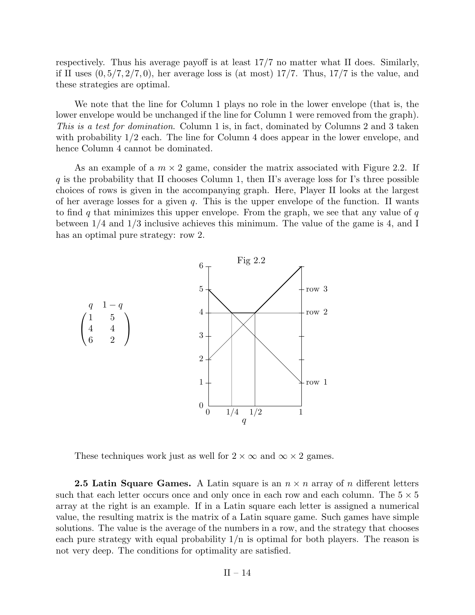respectively. Thus his average payoff is at least 17/7 no matter what II does. Similarly, if II uses  $(0, 5/7, 2/7, 0)$ , her average loss is (at most) 17/7. Thus, 17/7 is the value, and these strategies are optimal.

We note that the line for Column 1 plays no role in the lower envelope (that is, the lower envelope would be unchanged if the line for Column 1 were removed from the graph). This is a test for domination. Column 1 is, in fact, dominated by Columns 2 and 3 taken with probability  $1/2$  each. The line for Column 4 does appear in the lower envelope, and hence Column 4 cannot be dominated.

As an example of a  $m \times 2$  game, consider the matrix associated with Figure 2.2. If q is the probability that II chooses Column 1, then II's average loss for I's three possible choices of rows is given in the accompanying graph. Here, Player II looks at the largest of her average losses for a given  $q$ . This is the upper envelope of the function. If wants to find q that minimizes this upper envelope. From the graph, we see that any value of  $q$ between 1/4 and 1/3 inclusive achieves this minimum. The value of the game is 4, and I has an optimal pure strategy: row 2.



These techniques work just as well for  $2 \times \infty$  and  $\infty \times 2$  games.

**2.5 Latin Square Games.** A Latin square is an  $n \times n$  array of n different letters such that each letter occurs once and only once in each row and each column. The  $5 \times 5$ array at the right is an example. If in a Latin square each letter is assigned a numerical value, the resulting matrix is the matrix of a Latin square game. Such games have simple solutions. The value is the average of the numbers in a row, and the strategy that chooses each pure strategy with equal probability  $1/n$  is optimal for both players. The reason is not very deep. The conditions for optimality are satisfied.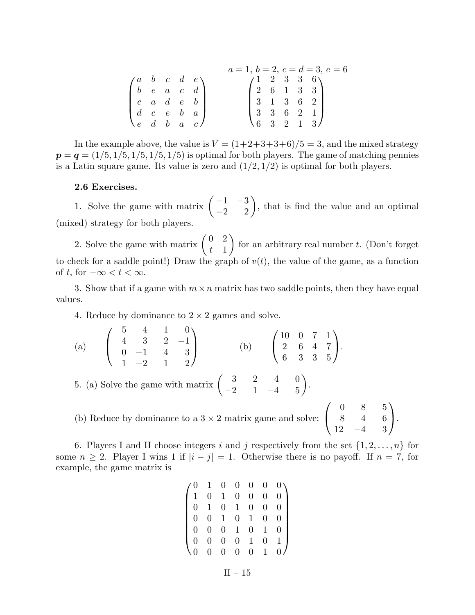|                                                    |  |                                                   | $a=1, b=2, c=d=3, e=6$                              |
|----------------------------------------------------|--|---------------------------------------------------|-----------------------------------------------------|
| $\int a \quad b \quad c \quad d \quad e \setminus$ |  |                                                   | $\begin{pmatrix} 1 & 2 & 3 & 3 & 6 \end{pmatrix}$   |
| $\begin{bmatrix} b & e & a & c & d \end{bmatrix}$  |  |                                                   | $\begin{bmatrix} 2 & 6 & 1 & 3 & 3 \end{bmatrix}$   |
| $\begin{bmatrix} c & a & d & e & b \end{bmatrix}$  |  |                                                   | $3 \t1 \t3 \t6 \t2$                                 |
| $\begin{bmatrix} d & c & e & b & a \end{bmatrix}$  |  |                                                   | $\begin{array}{cccc} 3 & 3 & 6 & 2 & 1 \end{array}$ |
|                                                    |  | $\begin{pmatrix} e & d & b & a & c \end{pmatrix}$ | $\begin{pmatrix} 6 & 3 & 2 & 1 & 3 \end{pmatrix}$   |

In the example above, the value is  $V = (1+2+3+3+6)/5 = 3$ , and the mixed strategy  $p = q = (1/5, 1/5, 1/5, 1/5, 1/5)$  is optimal for both players. The game of matching pennies is a Latin square game. Its value is zero and  $(1/2, 1/2)$  is optimal for both players.

#### **2.6 Exercises.**

1. Solve the game with matrix  $\begin{pmatrix} -1 & -3 \\ -2 & 2 \end{pmatrix}$ , that is find the value and an optimal (mixed) strategy for both players.

2. Solve the game with matrix  $\begin{pmatrix} 0 & 2 \\ t & 1 \end{pmatrix}$ for an arbitrary real number t. (Don't forget to check for a saddle point!) Draw the graph of  $v(t)$ , the value of the game, as a function of t, for  $-\infty < t < \infty$ .

3. Show that if a game with  $m \times n$  matrix has two saddle points, then they have equal values.

4. Reduce by dominance to  $2 \times 2$  games and solve.

(a) 
$$
\begin{pmatrix} 5 & 4 & 1 & 0 \ 4 & 3 & 2 & -1 \ 0 & -1 & 4 & 3 \ 1 & -2 & 1 & 2 \end{pmatrix}
$$
 (b) 
$$
\begin{pmatrix} 10 & 0 & 7 & 1 \ 2 & 6 & 4 & 7 \ 6 & 3 & 3 & 5 \end{pmatrix}
$$
  
5. (a) Solve the game with matrix 
$$
\begin{pmatrix} 3 & 2 & 4 & 0 \ -2 & 1 & -4 & 5 \end{pmatrix}
$$
.  
(b) Reduce by dominance to a 3 × 2 matrix game and solve: 
$$
\begin{pmatrix} 0 & 8 & 5 \ 8 & 4 & 6 \ 12 & -4 & 3 \end{pmatrix}
$$

6. Players I and II choose integers i and j respectively from the set  $\{1, 2, \ldots, n\}$  for some  $n \geq 2$ . Player I wins 1 if  $|i - j| = 1$ . Otherwise there is no payoff. If  $n = 7$ , for example, the game matrix is

⎠.

|          |                | $\overline{0}$ | $\overline{0}$ | $\overline{0}$   | 0 |   |
|----------|----------------|----------------|----------------|------------------|---|---|
|          | $\overline{0}$ |                | $\overline{0}$ | $\boldsymbol{0}$ | 0 |   |
| $\theta$ | $\mathbf{1}$   | $\overline{0}$ |                | $\boldsymbol{0}$ | 0 | 0 |
| $\theta$ | $\overline{0}$ |                | $\overline{0}$ | $\mathbf 1$      | 0 |   |
| $\theta$ | 0              | $\overline{0}$ |                | $\overline{0}$   |   | 0 |
|          |                | $\overline{0}$ | 0              |                  | 0 |   |
|          | $\theta$       | $\overline{0}$ | $\overline{0}$ | $\overline{0}$   |   |   |
|          |                |                |                |                  |   |   |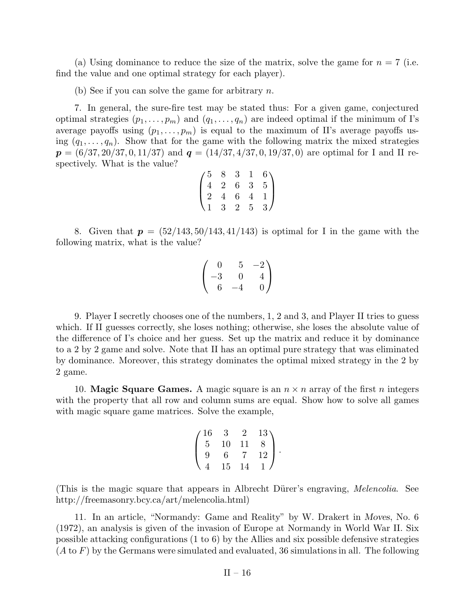(a) Using dominance to reduce the size of the matrix, solve the game for  $n = 7$  (i.e. find the value and one optimal strategy for each player).

(b) See if you can solve the game for arbitrary  $n$ .

7. In general, the sure-fire test may be stated thus: For a given game, conjectured optimal strategies  $(p_1,\ldots,p_m)$  and  $(q_1,\ldots,q_n)$  are indeed optimal if the minimum of I's average payoffs using  $(p_1,\ldots,p_m)$  is equal to the maximum of II's average payoffs using  $(q_1,\ldots,q_n)$ . Show that for the game with the following matrix the mixed strategies  $p = (6/37, 20/37, 0, 11/37)$  and  $q = (14/37, 4/37, 0, 19/37, 0)$  are optimal for I and II respectively. What is the value?

| $\left(\begin{matrix}5 & 8 & 3 & 1 & 6\4 & 2 & 6 & 3 & 5\2 & 4 & 6 & 4 & 1\end{matrix}\right)$ |  |                |               |
|------------------------------------------------------------------------------------------------|--|----------------|---------------|
| $\begin{pmatrix} 1 & 2 & 0 \\ 2 & 4 & 6 \\ 1 & 3 & 2 \end{pmatrix}$                            |  |                | $\frac{1}{3}$ |
|                                                                                                |  | 5 <sup>5</sup> |               |

8. Given that  $p = \frac{52}{143,50}{143,41}{143}$  is optimal for I in the game with the following matrix, what is the value?

$$
\begin{pmatrix} 0 & 5 & -2 \\ -3 & 0 & 4 \\ 6 & -4 & 0 \end{pmatrix}
$$

9. Player I secretly chooses one of the numbers, 1, 2 and 3, and Player II tries to guess which. If II guesses correctly, she loses nothing; otherwise, she loses the absolute value of the difference of I's choice and her guess. Set up the matrix and reduce it by dominance to a 2 by 2 game and solve. Note that II has an optimal pure strategy that was eliminated by dominance. Moreover, this strategy dominates the optimal mixed strategy in the 2 by 2 game.

10. **Magic Square Games.** A magic square is an  $n \times n$  array of the first n integers with the property that all row and column sums are equal. Show how to solve all games with magic square game matrices. Solve the example,

$$
\begin{pmatrix} 16 & 3 & 2 & 13 \\ 5 & 10 & 11 & 8 \\ 9 & 6 & 7 & 12 \\ 4 & 15 & 14 & 1 \end{pmatrix}.
$$

(This is the magic square that appears in Albrecht Dürer's engraving, *Melencolia*. See http://freemasonry.bcy.ca/art/melencolia.html)

11. In an article, "Normandy: Game and Reality" by W. Drakert in *Moves*, No. 6 (1972), an analysis is given of the invasion of Europe at Normandy in World War II. Six possible attacking configurations (1 to 6) by the Allies and six possible defensive strategies  $(A \text{ to } F)$  by the Germans were simulated and evaluated, 36 simulations in all. The following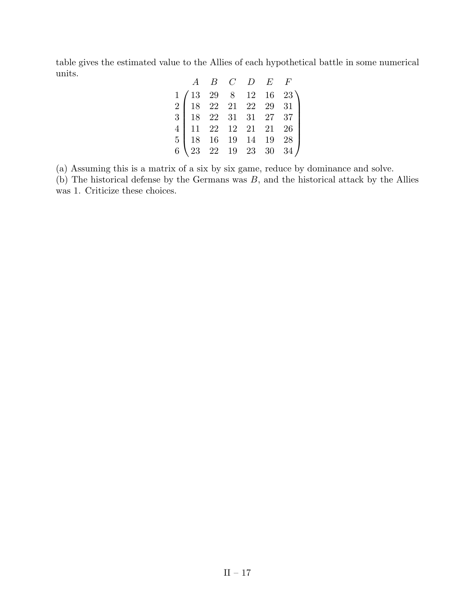table gives the estimated value to the Allies of each hypothetical battle in some numerical units.

|  |  | $A$ $B$ $C$ $D$ $E$ $F$ |                                                                                                                                                                                                                                                   |
|--|--|-------------------------|---------------------------------------------------------------------------------------------------------------------------------------------------------------------------------------------------------------------------------------------------|
|  |  |                         | $\begin{array}{c cccc} 1 & 13 & 29 & 8 & 12 & 16 & 23 \\ 2 & 18 & 22 & 21 & 22 & 29 & 31 \\ 3 & 18 & 22 & 31 & 31 & 27 & 37 \\ 4 & 11 & 22 & 12 & 21 & 21 & 26 \\ 5 & 18 & 16 & 19 & 14 & 19 & 28 \\ 6 & 23 & 22 & 19 & 23 & 30 & 34 \end{array}$ |
|  |  |                         |                                                                                                                                                                                                                                                   |
|  |  |                         |                                                                                                                                                                                                                                                   |
|  |  |                         |                                                                                                                                                                                                                                                   |
|  |  |                         |                                                                                                                                                                                                                                                   |
|  |  |                         |                                                                                                                                                                                                                                                   |

(a) Assuming this is a matrix of a six by six game, reduce by dominance and solve.

(b) The historical defense by the Germans was  $B$ , and the historical attack by the Allies was 1. Criticize these choices.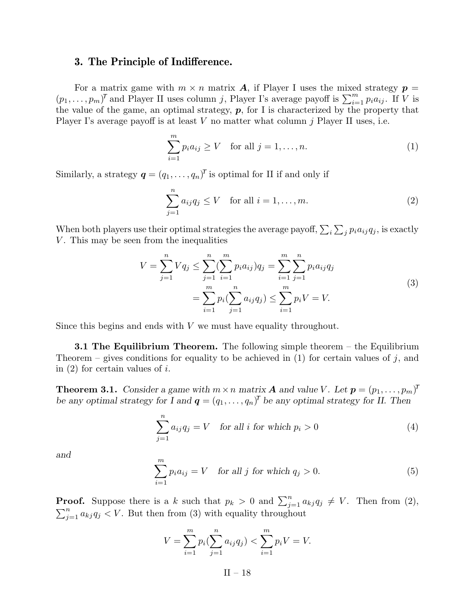## **3. The Principle of Indifference.**

For a matrix game with  $m \times n$  matrix **A**, if Player I uses the mixed strategy  $p =$  $(p_1,\ldots,p_m)$ <sup>T</sup> and Player II uses column j, Player I's average payoff is  $\sum_{i=1}^m p_i a_{ij}$ . If V is the value of the game, an optimal strategy, *p*, for I is characterized by the property that Player I's average payoff is at least V no matter what column  $j$  Player II uses, i.e.

$$
\sum_{i=1}^{m} p_i a_{ij} \ge V \quad \text{for all } j = 1, \dots, n. \tag{1}
$$

Similarly, a strategy  $q = (q_1, \ldots, q_n)^\mathsf{T}$  is optimal for II if and only if

$$
\sum_{j=1}^{n} a_{ij} q_j \le V \quad \text{for all } i = 1, \dots, m. \tag{2}
$$

When both players use their optimal strategies the average payoff,  $\sum_i \sum_j p_i a_{ij} q_j$ , is exactly  $V$ . This may be seen from the inequalities

$$
V = \sum_{j=1}^{n} Vq_j \le \sum_{j=1}^{n} (\sum_{i=1}^{m} p_i a_{ij}) q_j = \sum_{i=1}^{m} \sum_{j=1}^{n} p_i a_{ij} q_j
$$
  
= 
$$
\sum_{i=1}^{m} p_i (\sum_{j=1}^{n} a_{ij} q_j) \le \sum_{i=1}^{m} p_i V = V.
$$
 (3)

Since this begins and ends with  $V$  we must have equality throughout.

**3.1 The Equilibrium Theorem.** The following simple theorem – the Equilibrium Theorem – gives conditions for equality to be achieved in  $(1)$  for certain values of j, and in  $(2)$  for certain values of i.

**Theorem 3.1.** Consider a game with  $m \times n$  matrix **A** and value V. Let  $\boldsymbol{p} = (p_1, \ldots, p_m)^T$ *be any optimal strategy for* I and  $\mathbf{q} = (q_1, \ldots, q_n)^T$  *be any optimal strategy for II. Then* 

$$
\sum_{j=1}^{n} a_{ij} q_j = V \quad \text{for all } i \text{ for which } p_i > 0 \tag{4}
$$

*and*

$$
\sum_{i=1}^{m} p_i a_{ij} = V \quad \text{for all } j \text{ for which } q_j > 0.
$$
 (5)

**Proof.** Suppose there is a k such that  $p_k > 0$  and  $\sum_{j=1}^n a_{kj} q_j \neq V$ . Then from (2),  $\sum_{j=1}^{n} a_{kj} q_j \langle V$ . But then from (3) with equality throughout

$$
V = \sum_{i=1}^{m} p_i \left( \sum_{j=1}^{n} a_{ij} q_j \right) < \sum_{i=1}^{m} p_i V = V.
$$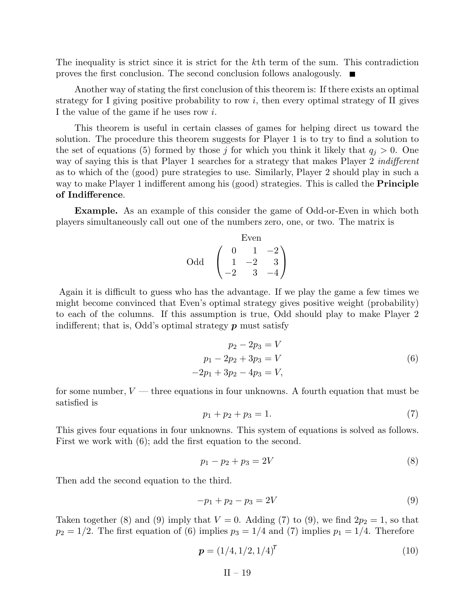The inequality is strict since it is strict for the kth term of the sum. This contradiction proves the first conclusion. The second conclusion follows analogously.

Another way of stating the first conclusion of this theorem is: If there exists an optimal strategy for I giving positive probability to row  $i$ , then every optimal strategy of II gives I the value of the game if he uses row i.

This theorem is useful in certain classes of games for helping direct us toward the solution. The procedure this theorem suggests for Player 1 is to try to find a solution to the set of equations (5) formed by those j for which you think it likely that  $q_i > 0$ . One way of saying this is that Player 1 searches for a strategy that makes Player 2 indifferent as to which of the (good) pure strategies to use. Similarly, Player 2 should play in such a way to make Player 1 indifferent among his (good) strategies. This is called the **Principle of Indifference**.

**Example.** As an example of this consider the game of Odd-or-Even in which both players simultaneously call out one of the numbers zero, one, or two. The matrix is

Even

\nOdd

\n
$$
\begin{pmatrix}\n0 & 1 & -2 \\
1 & -2 & 3 \\
-2 & 3 & -4\n\end{pmatrix}
$$

Again it is difficult to guess who has the advantage. If we play the game a few times we might become convinced that Even's optimal strategy gives positive weight (probability) to each of the columns. If this assumption is true, Odd should play to make Player 2 indifferent; that is, Odd's optimal strategy *p* must satisfy

$$
p_2 - 2p_3 = V
$$
  
\n
$$
p_1 - 2p_2 + 3p_3 = V
$$
  
\n
$$
-2p_1 + 3p_2 - 4p_3 = V,
$$
\n(6)

for some number,  $V$  — three equations in four unknowns. A fourth equation that must be satisfied is

$$
p_1 + p_2 + p_3 = 1.\t\t(7)
$$

This gives four equations in four unknowns. This system of equations is solved as follows. First we work with  $(6)$ ; add the first equation to the second.

$$
p_1 - p_2 + p_3 = 2V \tag{8}
$$

Then add the second equation to the third.

$$
-p_1 + p_2 - p_3 = 2V \tag{9}
$$

Taken together (8) and (9) imply that  $V = 0$ . Adding (7) to (9), we find  $2p_2 = 1$ , so that  $p_2 = 1/2$ . The first equation of (6) implies  $p_3 = 1/4$  and (7) implies  $p_1 = 1/4$ . Therefore

$$
\mathbf{p} = (1/4, 1/2, 1/4)^T \tag{10}
$$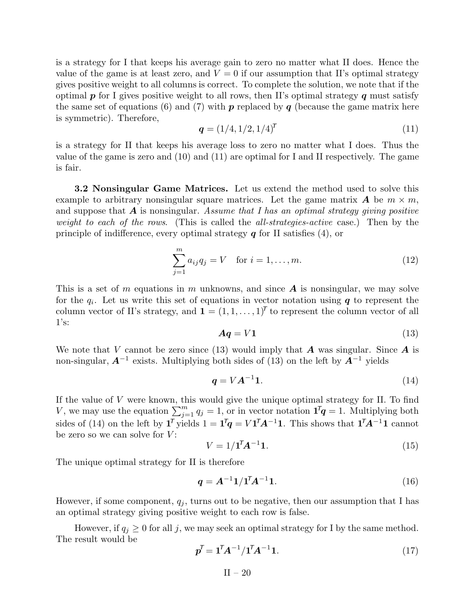is a strategy for I that keeps his average gain to zero no matter what II does. Hence the value of the game is at least zero, and  $V = 0$  if our assumption that II's optimal strategy gives positive weight to all columns is correct. To complete the solution, we note that if the optimal  $p$  for I gives positive weight to all rows, then II's optimal strategy  $q$  must satisfy the same set of equations (6) and (7) with  $p$  replaced by  $q$  (because the game matrix here is symmetric). Therefore,

$$
\mathbf{q} = (1/4, 1/2, 1/4)^T \tag{11}
$$

is a strategy for II that keeps his average loss to zero no matter what I does. Thus the value of the game is zero and (10) and (11) are optimal for I and II respectively. The game is fair.

**3.2 Nonsingular Game Matrices.** Let us extend the method used to solve this example to arbitrary nonsingular square matrices. Let the game matrix  $\bm{A}$  be  $m \times m$ , and suppose that  $\bm{A}$  is nonsingular. Assume that I has an optimal strategy giving positive weight to each of the rows. (This is called the all-strategies-active case.) Then by the principle of indifference, every optimal strategy *q* for II satisfies (4), or

$$
\sum_{j=1}^{m} a_{ij} q_j = V \text{ for } i = 1, ..., m.
$$
 (12)

This is a set of m equations in m unknowns, and since *A* is nonsingular, we may solve for the  $q_i$ . Let us write this set of equations in vector notation using  $q$  to represent the column vector of II's strategy, and  $\mathbf{1} = (1, 1, \ldots, 1)^T$  to represent the column vector of all  $1's:$ 

$$
Aq = V1 \tag{13}
$$

We note that V cannot be zero since (13) would imply that *A* was singular. Since *A* is non-singular,  $A^{-1}$  exists. Multiplying both sides of (13) on the left by  $A^{-1}$  yields

$$
\boldsymbol{q} = V\boldsymbol{A}^{-1}\boldsymbol{1}.\tag{14}
$$

If the value of V were known, this would give the unique optimal strategy for II. To find V, we may use the equation  $\sum_{j=1}^{m} q_j = 1$ , or in vector notation  $\mathbf{1}^T \mathbf{q} = 1$ . Multiplying both sides of (14) on the left by  $\mathbf{1}^T$  yields  $1 = \mathbf{1}^T\mathbf{q} = V\mathbf{1}^T\mathbf{A}^{-1}\mathbf{1}$ . This shows that  $\mathbf{1}^T\mathbf{A}^{-1}\mathbf{1}$  cannot be zero so we can solve for  $V$ :

$$
V = 1/\mathbf{1}^T \mathbf{A}^{-1} \mathbf{1}.\tag{15}
$$

The unique optimal strategy for II is therefore

$$
q = A^{-1}1/I^{T}A^{-1}1.
$$
 (16)

However, if some component,  $q_j$ , turns out to be negative, then our assumption that I has an optimal strategy giving positive weight to each row is false.

However, if  $q_i \geq 0$  for all j, we may seek an optimal strategy for I by the same method. The result would be

$$
p^T = 1^T A^{-1} / 1^T A^{-1} 1.
$$
 (17)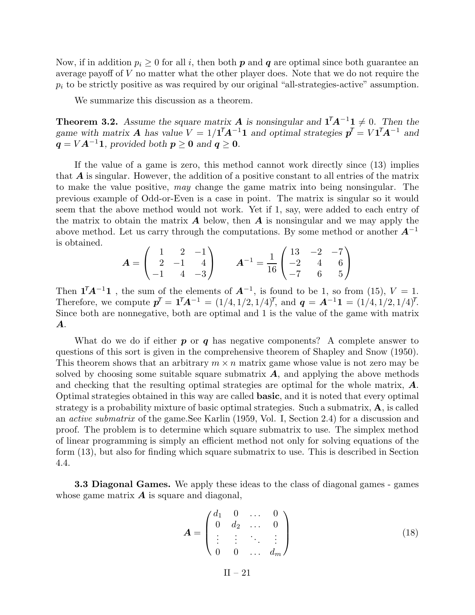Now, if in addition  $p_i \geq 0$  for all i, then both **p** and **q** are optimal since both guarantee an average payoff of V no matter what the other player does. Note that we do not require the  $p_i$  to be strictly positive as was required by our original "all-strategies-active" assumption.

We summarize this discussion as a theorem.

**Theorem 3.2.** *Assume the square matrix A is nonsingular and*  $\mathbf{1}^T A^{-1} \mathbf{1} \neq 0$ *. Then the game with matrix A has value*  $V = 1/\mathbf{1}^T A^{-1} \mathbf{1}$  *and optimal strategies*  $p^T = V \mathbf{1}^T A^{-1}$  *and*  $q = VA^{-1}$ **1***, provided both*  $p \ge 0$  *and*  $q \ge 0$ *.* 

If the value of a game is zero, this method cannot work directly since (13) implies that *A* is singular. However, the addition of a positive constant to all entries of the matrix to make the value positive, may change the game matrix into being nonsingular. The previous example of Odd-or-Even is a case in point. The matrix is singular so it would seem that the above method would not work. Yet if 1, say, were added to each entry of the matrix to obtain the matrix *A* below, then *A* is nonsingular and we may apply the above method. Let us carry through the computations. By some method or another *A*−<sup>1</sup> is obtained.

$$
A = \begin{pmatrix} 1 & 2 & -1 \\ 2 & -1 & 4 \\ -1 & 4 & -3 \end{pmatrix} \qquad A^{-1} = \frac{1}{16} \begin{pmatrix} 13 & -2 & -7 \\ -2 & 4 & 6 \\ -7 & 6 & 5 \end{pmatrix}
$$

Then  $\mathbf{1}^T \mathbf{A}^{-1} \mathbf{1}$ , the sum of the elements of  $\mathbf{A}^{-1}$ , is found to be 1, so from (15),  $V = 1$ . Therefore, we compute  $p^T = \mathbf{1}^T A^{-1} = (1/4, 1/2, 1/4)^T$ , and  $q = A^{-1}\mathbf{1} = (1/4, 1/2, 1/4)^T$ . Since both are nonnegative, both are optimal and 1 is the value of the game with matrix *A*.

What do we do if either *p* or *q* has negative components? A complete answer to questions of this sort is given in the comprehensive theorem of Shapley and Snow (1950). This theorem shows that an arbitrary  $m \times n$  matrix game whose value is not zero may be solved by choosing some suitable square submatrix  $\vec{A}$ , and applying the above methods and checking that the resulting optimal strategies are optimal for the whole matrix, *A*. Optimal strategies obtained in this way are called **basic**, and it is noted that every optimal strategy is a probability mixture of basic optimal strategies. Such a submatrix, **A**, is called an active submatrix of the game.See Karlin (1959, Vol. I, Section 2.4) for a discussion and proof. The problem is to determine which square submatrix to use. The simplex method of linear programming is simply an efficient method not only for solving equations of the form (13), but also for finding which square submatrix to use. This is described in Section 4.4.

**3.3 Diagonal Games.** We apply these ideas to the class of diagonal games - games whose game matrix *A* is square and diagonal,

$$
\mathbf{A} = \begin{pmatrix} d_1 & 0 & \dots & 0 \\ 0 & d_2 & \dots & 0 \\ \vdots & \vdots & \ddots & \vdots \\ 0 & 0 & \dots & d_m \end{pmatrix}
$$
 (18)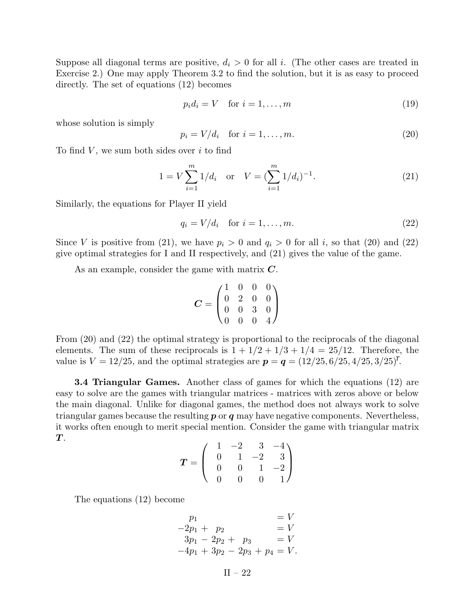Suppose all diagonal terms are positive,  $d_i > 0$  for all i. (The other cases are treated in Exercise 2.) One may apply Theorem 3.2 to find the solution, but it is as easy to proceed directly. The set of equations (12) becomes

$$
p_i d_i = V \quad \text{for } i = 1, \dots, m \tag{19}
$$

whose solution is simply

$$
p_i = V/d_i \quad \text{for } i = 1, \dots, m. \tag{20}
$$

To find  $V$ , we sum both sides over  $i$  to find

$$
1 = V \sum_{i=1}^{m} 1/d_i \quad \text{or} \quad V = (\sum_{i=1}^{m} 1/d_i)^{-1}.
$$
 (21)

Similarly, the equations for Player II yield

$$
q_i = V/d_i \quad \text{for } i = 1, \dots, m. \tag{22}
$$

Since V is positive from (21), we have  $p_i > 0$  and  $q_i > 0$  for all i, so that (20) and (22) give optimal strategies for I and II respectively, and (21) gives the value of the game.

As an example, consider the game with matrix *C*.

$$
\boldsymbol{C} = \begin{pmatrix} 1 & 0 & 0 & 0 \\ 0 & 2 & 0 & 0 \\ 0 & 0 & 3 & 0 \\ 0 & 0 & 0 & 4 \end{pmatrix}
$$

From (20) and (22) the optimal strategy is proportional to the reciprocals of the diagonal elements. The sum of these reciprocals is  $1 + 1/2 + 1/3 + 1/4 = 25/12$ . Therefore, the value is  $V = 12/25$ , and the optimal strategies are  $p = q = (12/25, 6/25, 4/25, 3/25)'$ .

**3.4 Triangular Games.** Another class of games for which the equations (12) are easy to solve are the games with triangular matrices - matrices with zeros above or below the main diagonal. Unlike for diagonal games, the method does not always work to solve triangular games because the resulting *p* or *q* may have negative components. Nevertheless, it works often enough to merit special mention. Consider the game with triangular matrix *T* .

$$
\boldsymbol{T} = \left(\begin{array}{cccc} 1 & -2 & 3 & -4 \\ 0 & 1 & -2 & 3 \\ 0 & 0 & 1 & -2 \\ 0 & 0 & 0 & 1 \end{array}\right)
$$

The equations (12) become

$$
p_1 = V
$$
  
\n
$$
-2p_1 + p_2 = V
$$
  
\n
$$
3p_1 - 2p_2 + p_3 = V
$$
  
\n
$$
-4p_1 + 3p_2 - 2p_3 + p_4 = V.
$$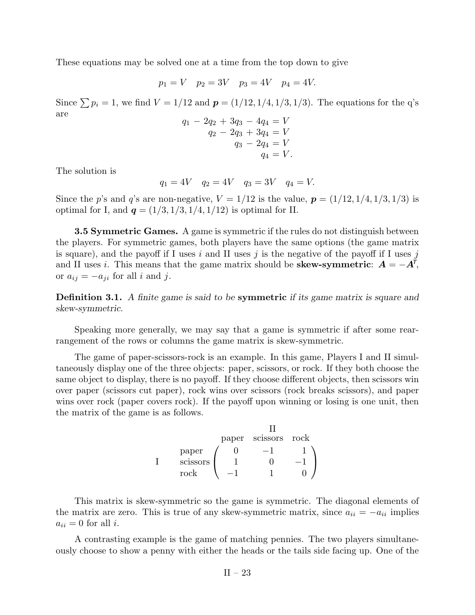These equations may be solved one at a time from the top down to give

$$
p_1 = V \quad p_2 = 3V \quad p_3 = 4V \quad p_4 = 4V.
$$

Since  $\sum p_i = 1$ , we find  $V = 1/12$  and  $p = (1/12, 1/4, 1/3, 1/3)$ . The equations for the q's are

$$
q_1 - 2q_2 + 3q_3 - 4q_4 = V
$$
  
\n
$$
q_2 - 2q_3 + 3q_4 = V
$$
  
\n
$$
q_3 - 2q_4 = V
$$
  
\n
$$
q_4 = V.
$$

The solution is

$$
q_1 = 4V
$$
  $q_2 = 4V$   $q_3 = 3V$   $q_4 = V$ .

Since the p's and q's are non-negative,  $V = 1/12$  is the value,  $p = (1/12, 1/4, 1/3, 1/3)$  is optimal for I, and  $q = (1/3, 1/3, 1/4, 1/12)$  is optimal for II.

**3.5 Symmetric Games.** A game is symmetric if the rules do not distinguish between the players. For symmetric games, both players have the same options (the game matrix is square), and the payoff if I uses i and II uses j is the negative of the payoff if I uses j and II uses i. This means that the game matrix should be **skew-symmetric**:  $A = -A^T$ , or  $a_{ij} = -a_{ji}$  for all i and j.

**Definition 3.1.** *A finite game is said to be* **symmetric** *if its game matrix is square and skew-symmetric.*

Speaking more generally, we may say that a game is symmetric if after some rearrangement of the rows or columns the game matrix is skew-symmetric.

The game of paper-scissors-rock is an example. In this game, Players I and II simultaneously display one of the three objects: paper, scissors, or rock. If they both choose the same object to display, there is no payoff. If they choose different objects, then scissors win over paper (scissors cut paper), rock wins over scissors (rock breaks scissors), and paper wins over rock (paper covers rock). If the payoff upon winning or losing is one unit, then the matrix of the game is as follows.

|          | paper | scissors rock |  |
|----------|-------|---------------|--|
| paper    |       |               |  |
| scissors |       |               |  |
| rock     |       |               |  |

This matrix is skew-symmetric so the game is symmetric. The diagonal elements of the matrix are zero. This is true of any skew-symmetric matrix, since  $a_{ii} = -a_{ii}$  implies  $a_{ii} = 0$  for all *i*.

A contrasting example is the game of matching pennies. The two players simultaneously choose to show a penny with either the heads or the tails side facing up. One of the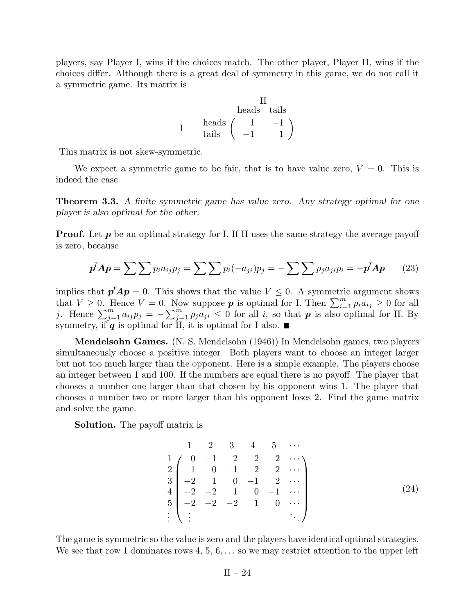players, say Player I, wins if the choices match. The other player, Player II, wins if the choices differ. Although there is a great deal of symmetry in this game, we do not call it a symmetric game. Its matrix is

$$
\begin{array}{c}\n & \text{heads} \\
\text{heads} \text{tails} \\
\text{tails} \left( \begin{array}{cc} 1 & -1 \\
-1 & 1 \end{array} \right)\n\end{array}
$$

This matrix is not skew-symmetric.

We expect a symmetric game to be fair, that is to have value zero,  $V = 0$ . This is indeed the case.

**Theorem 3.3.** *A finite symmetric game has value zero. Any strategy optimal for one player is also optimal for the other.*

**Proof.** Let **p** be an optimal strategy for I. If II uses the same strategy the average payoff is zero, because

$$
\mathbf{p}^T \mathbf{A} \mathbf{p} = \sum \sum p_i a_{ij} p_j = \sum \sum p_i (-a_{ji}) p_j = -\sum \sum p_j a_{ji} p_i = -\mathbf{p}^T \mathbf{A} \mathbf{p} \qquad (23)
$$

implies that  $p^{T}Ap = 0$ . This shows that the value  $V \leq 0$ . A symmetric argument shows that  $V \geq 0$ . Hence  $V = 0$ . Now suppose **p** is optimal for I. Then  $\sum_{i=1}^{m} p_i a_{ij} \geq 0$  for all j. Hence  $\sum_{j=1}^m a_{ij}p_j = -\sum_{j=1}^m p_ja_{ji} \leq 0$  for all i, so that **p** is also optimal for II. By symmetry, if  $q$  is optimal for II, it is optimal for I also.

**Mendelsohn Games.** (N. S. Mendelsohn (1946)) In Mendelsohn games, two players simultaneously choose a positive integer. Both players want to choose an integer larger but not too much larger than the opponent. Here is a simple example. The players choose an integer between 1 and 100. If the numbers are equal there is no payoff. The player that chooses a number one larger than that chosen by his opponent wins 1. The player that chooses a number two or more larger than his opponent loses 2. Find the game matrix and solve the game.

**Solution.** The payoff matrix is

$$
\begin{array}{ccccccccc}\n & 1 & 2 & 3 & 4 & 5 & \cdots \\
1 & 0 & -1 & 2 & 2 & 2 & \cdots \\
2 & 1 & 0 & -1 & 2 & 2 & \cdots \\
3 & -2 & 1 & 0 & -1 & 2 & \cdots \\
4 & -2 & -2 & 1 & 0 & -1 & \cdots \\
5 & -2 & -2 & -2 & 1 & 0 & \cdots \\
\vdots & \vdots & \vdots & \ddots & \vdots & \ddots\n\end{array}
$$
\n(24)

The game is symmetric so the value is zero and the players have identical optimal strategies. We see that row 1 dominates rows  $4, 5, 6, \ldots$  so we may restrict attention to the upper left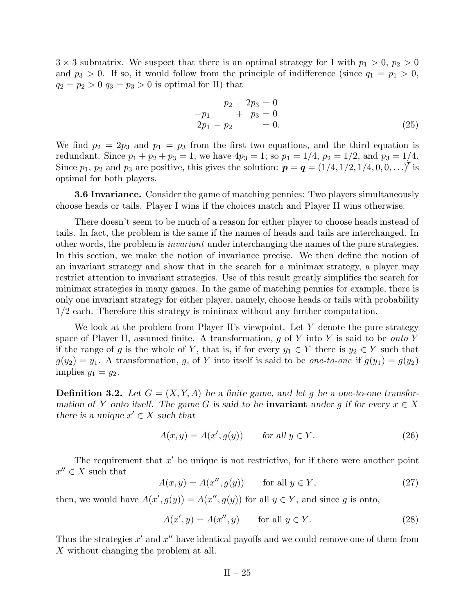$3 \times 3$  submatrix. We suspect that there is an optimal strategy for I with  $p_1 > 0$ ,  $p_2 > 0$ and  $p_3 > 0$ . If so, it would follow from the principle of indifference (since  $q_1 = p_1 > 0$ ,  $q_2 = p_2 > 0$   $q_3 = p_3 > 0$  is optimal for II) that

$$
p_2 - 2p_3 = 0
$$
  
-p<sub>1</sub> + p<sub>3</sub> = 0  
2p<sub>1</sub> - p<sub>2</sub> = 0. (25)

We find  $p_2 = 2p_3$  and  $p_1 = p_3$  from the first two equations, and the third equation is redundant. Since  $p_1 + p_2 + p_3 = 1$ , we have  $4p_3 = 1$ ; so  $p_1 = 1/4$ ,  $p_2 = 1/2$ , and  $p_3 = 1/4$ . Since  $p_1$ ,  $p_2$  and  $p_3$  are positive, this gives the solution:  $\mathbf{p} = \mathbf{q} = (1/4, 1/2, 1/4, 0, 0, \ldots)$ <sup>T</sup> is optimal for both players.

**3.6 Invariance.** Consider the game of matching pennies: Two players simultaneously choose heads or tails. Player I wins if the choices match and Player II wins otherwise.

There doesn't seem to be much of a reason for either player to choose heads instead of tails. In fact, the problem is the same if the names of heads and tails are interchanged. In other words, the problem is invariant under interchanging the names of the pure strategies. In this section, we make the notion of invariance precise. We then define the notion of an invariant strategy and show that in the search for a minimax strategy, a player may restrict attention to invariant strategies. Use of this result greatly simplifies the search for minimax strategies in many games. In the game of matching pennies for example, there is only one invariant strategy for either player, namely, choose heads or tails with probability 1/2 each. Therefore this strategy is minimax without any further computation.

We look at the problem from Player II's viewpoint. Let Y denote the pure strategy space of Player II, assumed finite. A transformation, q of Y into Y is said to be onto Y if the range of g is the whole of Y, that is, if for every  $y_1 \in Y$  there is  $y_2 \in Y$  such that  $g(y_2) = y_1$ . A transformation, g, of Y into itself is said to be one-to-one if  $g(y_1) = g(y_2)$ implies  $y_1 = y_2$ .

**Definition 3.2.** Let  $G = (X, Y, A)$  be a finite game, and let g be a one-to-one transfor*mation of* Y *onto itself.* The game G is said to be **invariant** under q if for every  $x \in X$ *there is a unique*  $x' \in X$  *such that* 

$$
A(x, y) = A(x', g(y)) \qquad \text{for all } y \in Y. \tag{26}
$$

The requirement that  $x'$  be unique is not restrictive, for if there were another point  $x'' \in X$  such that

$$
A(x, y) = A(x'', g(y)) \qquad \text{for all } y \in Y,
$$
\n
$$
(27)
$$

then, we would have  $A(x', g(y)) = A(x'', g(y))$  for all  $y \in Y$ , and since g is onto,

$$
A(x', y) = A(x'', y) \qquad \text{for all } y \in Y. \tag{28}
$$

Thus the strategies  $x'$  and  $x''$  have identical payoffs and we could remove one of them from X without changing the problem at all.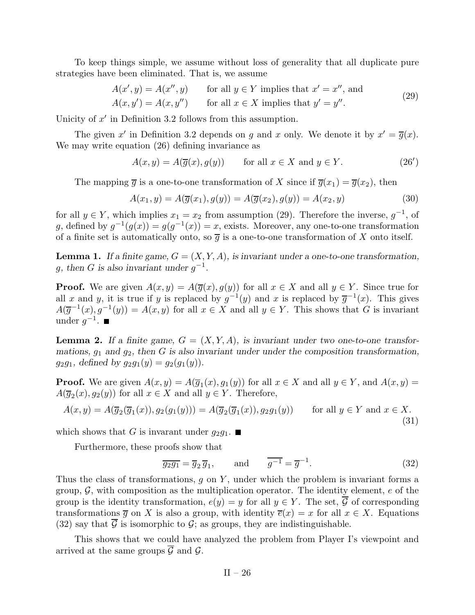To keep things simple, we assume without loss of generality that all duplicate pure strategies have been eliminated. That is, we assume

$$
A(x', y) = A(x'', y) \qquad \text{for all } y \in Y \text{ implies that } x' = x'', \text{ and}
$$
  

$$
A(x, y') = A(x, y'') \qquad \text{for all } x \in X \text{ implies that } y' = y''.
$$
 (29)

Unicity of  $x'$  in Definition 3.2 follows from this assumption.

The given x' in Definition 3.2 depends on g and x only. We denote it by  $x' = \overline{g}(x)$ . We may write equation (26) defining invariance as

$$
A(x, y) = A(\overline{g}(x), g(y)) \quad \text{for all } x \in X \text{ and } y \in Y. \tag{26'}
$$

The mapping  $\overline{g}$  is a one-to-one transformation of X since if  $\overline{g}(x_1) = \overline{g}(x_2)$ , then

$$
A(x_1, y) = A(\overline{g}(x_1), g(y)) = A(\overline{g}(x_2), g(y)) = A(x_2, y)
$$
\n(30)

for all  $y \in Y$ , which implies  $x_1 = x_2$  from assumption (29). Therefore the inverse,  $g^{-1}$ , of g, defined by  $g^{-1}(g(x)) = g(g^{-1}(x)) = x$ , exists. Moreover, any one-to-one transformation of a finite set is automatically onto, so  $\overline{g}$  is a one-to-one transformation of X onto itself.

**Lemma 1.** If a finite game,  $G = (X, Y, A)$ , is invariant under a one-to-one transformation, g, then G is also invariant under  $q^{-1}$ .

**Proof.** We are given  $A(x, y) = A(\overline{g}(x), g(y))$  for all  $x \in X$  and all  $y \in Y$ . Since true for all x and y, it is true if y is replaced by  $g^{-1}(y)$  and x is replaced by  $\overline{g}^{-1}(x)$ . This gives  $A(\overline{g}^{-1}(x), g^{-1}(y)) = A(x, y)$  for all  $x \in X$  and all  $y \in Y$ . This shows that G is invariant under  $g^{-1}$ . ■

**Lemma 2.** If a finite game,  $G = (X, Y, A)$ , is invariant under two one-to-one transfor*mations,*  $g_1$  *and*  $g_2$ *, then* G *is also invariant under under the composition transformation,*  $g_2g_1$ , defined by  $g_2g_1(y) = g_2(g_1(y))$ .

**Proof.** We are given  $A(x, y) = A(\overline{g}_1(x), g_1(y))$  for all  $x \in X$  and all  $y \in Y$ , and  $A(x, y) =$  $A(\overline{g}_2(x), g_2(y))$  for all  $x \in X$  and all  $y \in Y$ . Therefore,

$$
A(x,y) = A(\overline{g}_2(\overline{g}_1(x)), g_2(g_1(y))) = A(\overline{g}_2(\overline{g}_1(x)), g_2g_1(y)) \quad \text{for all } y \in Y \text{ and } x \in X.
$$
\n(31)

which shows that G is invarant under  $q_2q_1$ .

Furthermore, these proofs show that

$$
\overline{g_2g_1} = \overline{g}_2 \overline{g}_1, \quad \text{and} \quad \overline{g^{-1}} = \overline{g}^{-1}.
$$
 (32)

Thus the class of transformations,  $g$  on  $Y$ , under which the problem is invariant forms a group,  $\mathcal{G}$ , with composition as the multiplication operator. The identity element,  $e$  of the group is the identity transformation,  $e(y) = y$  for all  $y \in Y$ . The set,  $\overline{G}$  of corresponding transformations  $\overline{g}$  on X is also a group, with identity  $\overline{e}(x) = x$  for all  $x \in X$ . Equations (32) say that  $\overline{G}$  is isomorphic to  $G$ ; as groups, they are indistinguishable.

This shows that we could have analyzed the problem from Player I's viewpoint and arrived at the same groups  $\overline{\mathcal{G}}$  and  $\mathcal{G}$ .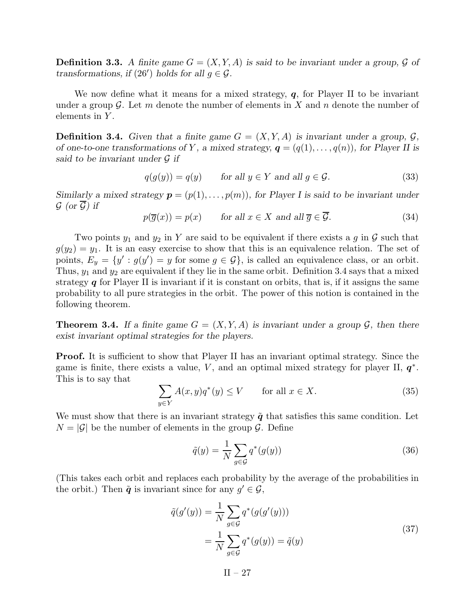**Definition 3.3.** A finite game  $G = (X, Y, A)$  is said to be invariant under a group, G of *transformations, if* (26') *holds for all*  $g \in \mathcal{G}$ *.* 

We now define what it means for a mixed strategy, *q*, for Player II to be invariant under a group  $\mathcal G$ . Let m denote the number of elements in X and n denote the number of elements in Y.

**Definition 3.4.** Given that a finite game  $G = (X, Y, A)$  is invariant under a group,  $G$ , *of one-to-one transformations of* Y, a mixed strategy,  $q = (q(1), \ldots, q(n))$ , for Player II is *said to be invariant under* G *if*

$$
q(g(y)) = q(y) \qquad \text{for all } y \in Y \text{ and all } g \in \mathcal{G}.
$$
 (33)

*Similarly a mixed strategy*  $p = (p(1), \ldots, p(m))$ *, for Player I is said to be invariant under*  $\mathcal G$  (or  $\overline{\mathcal G}$ ) if

$$
p(\overline{g}(x)) = p(x) \qquad \text{for all } x \in X \text{ and all } \overline{g} \in \overline{\mathcal{G}}.
$$
 (34)

Two points  $y_1$  and  $y_2$  in Y are said to be equivalent if there exists a g in G such that  $g(y_2) = y_1$ . It is an easy exercise to show that this is an equivalence relation. The set of points,  $E_y = \{y' : g(y') = y \text{ for some } g \in \mathcal{G}\}\$ , is called an equivalence class, or an orbit. Thus,  $y_1$  and  $y_2$  are equivalent if they lie in the same orbit. Definition 3.4 says that a mixed strategy *q* for Player II is invariant if it is constant on orbits, that is, if it assigns the same probability to all pure strategies in the orbit. The power of this notion is contained in the following theorem.

**Theorem 3.4.** If a finite game  $G = (X, Y, A)$  is invariant under a group  $G$ , then there *exist invariant optimal strategies for the players.*

**Proof.** It is sufficient to show that Player II has an invariant optimal strategy. Since the game is finite, there exists a value, V, and an optimal mixed strategy for player II,  $q^*$ . This is to say that

$$
\sum_{y \in Y} A(x, y) q^*(y) \le V \qquad \text{for all } x \in X. \tag{35}
$$

We must show that there is an invariant strategy  $\tilde{q}$  that satisfies this same condition. Let  $N = |\mathcal{G}|$  be the number of elements in the group  $\mathcal{G}$ . Define

$$
\tilde{q}(y) = \frac{1}{N} \sum_{g \in \mathcal{G}} q^*(g(y)) \tag{36}
$$

(This takes each orbit and replaces each probability by the average of the probabilities in the orbit.) Then  $\tilde{q}$  is invariant since for any  $q' \in \mathcal{G}$ ,

$$
\tilde{q}(g'(y)) = \frac{1}{N} \sum_{g \in \mathcal{G}} q^*(g(g'(y)))
$$
\n
$$
= \frac{1}{N} \sum_{g \in \mathcal{G}} q^*(g(y)) = \tilde{q}(y)
$$
\n(37)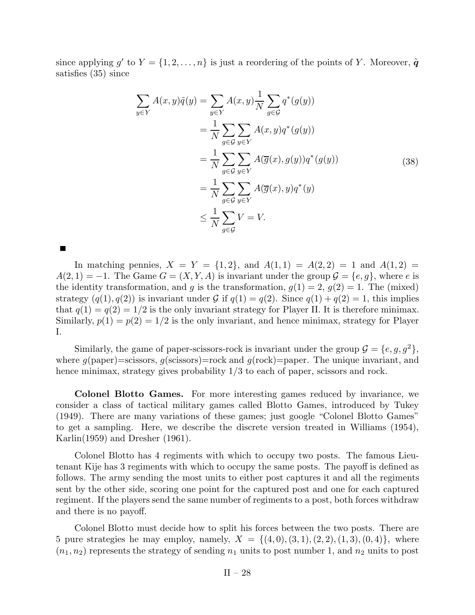since applying g' to  $Y = \{1, 2, ..., n\}$  is just a reordering of the points of Y. Moreover,  $\tilde{\boldsymbol{q}}$ satisfies (35) since

$$
\sum_{y \in Y} A(x, y)\tilde{q}(y) = \sum_{y \in Y} A(x, y) \frac{1}{N} \sum_{g \in G} q^*(g(y))
$$
  
\n
$$
= \frac{1}{N} \sum_{g \in G} \sum_{y \in Y} A(x, y) q^*(g(y))
$$
  
\n
$$
= \frac{1}{N} \sum_{g \in G} \sum_{y \in Y} A(\overline{g}(x), g(y)) q^*(g(y))
$$
  
\n
$$
= \frac{1}{N} \sum_{g \in G} \sum_{y \in Y} A(\overline{g}(x), y) q^*(y)
$$
  
\n
$$
\leq \frac{1}{N} \sum_{g \in G} V = V.
$$
\n(38)

 $\blacksquare$ 

In matching pennies,  $X = Y = \{1,2\}$ , and  $A(1,1) = A(2,2) = 1$  and  $A(1,2) =$  $A(2, 1) = -1$ . The Game  $G = (X, Y, A)$  is invariant under the group  $G = \{e, g\}$ , where e is the identity transformation, and g is the transformation,  $g(1) = 2$ ,  $g(2) = 1$ . The (mixed) strategy  $(q(1), q(2))$  is invariant under G if  $q(1) = q(2)$ . Since  $q(1) + q(2) = 1$ , this implies that  $q(1) = q(2) = 1/2$  is the only invariant strategy for Player II. It is therefore minimax. Similarly,  $p(1) = p(2) = 1/2$  is the only invariant, and hence minimax, strategy for Player I.

Similarly, the game of paper-scissors-rock is invariant under the group  $\mathcal{G} = \{e, g, g^2\},\$ where  $g$ (paper)=scissors,  $g$ (scissors)=rock and  $g$ (rock)=paper. The unique invariant, and hence minimax, strategy gives probability  $1/3$  to each of paper, scissors and rock.

**Colonel Blotto Games.** For more interesting games reduced by invariance, we consider a class of tactical military games called Blotto Games, introduced by Tukey (1949). There are many variations of these games; just google "Colonel Blotto Games" to get a sampling. Here, we describe the discrete version treated in Williams (1954), Karlin(1959) and Dresher (1961).

Colonel Blotto has 4 regiments with which to occupy two posts. The famous Lieutenant Kije has 3 regiments with which to occupy the same posts. The payoff is defined as follows. The army sending the most units to either post captures it and all the regiments sent by the other side, scoring one point for the captured post and one for each captured regiment. If the players send the same number of regiments to a post, both forces withdraw and there is no payoff.

Colonel Blotto must decide how to split his forces between the two posts. There are 5 pure strategies he may employ, namely,  $X = \{(4,0), (3,1), (2,2), (1,3), (0,4)\}\,$ , where  $(n_1, n_2)$  represents the strategy of sending  $n_1$  units to post number 1, and  $n_2$  units to post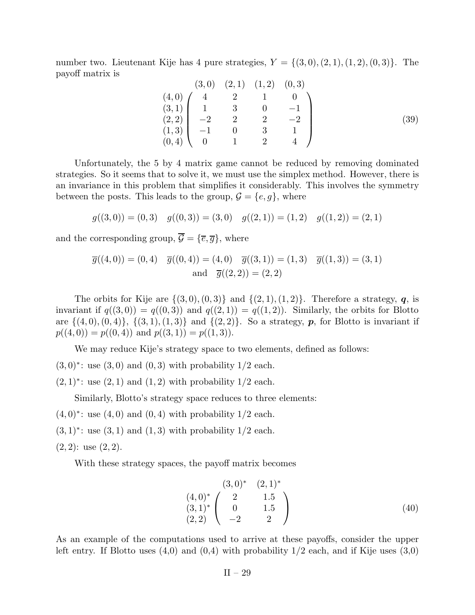number two. Lieutenant Kije has 4 pure strategies,  $Y = \{(3,0), (2,1), (1,2), (0,3)\}.$  The payoff matrix is

$$
\begin{array}{cccccc}\n(3,0) & (2,1) & (1,2) & (0,3) \\
(4,0) & 4 & 2 & 1 & 0 \\
(3,1) & 1 & 3 & 0 & -1 \\
(2,2) & -2 & 2 & 2 & -2 \\
(1,3) & -1 & 0 & 3 & 1 \\
(0,4) & 0 & 1 & 2 & 4\n\end{array}
$$
\n(39)

Unfortunately, the 5 by 4 matrix game cannot be reduced by removing dominated strategies. So it seems that to solve it, we must use the simplex method. However, there is an invariance in this problem that simplifies it considerably. This involves the symmetry between the posts. This leads to the group,  $\mathcal{G} = \{e, g\}$ , where

$$
g((3,0)) = (0,3)
$$
  $g((0,3)) = (3,0)$   $g((2,1)) = (1,2)$   $g((1,2)) = (2,1)$ 

and the corresponding group,  $\overline{\mathcal{G}} = {\overline{e}, \overline{g}}$ , where

$$
\overline{g}((4,0)) = (0,4) \quad \overline{g}((0,4)) = (4,0) \quad \overline{g}((3,1)) = (1,3) \quad \overline{g}((1,3)) = (3,1)
$$
  
and 
$$
\overline{g}((2,2)) = (2,2)
$$

The orbits for Kije are  $\{(3,0), (0,3)\}\$  and  $\{(2,1), (1,2)\}\$ . Therefore a strategy, *q*, is invariant if  $q((3,0)) = q((0,3))$  and  $q((2,1)) = q((1,2))$ . Similarly, the orbits for Blotto are  $\{(4,0),(0,4)\},\{(3,1),(1,3)\}\$ and  $\{(2,2)\}.$  So a strategy, **p**, for Blotto is invariant if  $p((4, 0)) = p((0, 4))$  and  $p((3, 1)) = p((1, 3)).$ 

We may reduce Kije's strategy space to two elements, defined as follows:

- $(3,0)^*$ : use  $(3,0)$  and  $(0,3)$  with probability  $1/2$  each.
- $(2,1)$ <sup>\*</sup>: use  $(2,1)$  and  $(1,2)$  with probability  $1/2$  each.

Similarly, Blotto's strategy space reduces to three elements:

- $(4,0)^*$ : use  $(4,0)$  and  $(0,4)$  with probability  $1/2$  each.
- $(3, 1)$ <sup>\*</sup>: use  $(3, 1)$  and  $(1, 3)$  with probability  $1/2$  each.
- $(2, 2)$ : use  $(2, 2)$ .

With these strategy spaces, the payoff matrix becomes

$$
\begin{array}{c}\n(3,0)^* \quad (2,1)^* \\
(4,0)^* \quad (2 \quad 1.5 \\
(3,1)^* \quad 0 \quad 1.5 \\
(2,2) \quad -2 \quad 2\n\end{array}
$$
\n(40)

As an example of the computations used to arrive at these payoffs, consider the upper left entry. If Blotto uses  $(4,0)$  and  $(0,4)$  with probability  $1/2$  each, and if Kije uses  $(3,0)$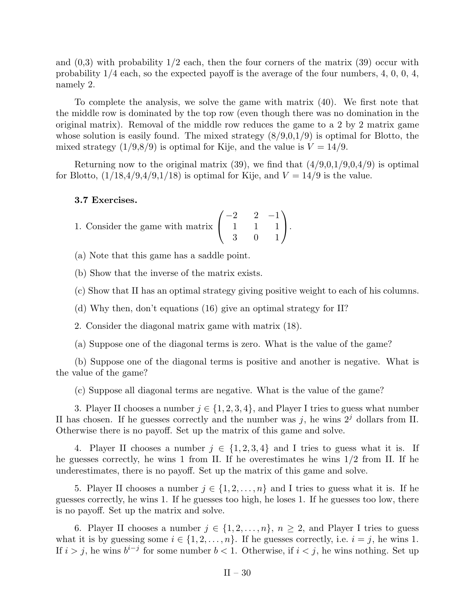and  $(0,3)$  with probability  $1/2$  each, then the four corners of the matrix  $(39)$  occur with probability  $1/4$  each, so the expected payoff is the average of the four numbers,  $4, 0, 0, 4$ , namely 2.

To complete the analysis, we solve the game with matrix (40). We first note that the middle row is dominated by the top row (even though there was no domination in the original matrix). Removal of the middle row reduces the game to a 2 by 2 matrix game whose solution is easily found. The mixed strategy  $(8/9,0,1/9)$  is optimal for Blotto, the mixed strategy  $(1/9,8/9)$  is optimal for Kije, and the value is  $V = 14/9$ .

Returning now to the original matrix  $(39)$ , we find that  $(4/9,0,1/9,0,4/9)$  is optimal for Blotto,  $(1/18,4/9,4/9,1/18)$  is optimal for Kije, and  $V = 14/9$  is the value.

#### **3.7 Exercises.**

| 1. Consider the game with matrix $\begin{pmatrix} -2 & 2 & -1 \\ 1 & 1 & 1 \end{pmatrix}$ . |                                           |  |  |
|---------------------------------------------------------------------------------------------|-------------------------------------------|--|--|
|                                                                                             | $\begin{pmatrix} 3 & 0 & 1 \end{pmatrix}$ |  |  |

(a) Note that this game has a saddle point.

(b) Show that the inverse of the matrix exists.

(c) Show that II has an optimal strategy giving positive weight to each of his columns.

(d) Why then, don't equations (16) give an optimal strategy for II?

2. Consider the diagonal matrix game with matrix (18).

(a) Suppose one of the diagonal terms is zero. What is the value of the game?

(b) Suppose one of the diagonal terms is positive and another is negative. What is the value of the game?

(c) Suppose all diagonal terms are negative. What is the value of the game?

3. Player II chooses a number  $j \in \{1, 2, 3, 4\}$ , and Player I tries to guess what number II has chosen. If he guesses correctly and the number was  $j$ , he wins  $2<sup>j</sup>$  dollars from II. Otherwise there is no payoff. Set up the matrix of this game and solve.

4. Player II chooses a number  $j \in \{1,2,3,4\}$  and I tries to guess what it is. If he guesses correctly, he wins 1 from II. If he overestimates he wins 1/2 from II. If he underestimates, there is no payoff. Set up the matrix of this game and solve.

5. Player II chooses a number  $j \in \{1, 2, \ldots, n\}$  and I tries to guess what it is. If he guesses correctly, he wins 1. If he guesses too high, he loses 1. If he guesses too low, there is no payoff. Set up the matrix and solve.

6. Player II chooses a number  $j \in \{1, 2, ..., n\}$ ,  $n \geq 2$ , and Player I tries to guess what it is by guessing some  $i \in \{1, 2, ..., n\}$ . If he guesses correctly, i.e.  $i = j$ , he wins 1. If  $i>j$ , he wins  $b^{i-j}$  for some number  $b < 1$ . Otherwise, if  $i < j$ , he wins nothing. Set up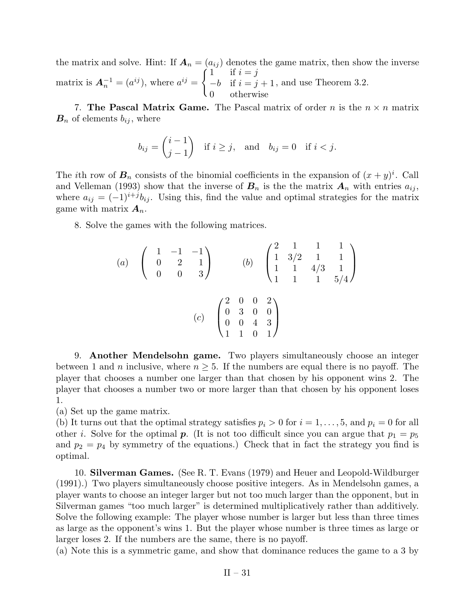the matrix and solve. Hint: If  $A_n = (a_{ij})$  denotes the game matrix, then show the inverse matrix is  $A_n^{-1} = (a^{ij})$ , where  $a^{ij} =$  $\int 1$  if  $i = j$  $-b$  if  $i = j + 1$ 0 otherwise , and use Theorem 3.2.

7. **The Pascal Matrix Game.** The Pascal matrix of order *n* is the  $n \times n$  matrix  $B_n$  of elements  $b_{ij}$ , where

$$
b_{ij} = \begin{pmatrix} i-1 \\ j-1 \end{pmatrix} \quad \text{if } i \geq j, \quad \text{and} \quad b_{ij} = 0 \quad \text{if } i < j.
$$

The *i*th row of  $B_n$  consists of the binomial coefficients in the expansion of  $(x + y)^i$ . Call and Velleman (1993) show that the inverse of  $B_n$  is the the matrix  $A_n$  with entries  $a_{ij}$ , where  $a_{ij} = (-1)^{i+j} b_{ij}$ . Using this, find the value and optimal strategies for the matrix game with matrix  $A_n$ .

8. Solve the games with the following matrices.

(a) 
$$
\begin{pmatrix} 1 & -1 & -1 \\ 0 & 2 & 1 \\ 0 & 0 & 3 \end{pmatrix}
$$
 (b)  $\begin{pmatrix} 2 & 1 & 1 & 1 \\ 1 & 3/2 & 1 & 1 \\ 1 & 1 & 4/3 & 1 \\ 1 & 1 & 1 & 5/4 \end{pmatrix}$   
(c)  $\begin{pmatrix} 2 & 0 & 0 & 2 \\ 0 & 3 & 0 & 0 \\ 0 & 0 & 4 & 3 \\ 1 & 1 & 0 & 1 \end{pmatrix}$ 

9. **Another Mendelsohn game.** Two players simultaneously choose an integer between 1 and *n* inclusive, where  $n \geq 5$ . If the numbers are equal there is no payoff. The player that chooses a number one larger than that chosen by his opponent wins 2. The player that chooses a number two or more larger than that chosen by his opponent loses 1.

(a) Set up the game matrix.

(b) It turns out that the optimal strategy satisfies  $p_i > 0$  for  $i = 1, \ldots, 5$ , and  $p_i = 0$  for all other *i*. Solve for the optimal **p**. (It is not too difficult since you can argue that  $p_1 = p_5$ and  $p_2 = p_4$  by symmetry of the equations.) Check that in fact the strategy you find is optimal.

10. **Silverman Games.** (See R. T. Evans (1979) and Heuer and Leopold-Wildburger (1991).) Two players simultaneously choose positive integers. As in Mendelsohn games, a player wants to choose an integer larger but not too much larger than the opponent, but in Silverman games "too much larger" is determined multiplicatively rather than additively. Solve the following example: The player whose number is larger but less than three times as large as the opponent's wins 1. But the player whose number is three times as large or larger loses 2. If the numbers are the same, there is no payoff.

(a) Note this is a symmetric game, and show that dominance reduces the game to a 3 by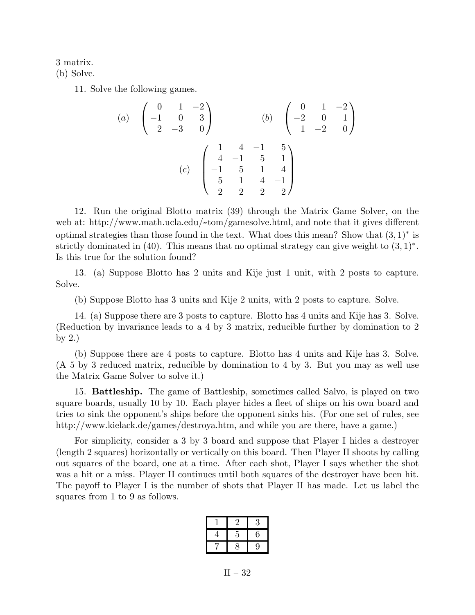# 3 matrix.

(b) Solve.

11. Solve the following games.

(a) 
$$
\begin{pmatrix} 0 & 1 & -2 \\ -1 & 0 & 3 \\ 2 & -3 & 0 \end{pmatrix}
$$
 (b)  $\begin{pmatrix} 0 & 1 & -2 \\ -2 & 0 & 1 \\ 1 & -2 & 0 \end{pmatrix}$   
(c)  $\begin{pmatrix} 1 & 4 & -1 & 5 \\ 4 & -1 & 5 & 1 \\ -1 & 5 & 1 & 4 \\ 5 & 1 & 4 & -1 \\ 2 & 2 & 2 & 2 \end{pmatrix}$ 

12. Run the original Blotto matrix (39) through the Matrix Game Solver, on the web at: http://www.math.ucla.edu/~tom/gamesolve.html, and note that it gives different optimal strategies than those found in the text. What does this mean? Show that  $(3,1)^*$  is strictly dominated in (40). This means that no optimal strategy can give weight to  $(3,1)^*$ . Is this true for the solution found?

13. (a) Suppose Blotto has 2 units and Kije just 1 unit, with 2 posts to capture. Solve.

(b) Suppose Blotto has 3 units and Kije 2 units, with 2 posts to capture. Solve.

14. (a) Suppose there are 3 posts to capture. Blotto has 4 units and Kije has 3. Solve. (Reduction by invariance leads to a 4 by 3 matrix, reducible further by domination to 2 by 2.)

(b) Suppose there are 4 posts to capture. Blotto has 4 units and Kije has 3. Solve. (A 5 by 3 reduced matrix, reducible by domination to 4 by 3. But you may as well use the Matrix Game Solver to solve it.)

15. **Battleship.** The game of Battleship, sometimes called Salvo, is played on two square boards, usually 10 by 10. Each player hides a fleet of ships on his own board and tries to sink the opponent's ships before the opponent sinks his. (For one set of rules, see http://www.kielack.de/games/destroya.htm, and while you are there, have a game.)

For simplicity, consider a 3 by 3 board and suppose that Player I hides a destroyer (length 2 squares) horizontally or vertically on this board. Then Player II shoots by calling out squares of the board, one at a time. After each shot, Player I says whether the shot was a hit or a miss. Player II continues until both squares of the destroyer have been hit. The payoff to Player I is the number of shots that Player II has made. Let us label the squares from 1 to 9 as follows.

| 4 | J | n |
|---|---|---|
|   |   | Y |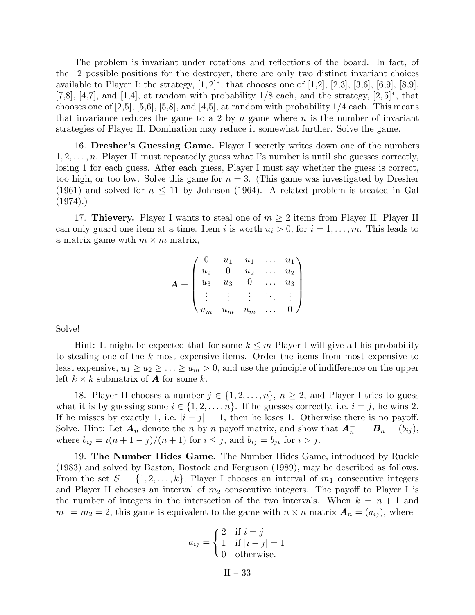The problem is invariant under rotations and reflections of the board. In fact, of the 12 possible positions for the destroyer, there are only two distinct invariant choices available to Player I: the strategy,  $[1, 2]^*$ , that chooses one of  $[1, 2]$ ,  $[2, 3]$ ,  $[3, 6]$ ,  $[6, 9]$ ,  $[8, 9]$ , [7,8], [4,7], and [1,4], at random with probability 1/8 each, and the strategy, [2, 5]∗, that chooses one of  $[2,5]$ ,  $[5,6]$ ,  $[5,8]$ , and  $[4,5]$ , at random with probability  $1/4$  each. This means that invariance reduces the game to a 2 by  $n$  game where  $n$  is the number of invariant strategies of Player II. Domination may reduce it somewhat further. Solve the game.

16. **Dresher's Guessing Game.** Player I secretly writes down one of the numbers  $1, 2, \ldots, n$ . Player II must repeatedly guess what I's number is until she guesses correctly, losing 1 for each guess. After each guess, Player I must say whether the guess is correct, too high, or too low. Solve this game for  $n = 3$ . (This game was investigated by Dresher (1961) and solved for  $n \leq 11$  by Johnson (1964). A related problem is treated in Gal  $(1974).$ 

17. **Thievery.** Player I wants to steal one of  $m \geq 2$  items from Player II. Player II can only guard one item at a time. Item i is worth  $u_i > 0$ , for  $i = 1, \ldots, m$ . This leads to a matrix game with  $m \times m$  matrix,

$$
\mathbf{A} = \begin{pmatrix} 0 & u_1 & u_1 & \dots & u_1 \\ u_2 & 0 & u_2 & \dots & u_2 \\ u_3 & u_3 & 0 & \dots & u_3 \\ \vdots & \vdots & \vdots & \ddots & \vdots \\ u_m & u_m & u_m & \dots & 0 \end{pmatrix}
$$

Solve!

Hint: It might be expected that for some  $k \leq m$  Player I will give all his probability to stealing one of the k most expensive items. Order the items from most expensive to least expensive,  $u_1 \geq u_2 \geq \ldots \geq u_m > 0$ , and use the principle of indifference on the upper left  $k \times k$  submatrix of **A** for some k.

18. Player II chooses a number  $j \in \{1, 2, ..., n\}, n \geq 2$ , and Player I tries to guess what it is by guessing some  $i \in \{1, 2, ..., n\}$ . If he guesses correctly, i.e.  $i = j$ , he wins 2. If he misses by exactly 1, i.e.  $|i - j| = 1$ , then he loses 1. Otherwise there is no payoff. Solve. Hint: Let  $A_n$  denote the n by n payoff matrix, and show that  $A_n^{-1} = B_n = (b_{ij}),$ where  $b_{ij} = i(n + 1 - j)/(n + 1)$  for  $i \le j$ , and  $b_{ij} = b_{ji}$  for  $i > j$ .

19. **The Number Hides Game.** The Number Hides Game, introduced by Ruckle (1983) and solved by Baston, Bostock and Ferguson (1989), may be described as follows. From the set  $S = \{1, 2, ..., k\}$ , Player I chooses an interval of  $m_1$  consecutive integers and Player II chooses an interval of  $m_2$  consecutive integers. The payoff to Player I is the number of integers in the intersection of the two intervals. When  $k = n + 1$  and  $m_1 = m_2 = 2$ , this game is equivalent to the game with  $n \times n$  matrix  $\mathbf{A}_n = (a_{ij})$ , where

$$
a_{ij} = \begin{cases} 2 & \text{if } i = j \\ 1 & \text{if } |i - j| = 1 \\ 0 & \text{otherwise.} \end{cases}
$$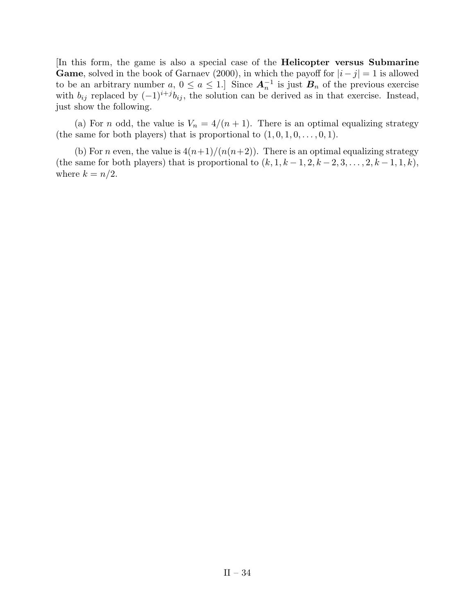[In this form, the game is also a special case of the **Helicopter versus Submarine Game**, solved in the book of Garnaev (2000), in which the payoff for  $|i - j| = 1$  is allowed to be an arbitrary number  $a, 0 \le a \le 1$ . Since  $A_n^{-1}$  is just  $B_n$  of the previous exercise with  $b_{ij}$  replaced by  $(-1)^{i+j} b_{ij}$ , the solution can be derived as in that exercise. Instead, just show the following.

(a) For n odd, the value is  $V_n = 4/(n+1)$ . There is an optimal equalizing strategy (the same for both players) that is proportional to  $(1, 0, 1, 0, \ldots, 0, 1)$ .

(b) For *n* even, the value is  $4(n+1)/(n(n+2))$ . There is an optimal equalizing strategy (the same for both players) that is proportional to  $(k, 1, k-1, 2, k-2, 3, \ldots, 2, k-1, 1, k)$ , where  $k = n/2$ .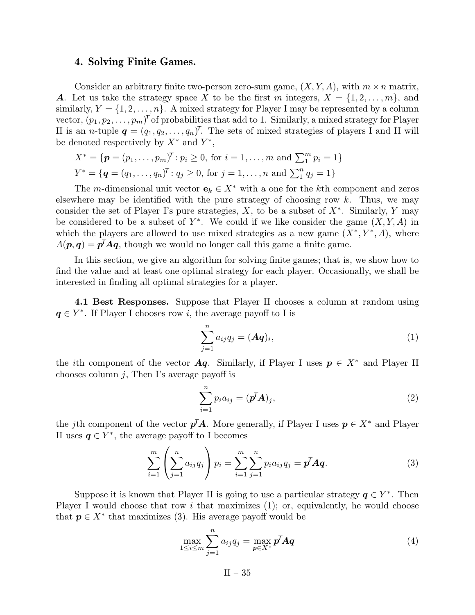#### **4. Solving Finite Games.**

Consider an arbitrary finite two-person zero-sum game,  $(X, Y, A)$ , with  $m \times n$  matrix, A. Let us take the strategy space X to be the first m integers,  $X = \{1, 2, ..., m\}$ , and similarly,  $Y = \{1, 2, ..., n\}$ . A mixed strategy for Player I may be represented by a column vector,  $(p_1, p_2, \ldots, p_m)$ <sup>T</sup> of probabilities that add to 1. Similarly, a mixed strategy for Player II is an *n*-tuple  $q = (q_1, q_2, \ldots, q_n)$ . The sets of mixed strategies of players I and II will be denoted respectively by  $X^*$  and  $Y^*$ ,

$$
X^* = \{ \mathbf{p} = (p_1, \dots, p_m)^T : p_i \ge 0, \text{ for } i = 1, \dots, m \text{ and } \sum_{1}^{m} p_i = 1 \}
$$
  

$$
Y^* = \{ \mathbf{q} = (q_1, \dots, q_n)^T : q_j \ge 0, \text{ for } j = 1, \dots, n \text{ and } \sum_{1}^{n} q_j = 1 \}
$$

The m-dimensional unit vector  $\mathbf{e}_k \in X^*$  with a one for the kth component and zeros elsewhere may be identified with the pure strategy of choosing row  $k$ . Thus, we may consider the set of Player I's pure strategies, X, to be a subset of  $X^*$ . Similarly, Y may be considered to be a subset of  $Y^*$ . We could if we like consider the game  $(X, Y, A)$  in which the players are allowed to use mixed strategies as a new game  $(X^*, Y^*, A)$ , where  $A(\mathbf{p}, \mathbf{q}) = \mathbf{p}^T A \mathbf{q}$ , though we would no longer call this game a finite game.

In this section, we give an algorithm for solving finite games; that is, we show how to find the value and at least one optimal strategy for each player. Occasionally, we shall be interested in finding all optimal strategies for a player.

**4.1 Best Responses.** Suppose that Player II chooses a column at random using  $q \in Y^*$ . If Player I chooses row *i*, the average payoff to I is

$$
\sum_{j=1}^{n} a_{ij} q_j = (Aq)_i,\tag{1}
$$

the *i*th component of the vector *Aq*. Similarly, if Player I uses  $p \in X^*$  and Player II chooses column  $j$ , Then I's average payoff is

$$
\sum_{i=1}^{n} p_i a_{ij} = (\boldsymbol{p}^T \mathbf{A})_j,\tag{2}
$$

the jth component of the vector  $p^{T}A$ . More generally, if Player I uses  $p \in X^*$  and Player II uses  $q \in Y^*$ , the average payoff to I becomes

$$
\sum_{i=1}^{m} \left( \sum_{j=1}^{n} a_{ij} q_j \right) p_i = \sum_{i=1}^{m} \sum_{j=1}^{n} p_i a_{ij} q_j = p^T A q.
$$
 (3)

Suppose it is known that Player II is going to use a particular strategy  $q \in Y^*$ . Then Player I would choose that row  $i$  that maximizes  $(1)$ ; or, equivalently, he would choose that  $p \in X^*$  that maximizes (3). His average payoff would be

$$
\max_{1 \le i \le m} \sum_{j=1}^{n} a_{ij} q_j = \max_{p \in X^*} p^T A q \tag{4}
$$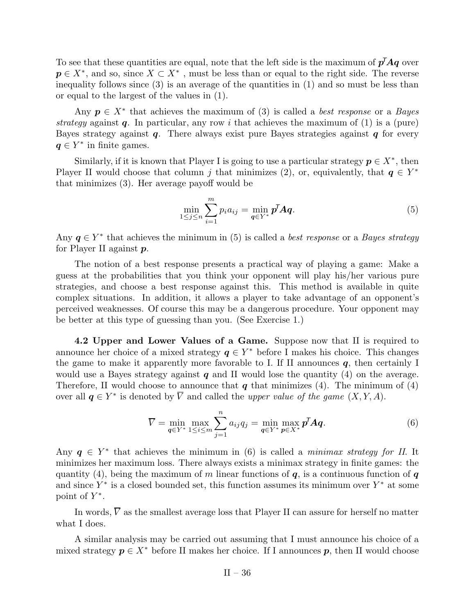To see that these quantities are equal, note that the left side is the maximum of  $p<sup>T</sup>Aq$  over  $p \in X^*$ , and so, since  $X \subset X^*$ , must be less than or equal to the right side. The reverse inequality follows since  $(3)$  is an average of the quantities in  $(1)$  and so must be less than or equal to the largest of the values in (1).

Any  $p \in X^*$  that achieves the maximum of (3) is called a *best response* or a *Bayes* strategy against  $q$ . In particular, any row i that achieves the maximum of (1) is a (pure) Bayes strategy against *q*. There always exist pure Bayes strategies against *q* for every  $q \in Y^*$  in finite games.

Similarly, if it is known that Player I is going to use a particular strategy  $p \in X^*$ , then Player II would choose that column j that minimizes (2), or, equivalently, that  $q \in Y^*$ that minimizes (3). Her average payoff would be

$$
\min_{1 \leq j \leq n} \sum_{i=1}^{m} p_i a_{ij} = \min_{\mathbf{q} \in Y^*} \mathbf{p}^T \mathbf{A} \mathbf{q}.
$$
\n(5)

Any  $q \in Y^*$  that achieves the minimum in (5) is called a *best response* or a *Bayes strategy* for Player II against *p*.

The notion of a best response presents a practical way of playing a game: Make a guess at the probabilities that you think your opponent will play his/her various pure strategies, and choose a best response against this. This method is available in quite complex situations. In addition, it allows a player to take advantage of an opponent's perceived weaknesses. Of course this may be a dangerous procedure. Your opponent may be better at this type of guessing than you. (See Exercise 1.)

**4.2 Upper and Lower Values of a Game.** Suppose now that II is required to announce her choice of a mixed strategy  $q \in Y^*$  before I makes his choice. This changes the game to make it apparently more favorable to I. If II announces  $q$ , then certainly I would use a Bayes strategy against  $q$  and II would lose the quantity  $(4)$  on the average. Therefore, II would choose to announce that  $q$  that minimizes (4). The minimum of (4) over all  $q \in Y^*$  is denoted by  $\overline{V}$  and called the *upper value of the game*  $(X, Y, A)$ .

$$
\overline{V} = \min_{\boldsymbol{q} \in Y^*} \max_{1 \le i \le m} \sum_{j=1}^n a_{ij} q_j = \min_{\boldsymbol{q} \in Y^*} \max_{\boldsymbol{p} \in X^*} \boldsymbol{p}^T \boldsymbol{A} \boldsymbol{q}.
$$
 (6)

Any  $q \in Y^*$  that achieves the minimum in (6) is called a *minimax strategy for II*. It minimizes her maximum loss. There always exists a minimax strategy in finite games: the quantity (4), being the maximum of m linear functions of  $q$ , is a continuous function of  $q$ and since  $Y^*$  is a closed bounded set, this function assumes its minimum over  $Y^*$  at some point of  $Y^*$ .

In words,  $\overline{V}$  as the smallest average loss that Player II can assure for herself no matter what I does.

A similar analysis may be carried out assuming that I must announce his choice of a mixed strategy  $p \in X^*$  before II makes her choice. If I announces p, then II would choose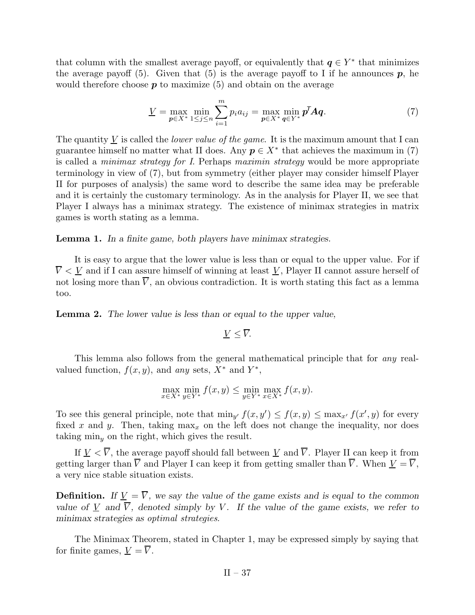that column with the smallest average payoff, or equivalently that  $q \in Y^*$  that minimizes the average payoff (5). Given that (5) is the average payoff to I if he announces  $p$ , he would therefore choose  $p$  to maximize  $(5)$  and obtain on the average

$$
\underline{V} = \max_{p \in X^*} \min_{1 \le j \le n} \sum_{i=1}^m p_i a_{ij} = \max_{p \in X^*} \min_{q \in Y^*} p^T A q. \tag{7}
$$

The quantity  $\underline{V}$  is called the *lower value of the game*. It is the maximum amount that I can guarantee himself no matter what II does. Any  $p \in X^*$  that achieves the maximum in (7) is called a minimax strategy for I. Perhaps maximin strategy would be more appropriate terminology in view of (7), but from symmetry (either player may consider himself Player II for purposes of analysis) the same word to describe the same idea may be preferable and it is certainly the customary terminology. As in the analysis for Player II, we see that Player I always has a minimax strategy. The existence of minimax strategies in matrix games is worth stating as a lemma.

**Lemma 1.** *In a finite game, both players have minimax strategies.*

It is easy to argue that the lower value is less than or equal to the upper value. For if  $\overline{V} < \underline{V}$  and if I can assure himself of winning at least  $\underline{V}$ , Player II cannot assure herself of not losing more than  $\overline{V}$ , an obvious contradiction. It is worth stating this fact as a lemma too.

**Lemma 2.** *The lower value is less than or equal to the upper value,*

 $V < \overline{V}$ .

This lemma also follows from the general mathematical principle that for *any* realvalued function,  $f(x, y)$ , and any sets,  $X^*$  and  $Y^*$ ,

$$
\max_{x \in X^*} \min_{y \in Y^*} f(x, y) \le \min_{y \in Y^*} \max_{x \in X^*} f(x, y).
$$

To see this general principle, note that  $\min_{y'} f(x, y') \leq f(x, y) \leq \max_{x'} f(x', y)$  for every fixed x and y. Then, taking  $\max_x$  on the left does not change the inequality, nor does taking  $\min_{y}$  on the right, which gives the result.

If  $\underline{V} < \overline{V}$ , the average payoff should fall between  $\underline{V}$  and  $\overline{V}$ . Player II can keep it from getting larger than  $\overline{V}$  and Player I can keep it from getting smaller than  $\overline{V}$ . When  $V = \overline{V}$ , a very nice stable situation exists.

**Definition.** If  $\underline{V} = \overline{V}$ , we say the value of the game exists and is equal to the common *value of*  $\underline{V}$  *and*  $\overline{V}$ *, denoted simply by V. If the value of the game exists, we refer to minimax strategies as* optimal strategies*.*

The Minimax Theorem, stated in Chapter 1, may be expressed simply by saying that for finite games,  $\underline{V} = \overline{V}$ .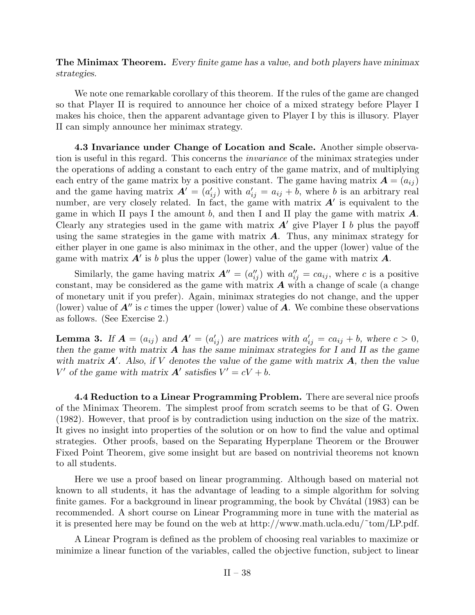**The Minimax Theorem.** *Every finite game has a value, and both players have minimax strategies.*

We note one remarkable corollary of this theorem. If the rules of the game are changed so that Player II is required to announce her choice of a mixed strategy before Player I makes his choice, then the apparent advantage given to Player I by this is illusory. Player II can simply announce her minimax strategy.

**4.3 Invariance under Change of Location and Scale.** Another simple observation is useful in this regard. This concerns the invariance of the minimax strategies under the operations of adding a constant to each entry of the game matrix, and of multiplying each entry of the game matrix by a positive constant. The game having matrix  $\mathbf{A} = (a_{ij})$ and the game having matrix  $A' = (a'_{ij})$  with  $a'_{ij} = a_{ij} + b$ , where b is an arbitrary real number, are very closely related. In fact, the game with matrix  $A'$  is equivalent to the game in which II pays I the amount  $b$ , and then I and II play the game with matrix  $\boldsymbol{A}$ . Clearly any strategies used in the game with matrix A' give Player I b plus the payoff using the same strategies in the game with matrix *A*. Thus, any minimax strategy for either player in one game is also minimax in the other, and the upper (lower) value of the game with matrix  $A'$  is b plus the upper (lower) value of the game with matrix  $A$ .

Similarly, the game having matrix  $A'' = (a_{ij}'')$  with  $a_{ij}'' = ca_{ij}$ , where c is a positive constant, may be considered as the game with matrix *A* with a change of scale (a change of monetary unit if you prefer). Again, minimax strategies do not change, and the upper (lower) value of  $A''$  is c times the upper (lower) value of  $A$ . We combine these observations as follows. (See Exercise 2.)

**Lemma 3.** If  $A = (a_{ij})$  and  $A' = (a'_{ij})$  are matrices with  $a'_{ij} = ca_{ij} + b$ , where  $c > 0$ , *then the game with matrix A has the same minimax strategies for I and II as the game with matrix A . Also, if* V *denotes the value of the game with matrix A, then the value* V' of the game with matrix  $\mathbf{A}'$  satisfies  $V' = cV + b$ .

**4.4 Reduction to a Linear Programming Problem.** There are several nice proofs of the Minimax Theorem. The simplest proof from scratch seems to be that of G. Owen (1982). However, that proof is by contradiction using induction on the size of the matrix. It gives no insight into properties of the solution or on how to find the value and optimal strategies. Other proofs, based on the Separating Hyperplane Theorem or the Brouwer Fixed Point Theorem, give some insight but are based on nontrivial theorems not known to all students.

Here we use a proof based on linear programming. Although based on material not known to all students, it has the advantage of leading to a simple algorithm for solving finite games. For a background in linear programming, the book by Chvátal (1983) can be recommended. A short course on Linear Programming more in tune with the material as it is presented here may be found on the web at http://www.math.ucla.edu/˜tom/LP.pdf.

A Linear Program is defined as the problem of choosing real variables to maximize or minimize a linear function of the variables, called the objective function, subject to linear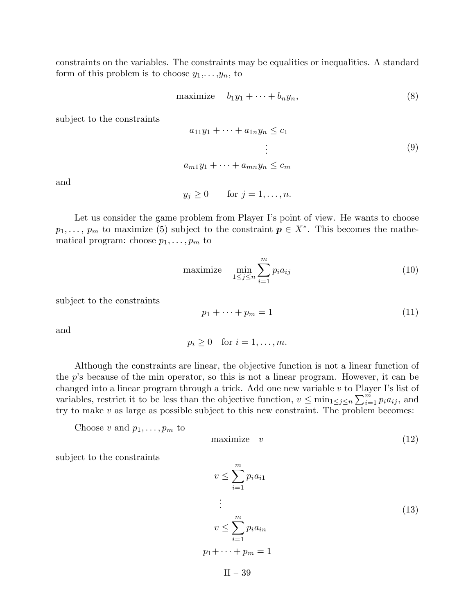constraints on the variables. The constraints may be equalities or inequalities. A standard form of this problem is to choose  $y_1, \ldots, y_n$ , to

$$
\text{maximize} \quad b_1 y_1 + \dots + b_n y_n,\tag{8}
$$

subject to the constraints

$$
a_{11}y_1 + \dots + a_{1n}y_n \le c_1
$$
  

$$
\vdots
$$
  

$$
a_{m1}y_1 + \dots + a_{mn}y_n \le c_m
$$
  
(9)

and

 $y_j \geq 0$  for  $j = 1, \ldots, n$ .

Let us consider the game problem from Player I's point of view. He wants to choose  $p_1, \ldots, p_m$  to maximize (5) subject to the constraint  $p \in X^*$ . This becomes the mathematical program: choose  $p_1, \ldots, p_m$  to

$$
\text{maximize} \quad \min_{1 \le j \le n} \sum_{i=1}^{m} p_i a_{ij} \tag{10}
$$

subject to the constraints

$$
p_1 + \dots + p_m = 1 \tag{11}
$$

and

 $p_i > 0$  for  $i = 1, ..., m$ .

Although the constraints are linear, the objective function is not a linear function of the  $p$ 's because of the min operator, so this is not a linear program. However, it can be changed into a linear program through a trick. Add one new variable  $v$  to Player I's list of variables, restrict it to be less than the objective function,  $v \leq \min_{1 \leq j \leq n} \sum_{i=1}^{m} p_i a_{ij}$ , and try to make  $v$  as large as possible subject to this new constraint. The problem becomes:

Choose v and  $p_1, \ldots, p_m$  to

$$
\begin{array}{ll}\text{maximize} & v \end{array} \tag{12}
$$

subject to the constraints

 $v \leq \sum$ m  $i=1$  $p_i a_{i1}$ . . .  $v \leq \sum$ m  $i=1$  $p_i a_{in}$  $p_1 + \cdots + p_m = 1$ (13) II – 39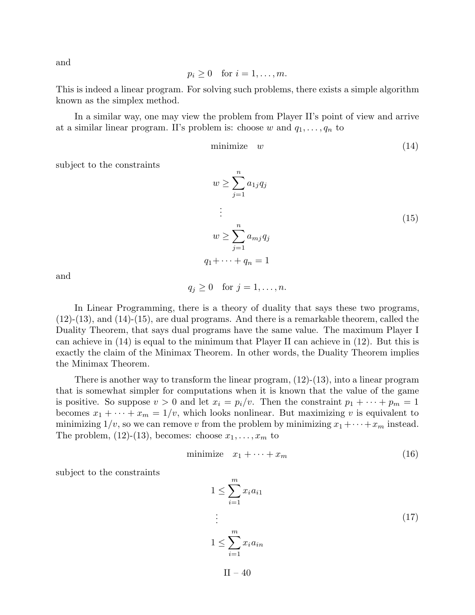and

$$
p_i \ge 0 \quad \text{for } i = 1, \dots, m.
$$

This is indeed a linear program. For solving such problems, there exists a simple algorithm known as the simplex method.

In a similar way, one may view the problem from Player II's point of view and arrive at a similar linear program. II's problem is: choose w and  $q_1, \ldots, q_n$  to

$$
minimize \t w \t(14)
$$

subject to the constraints

$$
w \ge \sum_{j=1}^{n} a_{1j} q_j
$$
  
\n
$$
\vdots
$$
  
\n
$$
w \ge \sum_{j=1}^{n} a_{mj} q_j
$$
  
\n
$$
q_1 + \dots + q_n = 1
$$
\n(15)

and

In Linear Programming, there is a theory of duality that says these two programs, 
$$
(12)-(13)
$$
, and  $(14)-(15)$ , are dual programs. And there is a remarkable theorem, called the Duality Theorem, that says dual programs have the same value. The maximum Player I can achieve in (14) is equal to the minimum that Player II can achieve in (12). But this is exactly the claim of the Minimax Theorem. In other words, the Duality Theorem implies the Minimax Theorem.

 $q_j \geq 0$  for  $j = 1, \ldots, n$ .

There is another way to transform the linear program, (12)-(13), into a linear program that is somewhat simpler for computations when it is known that the value of the game is positive. So suppose  $v > 0$  and let  $x_i = p_i/v$ . Then the constraint  $p_1 + \cdots + p_m = 1$ becomes  $x_1 + \cdots + x_m = 1/v$ , which looks nonlinear. But maximizing v is equivalent to minimizing  $1/v$ , so we can remove v from the problem by minimizing  $x_1 + \cdots + x_m$  instead. The problem, (12)-(13), becomes: choose  $x_1, \ldots, x_m$  to

$$
\text{minimize} \quad x_1 + \dots + x_m \tag{16}
$$

subject to the constraints

$$
1 \le \sum_{i=1}^{m} x_i a_{i1}
$$
  
\n
$$
\vdots
$$
  
\n
$$
1 \le \sum_{i=1}^{m} x_i a_{in}
$$
  
\n(17)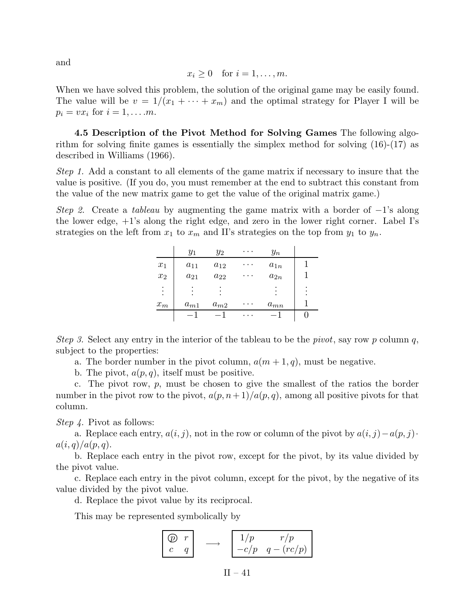$$
x_i \ge 0 \quad \text{for } i = 1, \dots, m.
$$

When we have solved this problem, the solution of the original game may be easily found. The value will be  $v = 1/(x_1 + \cdots + x_m)$  and the optimal strategy for Player I will be  $p_i = vx_i$  for  $i = 1, \ldots m$ .

**4.5 Description of the Pivot Method for Solving Games** The following algorithm for solving finite games is essentially the simplex method for solving  $(16)-(17)$  as described in Williams (1966).

Step 1. Add a constant to all elements of the game matrix if necessary to insure that the value is positive. (If you do, you must remember at the end to subtract this constant from the value of the new matrix game to get the value of the original matrix game.)

Step 2. Create a tableau by augmenting the game matrix with a border of  $-1$ 's along the lower edge, +1's along the right edge, and zero in the lower right corner. Label I's strategies on the left from  $x_1$  to  $x_m$  and II's strategies on the top from  $y_1$  to  $y_n$ .

|          | $y_1$    | $y_2$    | . | $y_n$    |   |
|----------|----------|----------|---|----------|---|
| $x_1$    | $a_{11}$ | $a_{12}$ |   | $a_{1n}$ |   |
| $x_2$    | $a_{21}$ | $a_{22}$ |   | $a_{2n}$ |   |
| $\vdots$ | ٠        |          |   |          | ٠ |
| $x_m$    | $a_{m1}$ | $a_{m2}$ |   | $a_{mn}$ |   |
|          |          |          |   |          |   |

Step 3. Select any entry in the interior of the tableau to be the *pivot*, say row p column q, subject to the properties:

a. The border number in the pivot column,  $a(m+1, q)$ , must be negative.

b. The pivot,  $a(p,q)$ , itself must be positive.

c. The pivot row,  $p$ , must be chosen to give the smallest of the ratios the border number in the pivot row to the pivot,  $a(p, n+1)/a(p, q)$ , among all positive pivots for that column.

Step 4. Pivot as follows:

a. Replace each entry,  $a(i, j)$ , not in the row or column of the pivot by  $a(i, j) - a(p, j)$ ·  $a(i,q)/a(p,q)$ .

b. Replace each entry in the pivot row, except for the pivot, by its value divided by the pivot value.

c. Replace each entry in the pivot column, except for the pivot, by the negative of its value divided by the pivot value.

d. Replace the pivot value by its reciprocal.

This may be represented symbolically by

$$
\begin{array}{|c|c|c|c|c|c|}\n\hline\n\mathcal{D} & r & & 1/p & r/p \\
c & q & & -c/p & q - (rc/p) \\
\hline\n\end{array}
$$

 $II - 41$ 

and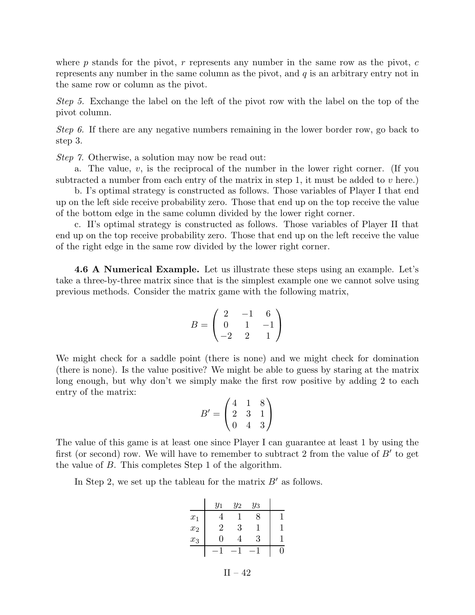where p stands for the pivot, r represents any number in the same row as the pivot,  $c$ represents any number in the same column as the pivot, and  $q$  is an arbitrary entry not in the same row or column as the pivot.

Step 5. Exchange the label on the left of the pivot row with the label on the top of the pivot column.

Step 6. If there are any negative numbers remaining in the lower border row, go back to step 3.

Step 7. Otherwise, a solution may now be read out:

a. The value,  $v$ , is the reciprocal of the number in the lower right corner. (If you subtracted a number from each entry of the matrix in step 1, it must be added to  $v$  here.)

b. I's optimal strategy is constructed as follows. Those variables of Player I that end up on the left side receive probability zero. Those that end up on the top receive the value of the bottom edge in the same column divided by the lower right corner.

c. II's optimal strategy is constructed as follows. Those variables of Player II that end up on the top receive probability zero. Those that end up on the left receive the value of the right edge in the same row divided by the lower right corner.

**4.6 A Numerical Example.** Let us illustrate these steps using an example. Let's take a three-by-three matrix since that is the simplest example one we cannot solve using previous methods. Consider the matrix game with the following matrix,

$$
B = \begin{pmatrix} 2 & -1 & 6 \\ 0 & 1 & -1 \\ -2 & 2 & 1 \end{pmatrix}
$$

We might check for a saddle point (there is none) and we might check for domination (there is none). Is the value positive? We might be able to guess by staring at the matrix long enough, but why don't we simply make the first row positive by adding 2 to each entry of the matrix:

$$
B' = \begin{pmatrix} 4 & 1 & 8 \\ 2 & 3 & 1 \\ 0 & 4 & 3 \end{pmatrix}
$$

The value of this game is at least one since Player I can guarantee at least 1 by using the first (or second) row. We will have to remember to subtract 2 from the value of  $B'$  to get the value of B. This completes Step 1 of the algorithm.

In Step 2, we set up the tableau for the matrix  $B'$  as follows.

|       | $y_1$ | $y_2$ | $y_3$ |  |
|-------|-------|-------|-------|--|
| $x_1$ |       |       | 8     |  |
| $x_2$ | 2     | 3     |       |  |
| $x_3$ | 0     |       | 3     |  |
|       |       |       |       |  |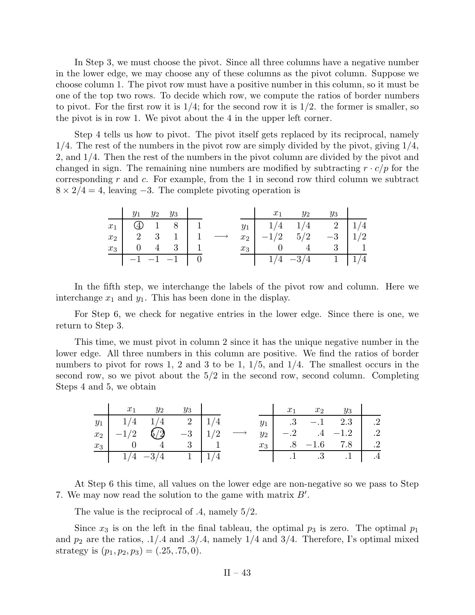In Step 3, we must choose the pivot. Since all three columns have a negative number in the lower edge, we may choose any of these columns as the pivot column. Suppose we choose column 1. The pivot row must have a positive number in this column, so it must be one of the top two rows. To decide which row, we compute the ratios of border numbers to pivot. For the first row it is  $1/4$ ; for the second row it is  $1/2$ , the former is smaller, so the pivot is in row 1. We pivot about the 4 in the upper left corner.

Step 4 tells us how to pivot. The pivot itself gets replaced by its reciprocal, namely  $1/4$ . The rest of the numbers in the pivot row are simply divided by the pivot, giving  $1/4$ , 2, and 1/4. Then the rest of the numbers in the pivot column are divided by the pivot and changed in sign. The remaining nine numbers are modified by subtracting  $r \cdot c/p$  for the corresponding r and c. For example, from the 1 in second row third column we subtract  $8 \times 2/4 = 4$ , leaving  $-3$ . The complete pivoting operation is

|                    | $y_1$ $y_2$ $y_3$ |  |                                                                                                         | $x_1$ $y_2$ $y_3$ |  |
|--------------------|-------------------|--|---------------------------------------------------------------------------------------------------------|-------------------|--|
| $x_1$ 4 1 8 1      |                   |  | $\begin{array}{c ccccc}\n\hline\ny_1 & 1/4 & 1/4 & 2 & 1/4 \\ x_2 & -1/2 & 5/2 & -3 & 1/2\n\end{array}$ |                   |  |
| $x_2$   2 3 1      |                   |  |                                                                                                         |                   |  |
|                    |                   |  | $x_3$   0 4 3   1 $x_3$   0 4 3   1                                                                     |                   |  |
| $-1$ $-1$ $-1$ $0$ |                   |  | $1/4$ $-3/4$ $1\overline{1/4}$                                                                          |                   |  |

In the fifth step, we interchange the labels of the pivot row and column. Here we interchange  $x_1$  and  $y_1$ . This has been done in the display.

For Step 6, we check for negative entries in the lower edge. Since there is one, we return to Step 3.

This time, we must pivot in column 2 since it has the unique negative number in the lower edge. All three numbers in this column are positive. We find the ratios of border numbers to pivot for rows 1, 2 and 3 to be 1,  $1/5$ , and  $1/4$ . The smallest occurs in the second row, so we pivot about the  $5/2$  in the second row, second column. Completing Steps 4 and 5, we obtain

|                                                                                                               | $x_1$ $y_2$ $y_3$ |  |       |  | $x_1$ $x_2$ $y_3$      |  |
|---------------------------------------------------------------------------------------------------------------|-------------------|--|-------|--|------------------------|--|
| $y_1$ $1/4$ $1/4$ $2$ $1/4$                                                                                   |                   |  |       |  | $y_1$ 3 - 1 2.3 3      |  |
| $\begin{array}{ c c c c c c c c } \hline \rule{0pt}{1ex} & -1/2 & \text{(1)} & -3 & 1/2 \ \hline \end{array}$ |                   |  | $y_2$ |  | $-.2$ $.4$ $-1.2$ $.2$ |  |
| $x_3$ 0 4 3 1 $x_3$ 8 -1.6 7.8 2                                                                              |                   |  |       |  |                        |  |
| $1/4$ $-3/4$ $1$ $1/4$                                                                                        |                   |  |       |  | $.1 \t .3 \t .1 \t .4$ |  |

At Step 6 this time, all values on the lower edge are non-negative so we pass to Step 7. We may now read the solution to the game with matrix  $B'$ .

The value is the reciprocal of .4, namely 5/2.

Since  $x_3$  is on the left in the final tableau, the optimal  $p_3$  is zero. The optimal  $p_1$ and  $p_2$  are the ratios, .1/.4 and .3/.4, namely 1/4 and 3/4. Therefore, I's optimal mixed strategy is  $(p_1, p_2, p_3) = (.25, .75, 0).$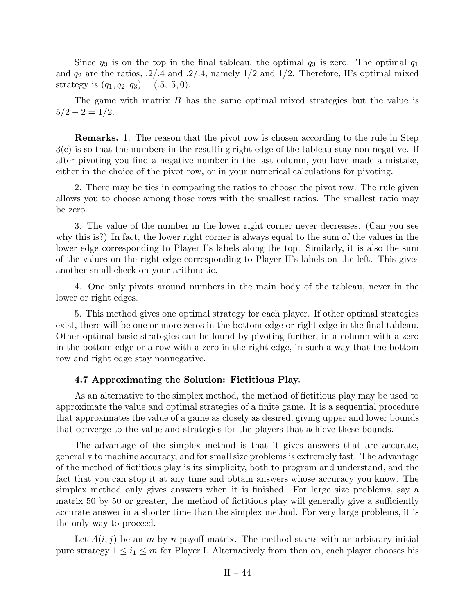Since  $y_3$  is on the top in the final tableau, the optimal  $q_3$  is zero. The optimal  $q_1$ and  $q_2$  are the ratios, .2/.4 and .2/.4, namely 1/2 and 1/2. Therefore, II's optimal mixed strategy is  $(q_1, q_2, q_3) = (.5, .5, 0).$ 

The game with matrix B has the same optimal mixed strategies but the value is  $5/2 - 2 = 1/2$ .

**Remarks.** 1. The reason that the pivot row is chosen according to the rule in Step 3(c) is so that the numbers in the resulting right edge of the tableau stay non-negative. If after pivoting you find a negative number in the last column, you have made a mistake, either in the choice of the pivot row, or in your numerical calculations for pivoting.

2. There may be ties in comparing the ratios to choose the pivot row. The rule given allows you to choose among those rows with the smallest ratios. The smallest ratio may be zero.

3. The value of the number in the lower right corner never decreases. (Can you see why this is?) In fact, the lower right corner is always equal to the sum of the values in the lower edge corresponding to Player I's labels along the top. Similarly, it is also the sum of the values on the right edge corresponding to Player II's labels on the left. This gives another small check on your arithmetic.

4. One only pivots around numbers in the main body of the tableau, never in the lower or right edges.

5. This method gives one optimal strategy for each player. If other optimal strategies exist, there will be one or more zeros in the bottom edge or right edge in the final tableau. Other optimal basic strategies can be found by pivoting further, in a column with a zero in the bottom edge or a row with a zero in the right edge, in such a way that the bottom row and right edge stay nonnegative.

### **4.7 Approximating the Solution: Fictitious Play.**

As an alternative to the simplex method, the method of fictitious play may be used to approximate the value and optimal strategies of a finite game. It is a sequential procedure that approximates the value of a game as closely as desired, giving upper and lower bounds that converge to the value and strategies for the players that achieve these bounds.

The advantage of the simplex method is that it gives answers that are accurate, generally to machine accuracy, and for small size problems is extremely fast. The advantage of the method of fictitious play is its simplicity, both to program and understand, and the fact that you can stop it at any time and obtain answers whose accuracy you know. The simplex method only gives answers when it is finished. For large size problems, say a matrix 50 by 50 or greater, the method of fictitious play will generally give a sufficiently accurate answer in a shorter time than the simplex method. For very large problems, it is the only way to proceed.

Let  $A(i, j)$  be an m by n payoff matrix. The method starts with an arbitrary initial pure strategy  $1 \leq i_1 \leq m$  for Player I. Alternatively from then on, each player chooses his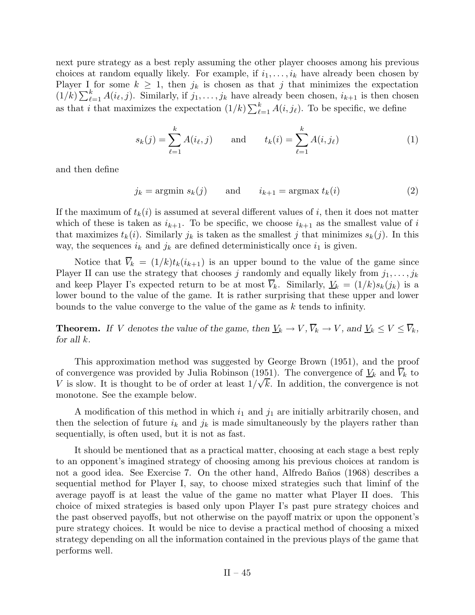next pure strategy as a best reply assuming the other player chooses among his previous choices at random equally likely. For example, if  $i_1,\ldots,i_k$  have already been chosen by Player I for some  $k \geq 1$ , then  $j_k$  is chosen as that j that minimizes the expectation  $(1/k)\sum_{\ell=1}^k A(i_\ell, j)$ . Similarly, if  $j_1, \ldots, j_k$  have already been chosen,  $i_{k+1}$  is then chosen as that *i* that maximizes the expectation  $(1/k)\sum_{\ell=1}^{k} A(i, j_{\ell})$ . To be specific, we define

$$
s_k(j) = \sum_{\ell=1}^k A(i_\ell, j) \quad \text{and} \quad t_k(i) = \sum_{\ell=1}^k A(i, j_\ell) \tag{1}
$$

and then define

 $j_k = \text{argmin } s_k(j)$  and  $i_{k+1} = \text{argmax } t_k(i)$  (2)

If the maximum of  $t_k(i)$  is assumed at several different values of i, then it does not matter which of these is taken as  $i_{k+1}$ . To be specific, we choose  $i_{k+1}$  as the smallest value of i that maximizes  $t_k(i)$ . Similarly  $j_k$  is taken as the smallest j that minimizes  $s_k(j)$ . In this way, the sequences  $i_k$  and  $j_k$  are defined deterministically once  $i_1$  is given.

Notice that  $\overline{V}_k = (1/k)t_k(i_{k+1})$  is an upper bound to the value of the game since Player II can use the strategy that chooses j randomly and equally likely from  $j_1, \ldots, j_k$ and keep Player I's expected return to be at most  $\overline{V}_k$ . Similarly,  $\underline{V}_k = (1/k)s_k(j_k)$  is a lower bound to the value of the game. It is rather surprising that these upper and lower bounds to the value converge to the value of the game as k tends to infinity.

**Theorem.** If V denotes the value of the game, then  $\underline{V}_k \to V$ ,  $\overline{V}_k \to V$ , and  $\underline{V}_k \leq V \leq \overline{V}_k$ , *for all* k*.*

This approximation method was suggested by George Brown (1951), and the proof of convergence was provided by Julia Robinson (1951). The convergence of  $\underline{V}_k$  and  $\overline{V}_k$  to V is slow. It is thought to be of order at least  $1/\sqrt{k}$ . In addition, the convergence is not monotone. See the example below.

A modification of this method in which  $i_1$  and  $j_1$  are initially arbitrarily chosen, and then the selection of future  $i_k$  and  $j_k$  is made simultaneously by the players rather than sequentially, is often used, but it is not as fast.

It should be mentioned that as a practical matter, choosing at each stage a best reply to an opponent's imagined strategy of choosing among his previous choices at random is not a good idea. See Exercise 7. On the other hand, Alfredo Baños (1968) describes a sequential method for Player I, say, to choose mixed strategies such that liminf of the average payoff is at least the value of the game no matter what Player II does. This choice of mixed strategies is based only upon Player I's past pure strategy choices and the past observed payoffs, but not otherwise on the payoff matrix or upon the opponent's pure strategy choices. It would be nice to devise a practical method of choosing a mixed strategy depending on all the information contained in the previous plays of the game that performs well.

 $II - 45$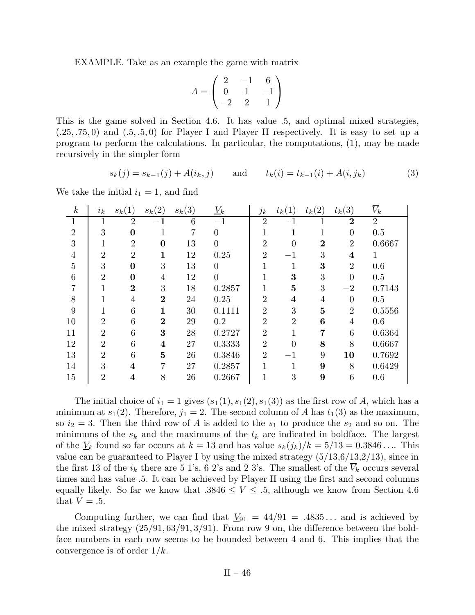EXAMPLE. Take as an example the game with matrix

$$
A = \begin{pmatrix} 2 & -1 & 6 \\ 0 & 1 & -1 \\ -2 & 2 & 1 \end{pmatrix}
$$

This is the game solved in Section 4.6. It has value .5, and optimal mixed strategies,  $(.25, .75, 0)$  and  $(.5, .5, 0)$  for Player I and Player II respectively. It is easy to set up a program to perform the calculations. In particular, the computations, (1), may be made recursively in the simpler form

$$
s_k(j) = s_{k-1}(j) + A(i_k, j) \qquad \text{and} \qquad t_k(i) = t_{k-1}(i) + A(i, j_k) \tag{3}
$$

We take the initial  $i_1 = 1$ , and find

| $\boldsymbol{k}$ | $i_k$          | $s_k(1)$                    | $s_k(2)$       | $s_k(3)$ | $V_k$          | $\jmath_k$                  | $t_k(1)$                | $t_k(2)$       | $t_k(3)$       | $V_k\,$        |
|------------------|----------------|-----------------------------|----------------|----------|----------------|-----------------------------|-------------------------|----------------|----------------|----------------|
|                  |                | $\overline{2}$              | $-1$           | 6        | $-1$           | $\overline{2}$              |                         |                | $\bf{2}$       | $\overline{2}$ |
| $\overline{2}$   | 3              | $\boldsymbol{0}$            |                | 7        | $\theta$       |                             |                         |                | $\overline{0}$ | 0.5            |
| 3                |                | $\overline{2}$              | 0              | 13       | $\overline{0}$ | $\overline{2}$              | $\theta$                | $\overline{2}$ | $\overline{2}$ | 0.6667         |
| 4                | $\overline{2}$ | $\mathcal{D}_{\mathcal{L}}$ |                | 12       | 0.25           | $\overline{2}$              |                         | 3              | 4              |                |
| 5                | 3              | $\boldsymbol{0}$            | 3              | 13       | $\theta$       |                             |                         | 3              | $\overline{2}$ | 0.6            |
| 6                | $\overline{2}$ | 0                           | 4              | 12       | $\overline{0}$ |                             | 3                       | 3              | $\overline{0}$ | 0.5            |
|                  |                | $\overline{2}$              | 3              | 18       | 0.2857         |                             | 5                       | 3              | $-2$           | 0.7143         |
| 8                |                | 4                           | $\bf{2}$       | 24       | 0.25           | $\overline{2}$              | $\overline{\mathbf{4}}$ | 4              | $\theta$       | 0.5            |
| 9                |                | 6                           | 1              | 30       | 0.1111         | $\mathcal{D}_{\mathcal{L}}$ | 3                       | $\overline{5}$ | $\overline{2}$ | 0.5556         |
| 10               | $\overline{2}$ | 6                           | $\overline{2}$ | 29       | 0.2            | $\overline{2}$              | $\overline{2}$          | 6              | $\overline{4}$ | 0.6            |
| 11               | $\overline{2}$ | $6\phantom{.}6$             | 3              | 28       | 0.2727         | $\overline{2}$              |                         | 7              | 6              | 0.6364         |
| 12               | $\overline{2}$ | 6                           | 4              | 27       | 0.3333         | $\overline{2}$              | $\Omega$                | 8              | 8              | 0.6667         |
| 13               | $\overline{2}$ | 6                           | 5              | 26       | 0.3846         | $\overline{2}$              |                         | 9              | 10             | 0.7692         |
| 14               | 3              | 4                           |                | 27       | 0.2857         |                             |                         | 9              | 8              | 0.6429         |
| 15               | $\overline{2}$ | 4                           | 8              | 26       | 0.2667         |                             | 3                       | 9              | 6              | 0.6            |

The initial choice of  $i_1 = 1$  gives  $(s_1(1), s_1(2), s_1(3))$  as the first row of A, which has a minimum at  $s_1(2)$ . Therefore,  $j_1 = 2$ . The second column of A has  $t_1(3)$  as the maximum, so  $i_2 = 3$ . Then the third row of A is added to the  $s_1$  to produce the  $s_2$  and so on. The minimums of the  $s_k$  and the maximums of the  $t_k$  are indicated in boldface. The largest of the  $\underline{V}_k$  found so far occurs at  $k = 13$  and has value  $s_k(j_k)/k = 5/13 = 0.3846...$  This value can be guaranteed to Player I by using the mixed strategy  $(5/13,6/13,2/13)$ , since in the first 13 of the  $i_k$  there are 5 1's, 6 2's and 2 3's. The smallest of the  $V_k$  occurs several times and has value .5. It can be achieved by Player II using the first and second columns equally likely. So far we know that  $.3846 \leq V \leq .5$ , although we know from Section 4.6 that  $V = .5$ .

Computing further, we can find that  $V_{91} = 44/91 = .4835...$  and is achieved by the mixed strategy  $(25/91, 63/91, 3/91)$ . From row 9 on, the difference between the boldface numbers in each row seems to be bounded between 4 and 6. This implies that the convergence is of order  $1/k$ .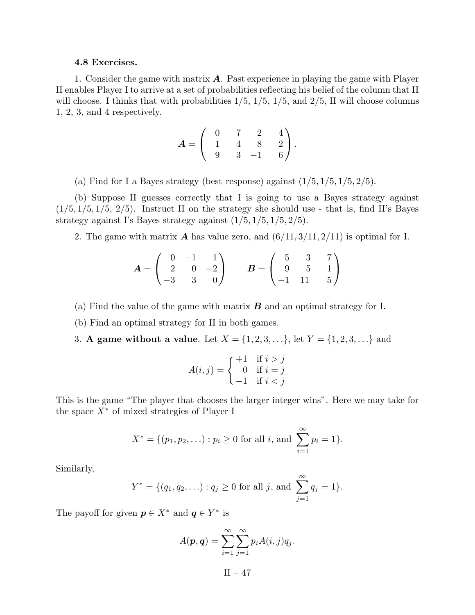#### **4.8 Exercises.**

1. Consider the game with matrix *A*. Past experience in playing the game with Player II enables Player I to arrive at a set of probabilities reflecting his belief of the column that II will choose. I thinks that with probabilities  $1/5$ ,  $1/5$ ,  $1/5$ , and  $2/5$ , II will choose columns 1, 2, 3, and 4 respectively.

$$
\mathbf{A} = \left( \begin{array}{rrrr} 0 & 7 & 2 & 4 \\ 1 & 4 & 8 & 2 \\ 9 & 3 & -1 & 6 \end{array} \right).
$$

(a) Find for I a Bayes strategy (best response) against  $(1/5, 1/5, 1/5, 2/5)$ .

(b) Suppose II guesses correctly that I is going to use a Bayes strategy against  $(1/5, 1/5, 1/5, 2/5)$ . Instruct II on the strategy she should use - that is, find II's Bayes strategy against I's Bayes strategy against  $(1/5, 1/5, 1/5, 2/5)$ .

2. The game with matrix  $\boldsymbol{A}$  has value zero, and  $(6/11, 3/11, 2/11)$  is optimal for I.

$$
\mathbf{A} = \begin{pmatrix} 0 & -1 & 1 \\ 2 & 0 & -2 \\ -3 & 3 & 0 \end{pmatrix} \qquad \mathbf{B} = \begin{pmatrix} 5 & 3 & 7 \\ 9 & 5 & 1 \\ -1 & 11 & 5 \end{pmatrix}
$$

- (a) Find the value of the game with matrix *B* and an optimal strategy for I.
- (b) Find an optimal strategy for II in both games.
- 3. **A game without a value**. Let  $X = \{1, 2, 3, ...\}$ , let  $Y = \{1, 2, 3, ...\}$  and

$$
A(i,j) = \begin{cases} +1 & \text{if } i > j \\ 0 & \text{if } i = j \\ -1 & \text{if } i < j \end{cases}
$$

This is the game "The player that chooses the larger integer wins". Here we may take for the space  $X^*$  of mixed strategies of Player I

$$
X^* = \{ (p_1, p_2, \ldots) : p_i \ge 0 \text{ for all } i, \text{ and } \sum_{i=1}^{\infty} p_i = 1 \}.
$$

Similarly,

$$
Y^* = \{(q_1, q_2, \ldots) : q_j \ge 0 \text{ for all } j, \text{ and } \sum_{j=1}^{\infty} q_j = 1\}.
$$

The payoff for given  $p \in X^*$  and  $q \in Y^*$  is

$$
A(\boldsymbol{p},\boldsymbol{q})=\sum_{i=1}^{\infty}\sum_{j=1}^{\infty}p_iA(i,j)q_j.
$$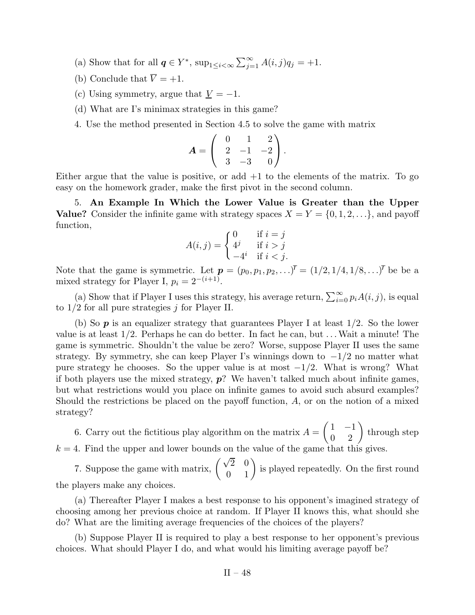- (a) Show that for all  $q \in Y^*$ ,  $\sup_{1 \leq i < \infty} \sum_{j=1}^{\infty} A(i, j) q_j = +1$ .
- (b) Conclude that  $\overline{V} = +1$ .
- (c) Using symmetry, argue that  $\underline{V} = -1$ .
- (d) What are I's minimax strategies in this game?
- 4. Use the method presented in Section 4.5 to solve the game with matrix

$$
\mathbf{A} = \left( \begin{array}{rrr} 0 & 1 & 2 \\ 2 & -1 & -2 \\ 3 & -3 & 0 \end{array} \right).
$$

Either argue that the value is positive, or add  $+1$  to the elements of the matrix. To go easy on the homework grader, make the first pivot in the second column.

5. **An Example In Which the Lower Value is Greater than the Upper Value?** Consider the infinite game with strategy spaces  $X = Y = \{0, 1, 2, \ldots\}$ , and payoff function,

$$
A(i,j) = \begin{cases} 0 & \text{if } i = j \\ 4^j & \text{if } i > j \\ -4^i & \text{if } i < j. \end{cases}
$$

Note that the game is symmetric. Let  $p = (p_0, p_1, p_2, \ldots)^{\mathsf{T}} = (1/2, 1/4, 1/8, \ldots)^{\mathsf{T}}$  be be a mixed strategy for Player I,  $p_i = 2^{-(i+1)}$ .

(a) Show that if Player I uses this strategy, his average return,  $\sum_{i=0}^{\infty} p_i A(i, j)$ , is equal to  $1/2$  for all pure strategies j for Player II.

(b) So  $p$  is an equalizer strategy that guarantees Player I at least  $1/2$ . So the lower value is at least  $1/2$ . Perhaps he can do better. In fact he can, but  $\dots$  Wait a minute! The game is symmetric. Shouldn't the value be zero? Worse, suppose Player II uses the same strategy. By symmetry, she can keep Player I's winnings down to  $-1/2$  no matter what pure strategy he chooses. So the upper value is at most  $-1/2$ . What is wrong? What if both players use the mixed strategy,  $p$ ? We haven't talked much about infinite games, but what restrictions would you place on infinite games to avoid such absurd examples? Should the restrictions be placed on the payoff function, A, or on the notion of a mixed strategy?

6. Carry out the fictitious play algorithm on the matrix  $A = \begin{pmatrix} 1 & -1 \\ 0 & 2 \end{pmatrix}$  through step  $k = 4$ . Find the upper and lower bounds on the value of the game that this gives.

7. Suppose the game with matrix,  $\begin{pmatrix} \sqrt{2} & 0 \\ 0 & 1 \end{pmatrix}$  is played repeatedly. On the first round the players make any choices.

(a) Thereafter Player I makes a best response to his opponent's imagined strategy of choosing among her previous choice at random. If Player II knows this, what should she do? What are the limiting average frequencies of the choices of the players?

(b) Suppose Player II is required to play a best response to her opponent's previous choices. What should Player I do, and what would his limiting average payoff be?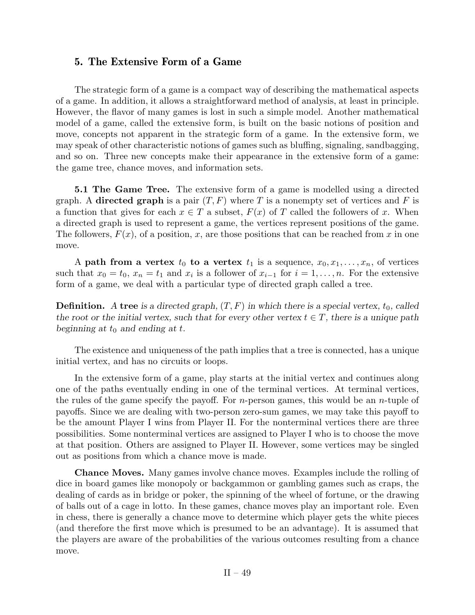# **5. The Extensive Form of a Game**

The strategic form of a game is a compact way of describing the mathematical aspects of a game. In addition, it allows a straightforward method of analysis, at least in principle. However, the flavor of many games is lost in such a simple model. Another mathematical model of a game, called the extensive form, is built on the basic notions of position and move, concepts not apparent in the strategic form of a game. In the extensive form, we may speak of other characteristic notions of games such as bluffing, signaling, sandbagging, and so on. Three new concepts make their appearance in the extensive form of a game: the game tree, chance moves, and information sets.

**5.1 The Game Tree.** The extensive form of a game is modelled using a directed graph. A **directed graph** is a pair  $(T, F)$  where T is a nonempty set of vertices and F is a function that gives for each  $x \in T$  a subset,  $F(x)$  of T called the followers of x. When a directed graph is used to represent a game, the vertices represent positions of the game. The followers,  $F(x)$ , of a position, x, are those positions that can be reached from x in one move.

A **path from a vertex**  $t_0$  **to a vertex**  $t_1$  is a sequence,  $x_0, x_1, \ldots, x_n$ , of vertices such that  $x_0 = t_0$ ,  $x_n = t_1$  and  $x_i$  is a follower of  $x_{i-1}$  for  $i = 1, \ldots, n$ . For the extensive form of a game, we deal with a particular type of directed graph called a tree.

**Definition.** A tree is a directed graph,  $(T, F)$  in which there is a special vertex,  $t_0$ , called *the root or the initial vertex, such that for every other vertex*  $t \in T$ *, there is a unique path beginning at*  $t_0$  *and ending at*  $t$ *.* 

The existence and uniqueness of the path implies that a tree is connected, has a unique initial vertex, and has no circuits or loops.

In the extensive form of a game, play starts at the initial vertex and continues along one of the paths eventually ending in one of the terminal vertices. At terminal vertices, the rules of the game specify the payoff. For *n*-person games, this would be an *n*-tuple of payoffs. Since we are dealing with two-person zero-sum games, we may take this payoff to be the amount Player I wins from Player II. For the nonterminal vertices there are three possibilities. Some nonterminal vertices are assigned to Player I who is to choose the move at that position. Others are assigned to Player II. However, some vertices may be singled out as positions from which a chance move is made.

**Chance Moves.** Many games involve chance moves. Examples include the rolling of dice in board games like monopoly or backgammon or gambling games such as craps, the dealing of cards as in bridge or poker, the spinning of the wheel of fortune, or the drawing of balls out of a cage in lotto. In these games, chance moves play an important role. Even in chess, there is generally a chance move to determine which player gets the white pieces (and therefore the first move which is presumed to be an advantage). It is assumed that the players are aware of the probabilities of the various outcomes resulting from a chance move.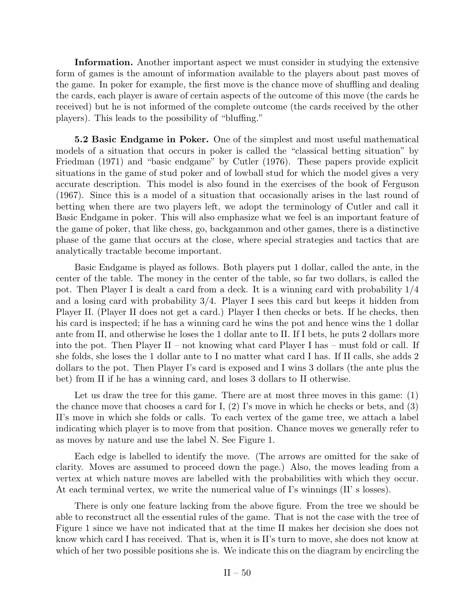**Information.** Another important aspect we must consider in studying the extensive form of games is the amount of information available to the players about past moves of the game. In poker for example, the first move is the chance move of shuffling and dealing the cards, each player is aware of certain aspects of the outcome of this move (the cards he received) but he is not informed of the complete outcome (the cards received by the other players). This leads to the possibility of "bluffing."

**5.2 Basic Endgame in Poker.** One of the simplest and most useful mathematical models of a situation that occurs in poker is called the "classical betting situation" by Friedman (1971) and "basic endgame" by Cutler (1976). These papers provide explicit situations in the game of stud poker and of lowball stud for which the model gives a very accurate description. This model is also found in the exercises of the book of Ferguson (1967). Since this is a model of a situation that occasionally arises in the last round of betting when there are two players left, we adopt the terminology of Cutler and call it Basic Endgame in poker. This will also emphasize what we feel is an important feature of the game of poker, that like chess, go, backgammon and other games, there is a distinctive phase of the game that occurs at the close, where special strategies and tactics that are analytically tractable become important.

Basic Endgame is played as follows. Both players put 1 dollar, called the ante, in the center of the table. The money in the center of the table, so far two dollars, is called the pot. Then Player I is dealt a card from a deck. It is a winning card with probability 1/4 and a losing card with probability 3/4. Player I sees this card but keeps it hidden from Player II. (Player II does not get a card.) Player I then checks or bets. If he checks, then his card is inspected; if he has a winning card he wins the pot and hence wins the 1 dollar ante from II, and otherwise he loses the 1 dollar ante to II. If I bets, he puts 2 dollars more into the pot. Then Player II – not knowing what card Player I has – must fold or call. If she folds, she loses the 1 dollar ante to I no matter what card I has. If II calls, she adds 2 dollars to the pot. Then Player I's card is exposed and I wins 3 dollars (the ante plus the bet) from II if he has a winning card, and loses 3 dollars to II otherwise.

Let us draw the tree for this game. There are at most three moves in this game: (1) the chance move that chooses a card for I,  $(2)$  I's move in which he checks or bets, and  $(3)$ II's move in which she folds or calls. To each vertex of the game tree, we attach a label indicating which player is to move from that position. Chance moves we generally refer to as moves by nature and use the label N. See Figure 1.

Each edge is labelled to identify the move. (The arrows are omitted for the sake of clarity. Moves are assumed to proceed down the page.) Also, the moves leading from a vertex at which nature moves are labelled with the probabilities with which they occur. At each terminal vertex, we write the numerical value of I's winnings (II' s losses).

There is only one feature lacking from the above figure. From the tree we should be able to reconstruct all the essential rules of the game. That is not the case with the tree of Figure 1 since we have not indicated that at the time II makes her decision she does not know which card I has received. That is, when it is II's turn to move, she does not know at which of her two possible positions she is. We indicate this on the diagram by encircling the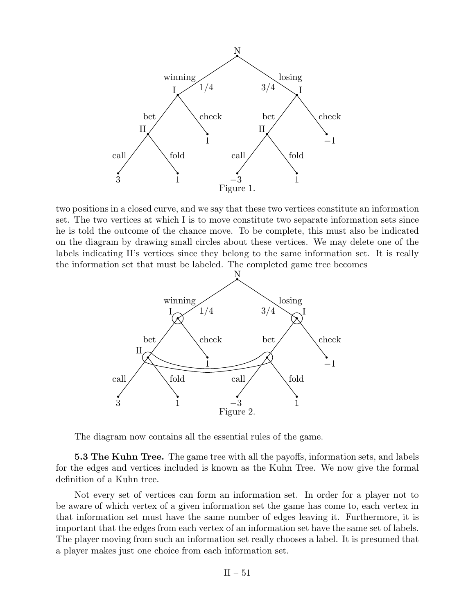

two positions in a closed curve, and we say that these two vertices constitute an information set. The two vertices at which I is to move constitute two separate information sets since he is told the outcome of the chance move. To be complete, this must also be indicated on the diagram by drawing small circles about these vertices. We may delete one of the labels indicating II's vertices since they belong to the same information set. It is really the information set that must be labeled. The completed game tree becomes



The diagram now contains all the essential rules of the game.

**5.3 The Kuhn Tree.** The game tree with all the payoffs, information sets, and labels for the edges and vertices included is known as the Kuhn Tree. We now give the formal definition of a Kuhn tree.

Not every set of vertices can form an information set. In order for a player not to be aware of which vertex of a given information set the game has come to, each vertex in that information set must have the same number of edges leaving it. Furthermore, it is important that the edges from each vertex of an information set have the same set of labels. The player moving from such an information set really chooses a label. It is presumed that a player makes just one choice from each information set.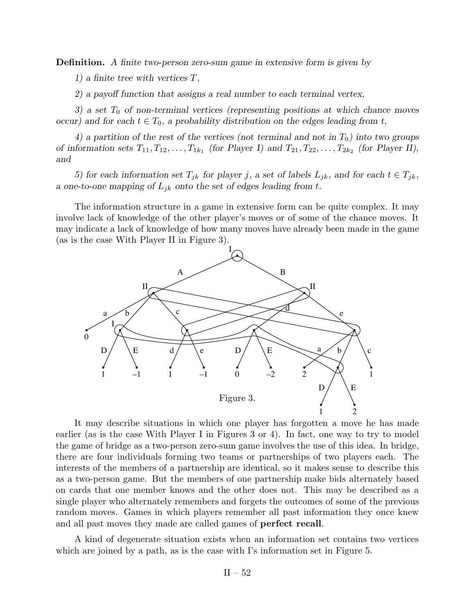**Definition.** *A finite two-person zero-sum game in extensive form is given by*

*1) a finite tree with vertices* T*,*

*2) a payoff function that assigns a real number to each terminal vertex,*

*3) a set*  $T_0$  *of non-terminal vertices (representing positions at which chance moves occur)* and for each  $t \in T_0$ , a probability distribution on the edges leading from t,

*4) a partition of the rest of the vertices (not terminal and not in*  $T_0$ ) into two groups *of information sets*  $T_{11}, T_{12}, \ldots, T_{1k_1}$  *(for Player I) and*  $T_{21}, T_{22}, \ldots, T_{2k_2}$  *(for Player II), and*

*5)* for each information set  $T_{jk}$  for player j, a set of labels  $L_{jk}$ , and for each  $t \in T_{jk}$ , *a one-to-one mapping of* Ljk *onto the set of edges leading from* t*.*

The information structure in a game in extensive form can be quite complex. It may involve lack of knowledge of the other player's moves or of some of the chance moves. It may indicate a lack of knowledge of how many moves have already been made in the game (as is the case With Player II in Figure 3).



It may describe situations in which one player has forgotten a move he has made earlier (as is the case With Player I in Figures 3 or 4). In fact, one way to try to model the game of bridge as a two-person zero-sum game involves the use of this idea. In bridge, there are four individuals forming two teams or partnerships of two players each. The interests of the members of a partnership are identical, so it makes sense to describe this as a two-person game. But the members of one partnership make bids alternately based on cards that one member knows and the other does not. This may be described as a single player who alternately remembers and forgets the outcomes of some of the previous random moves. Games in which players remember all past information they once knew and all past moves they made are called games of **perfect recall**.

A kind of degenerate situation exists when an information set contains two vertices which are joined by a path, as is the case with I's information set in Figure 5.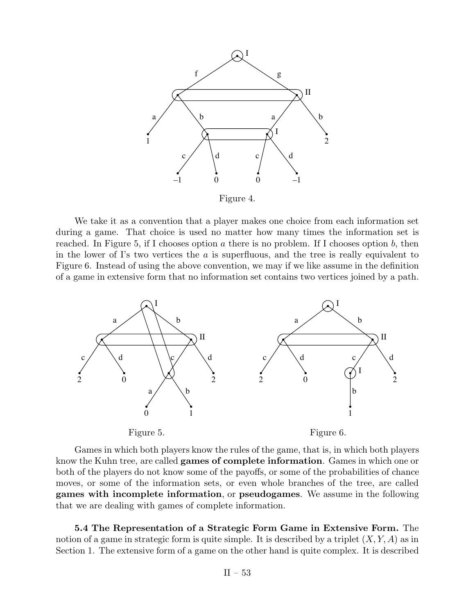

Figure 4.

We take it as a convention that a player makes one choice from each information set during a game. That choice is used no matter how many times the information set is reached. In Figure 5, if I chooses option a there is no problem. If I chooses option  $b$ , then in the lower of I's two vertices the  $a$  is superfluous, and the tree is really equivalent to Figure 6. Instead of using the above convention, we may if we like assume in the definition of a game in extensive form that no information set contains two vertices joined by a path.



Games in which both players know the rules of the game, that is, in which both players know the Kuhn tree, are called **games of complete information**. Games in which one or both of the players do not know some of the payoffs, or some of the probabilities of chance moves, or some of the information sets, or even whole branches of the tree, are called **games with incomplete information**, or **pseudogames**. We assume in the following that we are dealing with games of complete information.

**5.4 The Representation of a Strategic Form Game in Extensive Form.** The notion of a game in strategic form is quite simple. It is described by a triplet  $(X, Y, A)$  as in Section 1. The extensive form of a game on the other hand is quite complex. It is described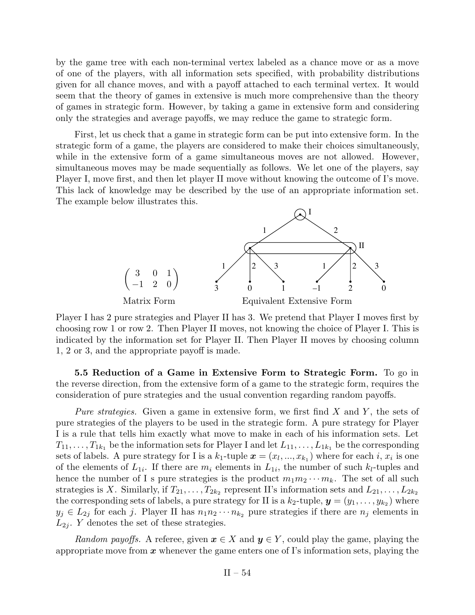by the game tree with each non-terminal vertex labeled as a chance move or as a move of one of the players, with all information sets specified, with probability distributions given for all chance moves, and with a payoff attached to each terminal vertex. It would seem that the theory of games in extensive is much more comprehensive than the theory of games in strategic form. However, by taking a game in extensive form and considering only the strategies and average payoffs, we may reduce the game to strategic form.

First, let us check that a game in strategic form can be put into extensive form. In the strategic form of a game, the players are considered to make their choices simultaneously, while in the extensive form of a game simultaneous moves are not allowed. However, simultaneous moves may be made sequentially as follows. We let one of the players, say Player I, move first, and then let player II move without knowing the outcome of I's move. This lack of knowledge may be described by the use of an appropriate information set. The example below illustrates this.



Player I has 2 pure strategies and Player II has 3. We pretend that Player I moves first by choosing row 1 or row 2. Then Player II moves, not knowing the choice of Player I. This is indicated by the information set for Player II. Then Player II moves by choosing column 1, 2 or 3, and the appropriate payoff is made.

**5.5 Reduction of a Game in Extensive Form to Strategic Form.** To go in the reverse direction, from the extensive form of a game to the strategic form, requires the consideration of pure strategies and the usual convention regarding random payoffs.

*Pure strategies.* Given a game in extensive form, we first find  $X$  and  $Y$ , the sets of pure strategies of the players to be used in the strategic form. A pure strategy for Player I is a rule that tells him exactly what move to make in each of his information sets. Let  $T_{11},\ldots,T_{1k_1}$  be the information sets for Player I and let  $L_{11},\ldots,L_{1k_1}$  be the corresponding sets of labels. A pure strategy for I is a  $k_1$ -tuple  $\mathbf{x} = (x_1, ..., x_{k_1})$  where for each i,  $x_i$  is one of the elements of  $L_{1i}$ . If there are  $m_i$  elements in  $L_{1i}$ , the number of such  $k_l$ -tuples and hence the number of I s pure strategies is the product  $m_1m_2\cdots m_k$ . The set of all such strategies is X. Similarly, if  $T_{21},...,T_{2k_2}$  represent II's information sets and  $L_{21},...,L_{2k_2}$ the corresponding sets of labels, a pure strategy for II is a  $k_2$ -tuple,  $\mathbf{y} = (y_1, \ldots, y_{k_2})$  where  $y_j \in L_{2j}$  for each j. Player II has  $n_1 n_2 \cdots n_{k_2}$  pure strategies if there are  $n_j$  elements in  $L_{2i}$ . Y denotes the set of these strategies.

Random payoffs. A referee, given  $x \in X$  and  $y \in Y$ , could play the game, playing the appropriate move from  $x$  whenever the game enters one of I's information sets, playing the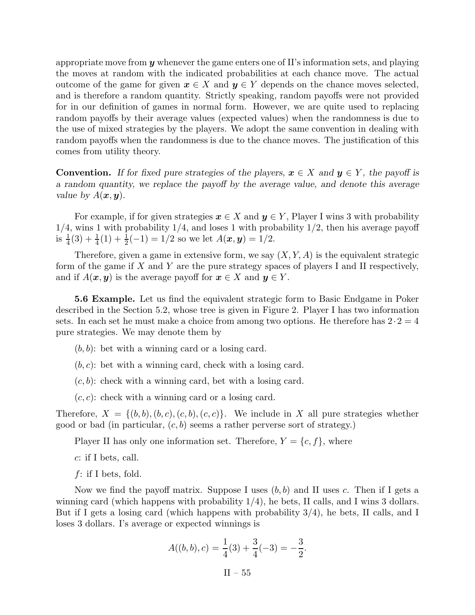appropriate move from *y* whenever the game enters one of II's information sets, and playing the moves at random with the indicated probabilities at each chance move. The actual outcome of the game for given  $x \in X$  and  $y \in Y$  depends on the chance moves selected, and is therefore a random quantity. Strictly speaking, random payoffs were not provided for in our definition of games in normal form. However, we are quite used to replacing random payoffs by their average values (expected values) when the randomness is due to the use of mixed strategies by the players. We adopt the same convention in dealing with random payoffs when the randomness is due to the chance moves. The justification of this comes from utility theory.

**Convention.** If for fixed pure strategies of the players,  $x \in X$  and  $y \in Y$ , the payoff is *a random quantity, we replace the payoff by the average value, and denote this average value by*  $A(x, y)$ .

For example, if for given strategies  $x \in X$  and  $y \in Y$ , Player I wins 3 with probability  $1/4$ , wins 1 with probability  $1/4$ , and loses 1 with probability  $1/2$ , then his average payoff is  $\frac{1}{4}(3) + \frac{1}{4}(1) + \frac{1}{2}(-1) = 1/2$  so we let  $A(\mathbf{x}, \mathbf{y}) = 1/2$ .

Therefore, given a game in extensive form, we say  $(X, Y, A)$  is the equivalent strategic form of the game if X and Y are the pure strategy spaces of players I and II respectively, and if  $A(x, y)$  is the average payoff for  $x \in X$  and  $y \in Y$ .

**5.6 Example.** Let us find the equivalent strategic form to Basic Endgame in Poker described in the Section 5.2, whose tree is given in Figure 2. Player I has two information sets. In each set he must make a choice from among two options. He therefore has  $2 \cdot 2 = 4$ pure strategies. We may denote them by

 $(b, b)$ : bet with a winning card or a losing card.

 $(b, c)$ : bet with a winning card, check with a losing card.

 $(c, b)$ : check with a winning card, bet with a losing card.

 $(c, c)$ : check with a winning card or a losing card.

Therefore,  $X = \{(b, b), (b, c), (c, b), (c, c)\}.$  We include in X all pure strategies whether good or bad (in particular,  $(c, b)$  seems a rather perverse sort of strategy.)

Player II has only one information set. Therefore,  $Y = \{c, f\}$ , where

c: if I bets, call.

 $f:$  if I bets, fold.

Now we find the payoff matrix. Suppose I uses  $(b, b)$  and II uses c. Then if I gets a winning card (which happens with probability  $1/4$ ), he bets, II calls, and I wins 3 dollars. But if I gets a losing card (which happens with probability  $3/4$ ), he bets, II calls, and I loses 3 dollars. I's average or expected winnings is

$$
A((b,b),c) = \frac{1}{4}(3) + \frac{3}{4}(-3) = -\frac{3}{2}
$$

.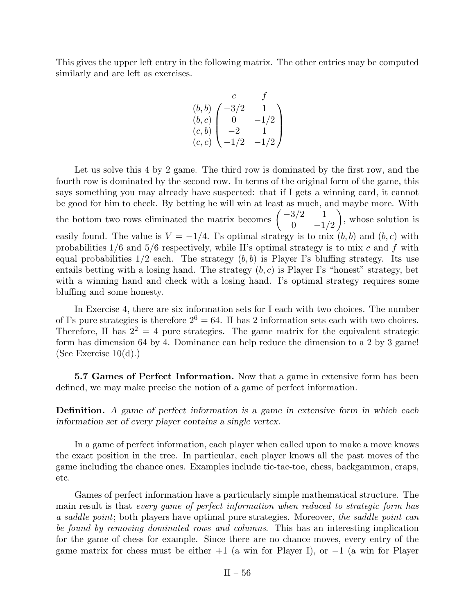This gives the upper left entry in the following matrix. The other entries may be computed similarly and are left as exercises.

$$
\begin{array}{cc}\n & c & f \\
(b, b) & -3/2 & 1 \\
(b, c) & 0 & -1/2 \\
(c, b) & -2 & 1 \\
(c, c) & -1/2 & -1/2\n\end{array}
$$

Let us solve this 4 by 2 game. The third row is dominated by the first row, and the fourth row is dominated by the second row. In terms of the original form of the game, this says something you may already have suspected: that if I gets a winning card, it cannot be good for him to check. By betting he will win at least as much, and maybe more. With the bottom two rows eliminated the matrix becomes  $\begin{pmatrix} -3/2 & 1 \\ 0 & -1/2 \end{pmatrix}$ - , whose solution is easily found. The value is  $V = -1/4$ . I's optimal strategy is to mix  $(b, b)$  and  $(b, c)$  with probabilities  $1/6$  and  $5/6$  respectively, while II's optimal strategy is to mix c and f with equal probabilities  $1/2$  each. The strategy  $(b, b)$  is Player I's bluffing strategy. Its use entails betting with a losing hand. The strategy  $(b, c)$  is Player I's "honest" strategy, bet with a winning hand and check with a losing hand. I's optimal strategy requires some bluffing and some honesty.

In Exercise 4, there are six information sets for I each with two choices. The number of I's pure strategies is therefore  $2^6 = 64$ . II has 2 information sets each with two choices. Therefore, II has  $2^2 = 4$  pure strategies. The game matrix for the equivalent strategic form has dimension 64 by 4. Dominance can help reduce the dimension to a 2 by 3 game! (See Exercise  $10(d)$ .)

**5.7 Games of Perfect Information.** Now that a game in extensive form has been defined, we may make precise the notion of a game of perfect information.

**Definition.** *A game of perfect information is a game in extensive form in which each information set of every player contains a single vertex.*

In a game of perfect information, each player when called upon to make a move knows the exact position in the tree. In particular, each player knows all the past moves of the game including the chance ones. Examples include tic-tac-toe, chess, backgammon, craps, etc.

Games of perfect information have a particularly simple mathematical structure. The main result is that every game of perfect information when reduced to strategic form has a saddle point; both players have optimal pure strategies. Moreover, the saddle point can be found by removing dominated rows and columns. This has an interesting implication for the game of chess for example. Since there are no chance moves, every entry of the game matrix for chess must be either  $+1$  (a win for Player I), or  $-1$  (a win for Player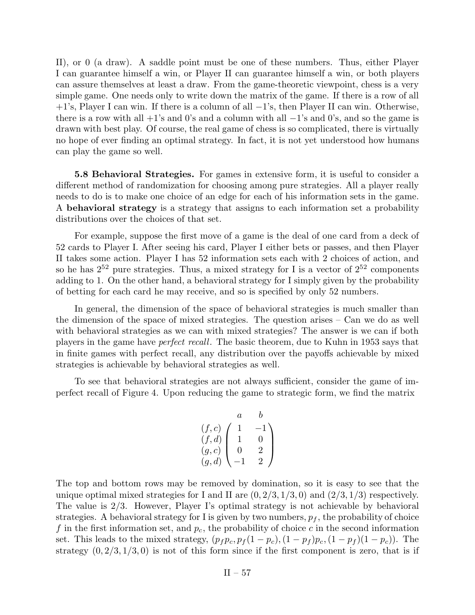II), or 0 (a draw). A saddle point must be one of these numbers. Thus, either Player I can guarantee himself a win, or Player II can guarantee himself a win, or both players can assure themselves at least a draw. From the game-theoretic viewpoint, chess is a very simple game. One needs only to write down the matrix of the game. If there is a row of all  $+1$ 's, Player I can win. If there is a column of all  $-1$ 's, then Player II can win. Otherwise, there is a row with all  $+1$ 's and 0's and a column with all  $-1$ 's and 0's, and so the game is drawn with best play. Of course, the real game of chess is so complicated, there is virtually no hope of ever finding an optimal strategy. In fact, it is not yet understood how humans can play the game so well.

**5.8 Behavioral Strategies.** For games in extensive form, it is useful to consider a different method of randomization for choosing among pure strategies. All a player really needs to do is to make one choice of an edge for each of his information sets in the game. A **behavioral strategy** is a strategy that assigns to each information set a probability distributions over the choices of that set.

For example, suppose the first move of a game is the deal of one card from a deck of 52 cards to Player I. After seeing his card, Player I either bets or passes, and then Player II takes some action. Player I has 52 information sets each with 2 choices of action, and so he has  $2^{52}$  pure strategies. Thus, a mixed strategy for I is a vector of  $2^{52}$  components adding to 1. On the other hand, a behavioral strategy for I simply given by the probability of betting for each card he may receive, and so is specified by only 52 numbers.

In general, the dimension of the space of behavioral strategies is much smaller than the dimension of the space of mixed strategies. The question arises – Can we do as well with behavioral strategies as we can with mixed strategies? The answer is we can if both players in the game have perfect recall. The basic theorem, due to Kuhn in 1953 says that in finite games with perfect recall, any distribution over the payoffs achievable by mixed strategies is achievable by behavioral strategies as well.

To see that behavioral strategies are not always sufficient, consider the game of imperfect recall of Figure 4. Upon reducing the game to strategic form, we find the matrix

$$
\begin{array}{cc}\n & a & b \\
(f, c) & 1 & -1 \\
(f, d) & 1 & 0 \\
(g, c) & 0 & 2 \\
(g, d) & -1 & 2\n\end{array}
$$

The top and bottom rows may be removed by domination, so it is easy to see that the unique optimal mixed strategies for I and II are  $(0, 2/3, 1/3, 0)$  and  $(2/3, 1/3)$  respectively. The value is 2/3. However, Player I's optimal strategy is not achievable by behavioral strategies. A behavioral strategy for I is given by two numbers,  $p_f$ , the probability of choice f in the first information set, and  $p_c$ , the probability of choice c in the second information set. This leads to the mixed strategy,  $(p_f p_c, p_f (1 - p_c), (1 - p_f) p_c, (1 - p_f) (1 - p_c))$ . The strategy  $(0, 2/3, 1/3, 0)$  is not of this form since if the first component is zero, that is if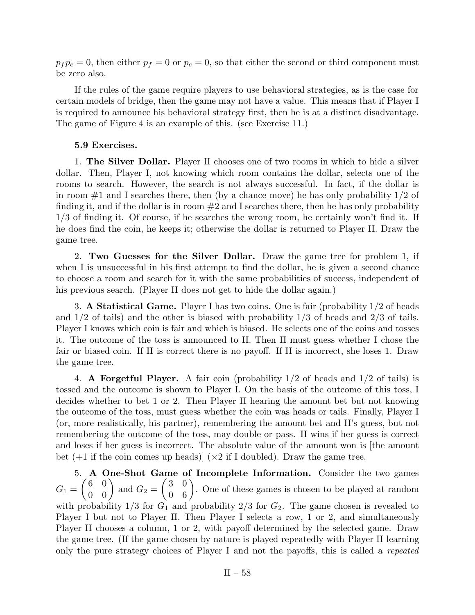$p_f p_c = 0$ , then either  $p_f = 0$  or  $p_c = 0$ , so that either the second or third component must be zero also.

If the rules of the game require players to use behavioral strategies, as is the case for certain models of bridge, then the game may not have a value. This means that if Player I is required to announce his behavioral strategy first, then he is at a distinct disadvantage. The game of Figure 4 is an example of this. (see Exercise 11.)

## **5.9 Exercises.**

1. **The Silver Dollar.** Player II chooses one of two rooms in which to hide a silver dollar. Then, Player I, not knowing which room contains the dollar, selects one of the rooms to search. However, the search is not always successful. In fact, if the dollar is in room  $\#1$  and I searches there, then (by a chance move) he has only probability  $1/2$  of finding it, and if the dollar is in room  $#2$  and I searches there, then he has only probability 1/3 of finding it. Of course, if he searches the wrong room, he certainly won't find it. If he does find the coin, he keeps it; otherwise the dollar is returned to Player II. Draw the game tree.

2. **Two Guesses for the Silver Dollar.** Draw the game tree for problem 1, if when I is unsuccessful in his first attempt to find the dollar, he is given a second chance to choose a room and search for it with the same probabilities of success, independent of his previous search. (Player II does not get to hide the dollar again.)

3. **A Statistical Game.** Player I has two coins. One is fair (probability 1/2 of heads and  $1/2$  of tails) and the other is biased with probability  $1/3$  of heads and  $2/3$  of tails. Player I knows which coin is fair and which is biased. He selects one of the coins and tosses it. The outcome of the toss is announced to II. Then II must guess whether I chose the fair or biased coin. If II is correct there is no payoff. If II is incorrect, she loses 1. Draw the game tree.

4. **A Forgetful Player.** A fair coin (probability 1/2 of heads and 1/2 of tails) is tossed and the outcome is shown to Player I. On the basis of the outcome of this toss, I decides whether to bet 1 or 2. Then Player II hearing the amount bet but not knowing the outcome of the toss, must guess whether the coin was heads or tails. Finally, Player I (or, more realistically, his partner), remembering the amount bet and II's guess, but not remembering the outcome of the toss, may double or pass. II wins if her guess is correct and loses if her guess is incorrect. The absolute value of the amount won is [the amount bet  $(+1)$  if the coin comes up heads)  $(\times 2)$  if I doubled). Draw the game tree.

5. **A One-Shot Game of Incomplete Information.** Consider the two games  $G_1 = \begin{pmatrix} 6 & 0 \\ 0 & 0 \end{pmatrix}$  and  $G_2 = \begin{pmatrix} 3 & 0 \\ 0 & 6 \end{pmatrix}$ . One of these games is chosen to be played at random with probability  $1/3$  for  $G_1$  and probability  $2/3$  for  $G_2$ . The game chosen is revealed to Player I but not to Player II. Then Player I selects a row, 1 or 2, and simultaneously Player II chooses a column, 1 or 2, with payoff determined by the selected game. Draw the game tree. (If the game chosen by nature is played repeatedly with Player II learning only the pure strategy choices of Player I and not the payoffs, this is called a repeated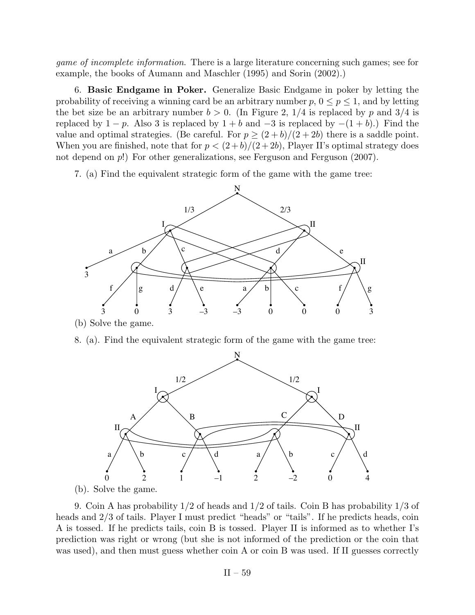game of incomplete information. There is a large literature concerning such games; see for example, the books of Aumann and Maschler (1995) and Sorin (2002).)

6. **Basic Endgame in Poker.** Generalize Basic Endgame in poker by letting the probability of receiving a winning card be an arbitrary number  $p, 0 \leq p \leq 1$ , and by letting the bet size be an arbitrary number  $b > 0$ . (In Figure 2,  $1/4$  is replaced by p and  $3/4$  is replaced by  $1 - p$ . Also 3 is replaced by  $1 + b$  and  $-3$  is replaced by  $-(1 + b)$ .) Find the value and optimal strategies. (Be careful. For  $p \ge (2+b)/(2+2b)$  there is a saddle point. When you are finished, note that for  $p < (2+b)/(2+2b)$ , Player II's optimal strategy does not depend on p!) For other generalizations, see Ferguson and Ferguson (2007).

7. (a) Find the equivalent strategic form of the game with the game tree:



(b) Solve the game.

8. (a). Find the equivalent strategic form of the game with the game tree:



(b). Solve the game.

9. Coin A has probability 1/2 of heads and 1/2 of tails. Coin B has probability 1/3 of heads and  $2/3$  of tails. Player I must predict "heads" or "tails". If he predicts heads, coin A is tossed. If he predicts tails, coin B is tossed. Player II is informed as to whether I's prediction was right or wrong (but she is not informed of the prediction or the coin that was used), and then must guess whether coin A or coin B was used. If II guesses correctly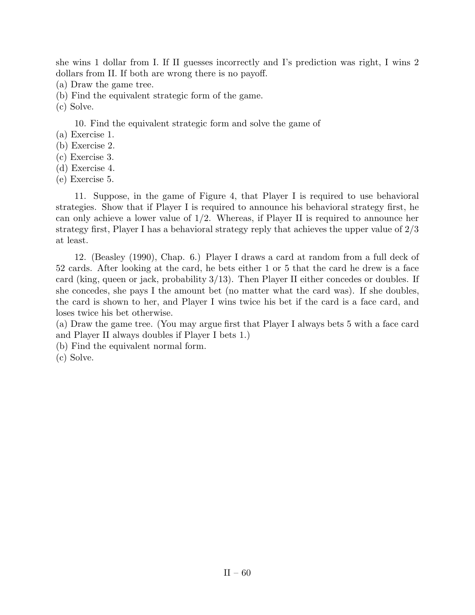she wins 1 dollar from I. If II guesses incorrectly and I's prediction was right, I wins 2 dollars from II. If both are wrong there is no payoff.

- (a) Draw the game tree.
- (b) Find the equivalent strategic form of the game.
- (c) Solve.

10. Find the equivalent strategic form and solve the game of

- (a) Exercise 1.
- (b) Exercise 2.
- (c) Exercise 3.
- (d) Exercise 4.
- (e) Exercise 5.

11. Suppose, in the game of Figure 4, that Player I is required to use behavioral strategies. Show that if Player I is required to announce his behavioral strategy first, he can only achieve a lower value of 1/2. Whereas, if Player II is required to announce her strategy first, Player I has a behavioral strategy reply that achieves the upper value of 2/3 at least.

12. (Beasley (1990), Chap. 6.) Player I draws a card at random from a full deck of 52 cards. After looking at the card, he bets either 1 or 5 that the card he drew is a face card (king, queen or jack, probability 3/13). Then Player II either concedes or doubles. If she concedes, she pays I the amount bet (no matter what the card was). If she doubles, the card is shown to her, and Player I wins twice his bet if the card is a face card, and loses twice his bet otherwise.

(a) Draw the game tree. (You may argue first that Player I always bets 5 with a face card and Player II always doubles if Player I bets 1.)

(b) Find the equivalent normal form.

(c) Solve.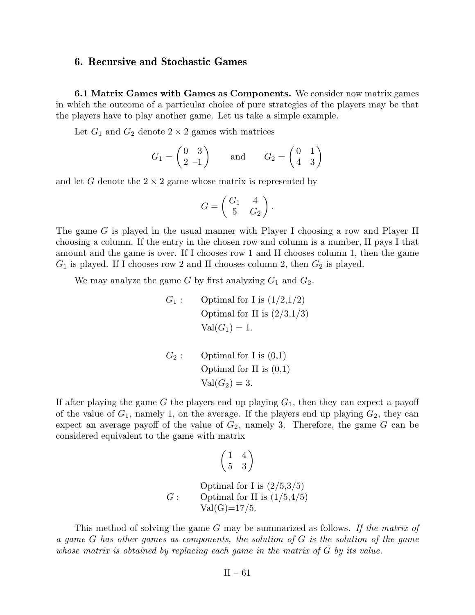## **6. Recursive and Stochastic Games**

**6.1 Matrix Games with Games as Components.** We consider now matrix games in which the outcome of a particular choice of pure strategies of the players may be that the players have to play another game. Let us take a simple example.

Let  $G_1$  and  $G_2$  denote  $2 \times 2$  games with matrices

$$
G_1 = \begin{pmatrix} 0 & 3 \\ 2 & -1 \end{pmatrix} \qquad \text{and} \qquad G_2 = \begin{pmatrix} 0 & 1 \\ 4 & 3 \end{pmatrix}
$$

and let G denote the  $2 \times 2$  game whose matrix is represented by

$$
G = \begin{pmatrix} G_1 & 4 \\ 5 & G_2 \end{pmatrix}.
$$

The game G is played in the usual manner with Player I choosing a row and Player II choosing a column. If the entry in the chosen row and column is a number, II pays I that amount and the game is over. If I chooses row 1 and II chooses column 1, then the game  $G_1$  is played. If I chooses row 2 and II chooses column 2, then  $G_2$  is played.

We may analyze the game G by first analyzing  $G_1$  and  $G_2$ .

$$
G_1: \qquad \text{Optimal for I is } (1/2,1/2)
$$
\n
$$
\text{Optimal for II is } (2/3,1/3)
$$
\n
$$
\text{Val}(G_1) = 1.
$$

$$
G_2
$$
: Optimal for I is (0,1)  
Optimal for II is (0,1)  
 $Val(G_2) = 3$ .

If after playing the game G the players end up playing  $G_1$ , then they can expect a payoff of the value of  $G_1$ , namely 1, on the average. If the players end up playing  $G_2$ , they can expect an average payoff of the value of  $G_2$ , namely 3. Therefore, the game G can be considered equivalent to the game with matrix

$$
\begin{pmatrix} 1 & 4 \ 5 & 3 \end{pmatrix}
$$
  
Optimal for I is (2/5,3/5)  
*G*: Optimal for II is (1/5,4/5)

 $Val(G)=17/5.$ 

This method of solving the game G may be summarized as follows. If the matrix of a game G has other games as components, the solution of G is the solution of the game whose matrix is obtained by replacing each game in the matrix of G by its value.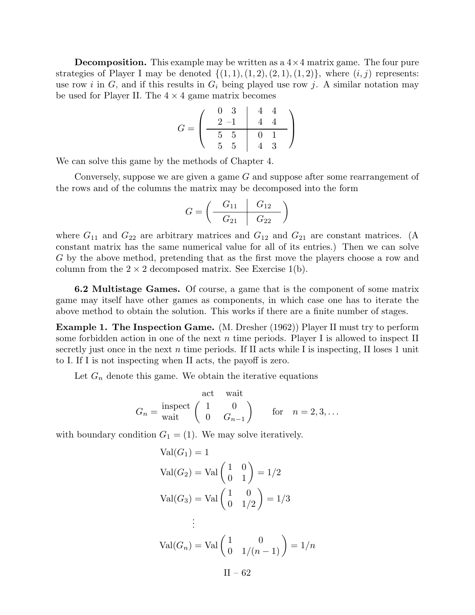**Decomposition.** This example may be written as a  $4 \times 4$  matrix game. The four pure strategies of Player I may be denoted  $\{(1, 1), (1, 2), (2, 1), (1, 2)\}$ , where  $(i, j)$  represents: use row i in G, and if this results in  $G_i$  being played use row j. A similar notation may be used for Player II. The  $4 \times 4$  game matrix becomes

$$
G = \left( \begin{array}{rrr|rrr} 0 & 3 & 4 & 4 \\ 2 & -1 & 4 & 4 \\ \hline 5 & 5 & 0 & 1 \\ 5 & 5 & 4 & 3 \end{array} \right)
$$

We can solve this game by the methods of Chapter 4.

Conversely, suppose we are given a game  $G$  and suppose after some rearrangement of the rows and of the columns the matrix may be decomposed into the form

$$
G = \left(\begin{array}{c|c} G_{11} & G_{12} \\ \hline G_{21} & G_{22} \end{array}\right)
$$

where  $G_{11}$  and  $G_{22}$  are arbitrary matrices and  $G_{12}$  and  $G_{21}$  are constant matrices. (A constant matrix has the same numerical value for all of its entries.) Then we can solve G by the above method, pretending that as the first move the players choose a row and column from the  $2 \times 2$  decomposed matrix. See Exercise 1(b).

**6.2 Multistage Games.** Of course, a game that is the component of some matrix game may itself have other games as components, in which case one has to iterate the above method to obtain the solution. This works if there are a finite number of stages.

**Example 1. The Inspection Game.** (M. Dresher (1962)) Player II must try to perform some forbidden action in one of the next n time periods. Player I is allowed to inspect II secretly just once in the next  $n$  time periods. If II acts while I is inspecting, II loses 1 unit to I. If I is not inspecting when II acts, the payoff is zero.

Let  $G_n$  denote this game. We obtain the iterative equations

$$
G_n = \frac{\text{insect}}{\text{wait}} \begin{pmatrix} 1 & 0 \\ 0 & G_{n-1} \end{pmatrix} \quad \text{for} \quad n = 2, 3, \dots
$$

with boundary condition  $G_1 = (1)$ . We may solve iteratively.

$$
Val(G_1) = 1
$$
  
\n
$$
Val(G_2) = Val\begin{pmatrix} 1 & 0 \\ 0 & 1 \end{pmatrix} = 1/2
$$
  
\n
$$
Val(G_3) = Val\begin{pmatrix} 1 & 0 \\ 0 & 1/2 \end{pmatrix} = 1/3
$$
  
\n
$$
\vdots
$$
  
\n
$$
Val(G_n) = Val\begin{pmatrix} 1 & 0 \\ 0 & 1/(n-1) \end{pmatrix} = 1/n
$$
  
\n
$$
II - 62
$$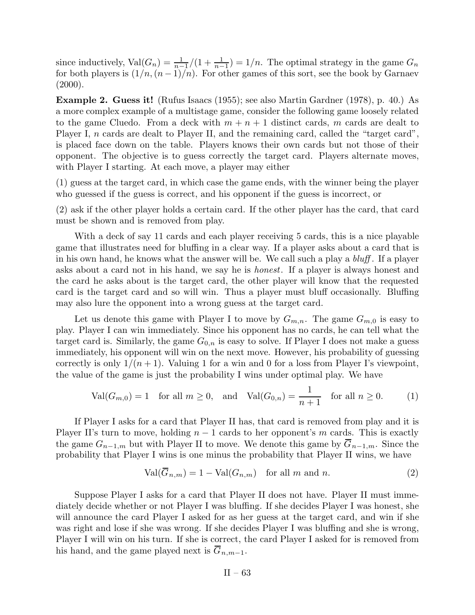since inductively,  $\text{Val}(G_n) = \frac{1}{n-1}/(1 + \frac{1}{n-1}) = 1/n$ . The optimal strategy in the game  $G_n$ for both players is  $(1/n,(n-1)/n)$ . For other games of this sort, see the book by Garnaev  $(2000).$ 

**Example 2. Guess it!** (Rufus Isaacs (1955); see also Martin Gardner (1978), p. 40.) As a more complex example of a multistage game, consider the following game loosely related to the game Cluedo. From a deck with  $m + n + 1$  distinct cards, m cards are dealt to Player I, *n* cards are dealt to Player II, and the remaining card, called the "target card", is placed face down on the table. Players knows their own cards but not those of their opponent. The objective is to guess correctly the target card. Players alternate moves, with Player I starting. At each move, a player may either

(1) guess at the target card, in which case the game ends, with the winner being the player who guessed if the guess is correct, and his opponent if the guess is incorrect, or

(2) ask if the other player holds a certain card. If the other player has the card, that card must be shown and is removed from play.

With a deck of say 11 cards and each player receiving 5 cards, this is a nice playable game that illustrates need for bluffing in a clear way. If a player asks about a card that is in his own hand, he knows what the answer will be. We call such a play a  $bluff$ . If a player asks about a card not in his hand, we say he is honest. If a player is always honest and the card he asks about is the target card, the other player will know that the requested card is the target card and so will win. Thus a player must bluff occasionally. Bluffing may also lure the opponent into a wrong guess at the target card.

Let us denote this game with Player I to move by  $G_{m,n}$ . The game  $G_{m,0}$  is easy to play. Player I can win immediately. Since his opponent has no cards, he can tell what the target card is. Similarly, the game  $G_{0,n}$  is easy to solve. If Player I does not make a guess immediately, his opponent will win on the next move. However, his probability of guessing correctly is only  $1/(n+1)$ . Valuing 1 for a win and 0 for a loss from Player I's viewpoint, the value of the game is just the probability I wins under optimal play. We have

$$
Val(G_{m,0}) = 1 \text{ for all } m \ge 0, \text{ and } Val(G_{0,n}) = \frac{1}{n+1} \text{ for all } n \ge 0.
$$
 (1)

If Player I asks for a card that Player II has, that card is removed from play and it is Player II's turn to move, holding  $n-1$  cards to her opponent's m cards. This is exactly the game  $G_{n-1,m}$  but with Player II to move. We denote this game by  $\overline{G}_{n-1,m}$ . Since the probability that Player I wins is one minus the probability that Player II wins, we have

$$
Val(\overline{G}_{n,m}) = 1 - Val(G_{n,m}) \text{ for all } m \text{ and } n. \tag{2}
$$

Suppose Player I asks for a card that Player II does not have. Player II must immediately decide whether or not Player I was bluffing. If she decides Player I was honest, she will announce the card Player I asked for as her guess at the target card, and win if she was right and lose if she was wrong. If she decides Player I was bluffing and she is wrong, Player I will win on his turn. If she is correct, the card Player I asked for is removed from his hand, and the game played next is  $\overline{G}_{n,m-1}$ .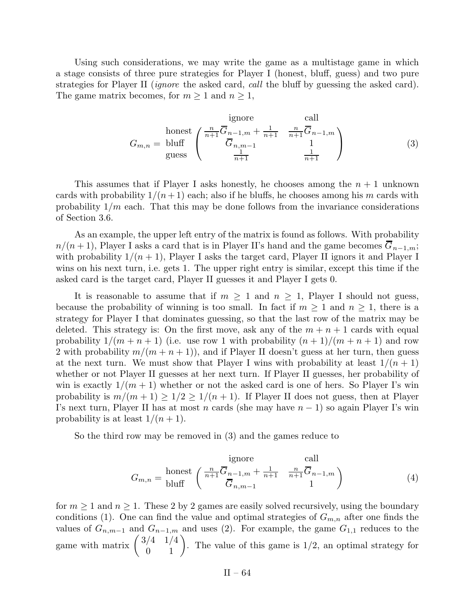Using such considerations, we may write the game as a multistage game in which a stage consists of three pure strategies for Player I (honest, bluff, guess) and two pure strategies for Player II *(ignore the asked card, call the bluff by guessing the asked card)*. The game matrix becomes, for  $m \geq 1$  and  $n \geq 1$ ,

$$
G_{m,n} = \text{bluff} \begin{pmatrix} \frac{n}{n+1} \overline{G}_{n-1,m} + \frac{1}{n+1} & \frac{n}{n+1} \overline{G}_{n-1,m} \\ \overline{G}_{n,m-1} & 1 & 1 \\ \text{guess} & \frac{1}{n+1} & \frac{1}{n+1} \end{pmatrix}
$$
(3)

This assumes that if Player I asks honestly, he chooses among the  $n + 1$  unknown cards with probability  $1/(n+1)$  each; also if he bluffs, he chooses among his m cards with probability  $1/m$  each. That this may be done follows from the invariance considerations of Section 3.6.

As an example, the upper left entry of the matrix is found as follows. With probability  $n/(n+1)$ , Player I asks a card that is in Player II's hand and the game becomes  $\overline{G}_{n-1,m}$ ; with probability  $1/(n+1)$ , Player I asks the target card, Player II ignors it and Player I wins on his next turn, i.e. gets 1. The upper right entry is similar, except this time if the asked card is the target card, Player II guesses it and Player I gets 0.

It is reasonable to assume that if  $m \geq 1$  and  $n \geq 1$ , Player I should not guess, because the probability of winning is too small. In fact if  $m \geq 1$  and  $n \geq 1$ , there is a strategy for Player I that dominates guessing, so that the last row of the matrix may be deleted. This strategy is: On the first move, ask any of the  $m + n + 1$  cards with equal probability  $1/(m + n + 1)$  (i.e. use row 1 with probability  $(n + 1)/(m + n + 1)$  and row 2 with probability  $m/(m+n+1)$ , and if Player II doesn't guess at her turn, then guess at the next turn. We must show that Player I wins with probability at least  $1/(n+1)$ whether or not Player II guesses at her next turn. If Player II guesses, her probability of win is exactly  $1/(m+1)$  whether or not the asked card is one of hers. So Player I's win probability is  $m/(m+1) \geq 1/2 \geq 1/(n+1)$ . If Player II does not guess, then at Player I's next turn, Player II has at most n cards (she may have  $n-1$ ) so again Player I's win probability is at least  $1/(n+1)$ .

So the third row may be removed in (3) and the games reduce to

$$
G_{m,n} = \text{honest} \begin{pmatrix} \frac{n}{n+1} \overline{G}_{n-1,m} + \frac{1}{n+1} & \frac{n}{n+1} \overline{G}_{n-1,m} \\ \overline{G}_{n,m-1} & 1 \end{pmatrix}
$$
(4)

for  $m \ge 1$  and  $n \ge 1$ . These 2 by 2 games are easily solved recursively, using the boundary conditions (1). One can find the value and optimal strategies of  $G_{m,n}$  after one finds the values of  $G_{n,m-1}$  and  $G_{n-1,m}$  and uses (2). For example, the game  $G_{1,1}$  reduces to the game with matrix  $\begin{pmatrix} 3/4 & 1/4 \\ 0 & 1 \end{pmatrix}$ . The value of this game is 1/2, an optimal strategy for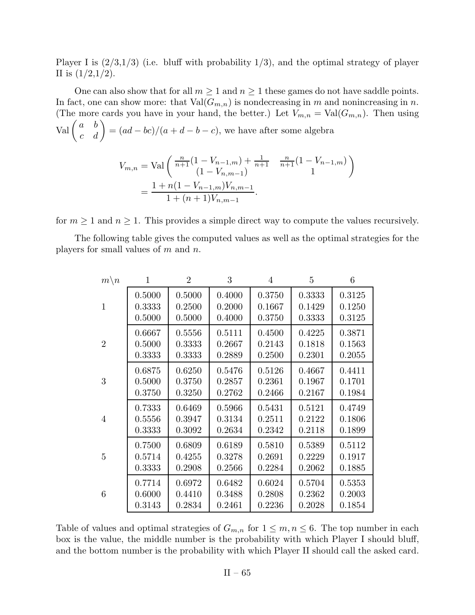Player I is  $\left(\frac{2}{3},\frac{1}{3}\right)$  (i.e. bluff with probability  $1/3$ ), and the optimal strategy of player II is  $(1/2,1/2)$ .

One can also show that for all  $m \geq 1$  and  $n \geq 1$  these games do not have saddle points. In fact, one can show more: that  $Val(G_{m,n})$  is nondecreasing in m and nonincreasing in n. (The more cards you have in your hand, the better.) Let  $V_{m,n} = \text{Val}(G_{m,n})$ . Then using Val  $\begin{pmatrix} a & b \\ c & d \end{pmatrix} = (ad - bc)/(a + d - b - c)$ , we have after some algebra

$$
V_{m,n} = \text{Val}\left(\frac{\frac{n}{n+1}(1 - V_{n-1,m}) + \frac{1}{n+1}}{(1 - V_{n,m-1})} - \frac{\frac{n}{n+1}(1 - V_{n-1,m})}{1}\right)
$$
  
= 
$$
\frac{1 + n(1 - V_{n-1,m})V_{n,m-1}}{1 + (n+1)V_{n,m-1}}.
$$

for  $m \geq 1$  and  $n \geq 1$ . This provides a simple direct way to compute the values recursively.

The following table gives the computed values as well as the optimal strategies for the players for small values of  $m$  and  $n$ .

| $m \backslash n$ | 1      | $\overline{2}$ | 3      | 4      | 5      | 6      |
|------------------|--------|----------------|--------|--------|--------|--------|
| $\mathbf{1}$     | 0.5000 | 0.5000         | 0.4000 | 0.3750 | 0.3333 | 0.3125 |
|                  | 0.3333 | 0.2500         | 0.2000 | 0.1667 | 0.1429 | 0.1250 |
|                  | 0.5000 | 0.5000         | 0.4000 | 0.3750 | 0.3333 | 0.3125 |
| $\overline{2}$   | 0.6667 | 0.5556         | 0.5111 | 0.4500 | 0.4225 | 0.3871 |
|                  | 0.5000 | 0.3333         | 0.2667 | 0.2143 | 0.1818 | 0.1563 |
|                  | 0.3333 | 0.3333         | 0.2889 | 0.2500 | 0.2301 | 0.2055 |
| 3                | 0.6875 | 0.6250         | 0.5476 | 0.5126 | 0.4667 | 0.4411 |
|                  | 0.5000 | 0.3750         | 0.2857 | 0.2361 | 0.1967 | 0.1701 |
|                  | 0.3750 | 0.3250         | 0.2762 | 0.2466 | 0.2167 | 0.1984 |
| $\overline{4}$   | 0.7333 | 0.6469         | 0.5966 | 0.5431 | 0.5121 | 0.4749 |
|                  | 0.5556 | 0.3947         | 0.3134 | 0.2511 | 0.2122 | 0.1806 |
|                  | 0.3333 | 0.3092         | 0.2634 | 0.2342 | 0.2118 | 0.1899 |
| 5                | 0.7500 | 0.6809         | 0.6189 | 0.5810 | 0.5389 | 0.5112 |
|                  | 0.5714 | 0.4255         | 0.3278 | 0.2691 | 0.2229 | 0.1917 |
|                  | 0.3333 | 0.2908         | 0.2566 | 0.2284 | 0.2062 | 0.1885 |
| 6                | 0.7714 | 0.6972         | 0.6482 | 0.6024 | 0.5704 | 0.5353 |
|                  | 0.6000 | 0.4410         | 0.3488 | 0.2808 | 0.2362 | 0.2003 |
|                  | 0.3143 | 0.2834         | 0.2461 | 0.2236 | 0.2028 | 0.1854 |

Table of values and optimal strategies of  $G_{m,n}$  for  $1 \leq m, n \leq 6$ . The top number in each box is the value, the middle number is the probability with which Player I should bluff, and the bottom number is the probability with which Player II should call the asked card.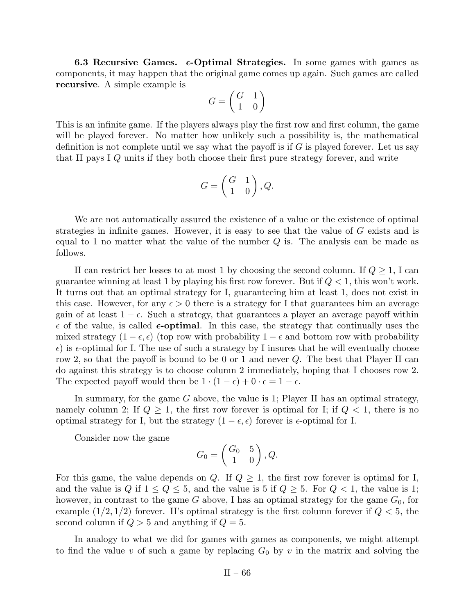**6.3 Recursive Games.**  $\epsilon$ -Optimal Strategies. In some games with games as components, it may happen that the original game comes up again. Such games are called **recursive**. A simple example is

$$
G = \begin{pmatrix} G & 1 \\ 1 & 0 \end{pmatrix}
$$

This is an infinite game. If the players always play the first row and first column, the game will be played forever. No matter how unlikely such a possibility is, the mathematical definition is not complete until we say what the payoff is if  $G$  is played forever. Let us say that II pays I Q units if they both choose their first pure strategy forever, and write

$$
G = \begin{pmatrix} G & 1 \\ 1 & 0 \end{pmatrix}, Q.
$$

We are not automatically assured the existence of a value or the existence of optimal strategies in infinite games. However, it is easy to see that the value of G exists and is equal to 1 no matter what the value of the number  $Q$  is. The analysis can be made as follows.

II can restrict her losses to at most 1 by choosing the second column. If  $Q \geq 1$ , I can guarantee winning at least 1 by playing his first row forever. But if  $Q < 1$ , this won't work. It turns out that an optimal strategy for I, guaranteeing him at least 1, does not exist in this case. However, for any  $\epsilon > 0$  there is a strategy for I that guarantees him an average gain of at least  $1 - \epsilon$ . Such a strategy, that guarantees a player an average payoff within  $\epsilon$  of the value, is called  $\epsilon$ **-optimal**. In this case, the strategy that continually uses the mixed strategy  $(1 - \epsilon, \epsilon)$  (top row with probability  $1 - \epsilon$  and bottom row with probability  $\epsilon$ ) is  $\epsilon$ -optimal for I. The use of such a strategy by I insures that he will eventually choose row 2, so that the payoff is bound to be 0 or 1 and never  $Q$ . The best that Player II can do against this strategy is to choose column 2 immediately, hoping that I chooses row 2. The expected payoff would then be  $1 \cdot (1 - \epsilon) + 0 \cdot \epsilon = 1 - \epsilon$ .

In summary, for the game  $G$  above, the value is 1; Player II has an optimal strategy, namely column 2; If  $Q \geq 1$ , the first row forever is optimal for I; if  $Q < 1$ , there is no optimal strategy for I, but the strategy  $(1 - \epsilon, \epsilon)$  forever is  $\epsilon$ -optimal for I.

Consider now the game

$$
G_0 = \begin{pmatrix} G_0 & 5 \\ 1 & 0 \end{pmatrix}, Q.
$$

For this game, the value depends on Q. If  $Q \geq 1$ , the first row forever is optimal for I, and the value is Q if  $1 \le Q \le 5$ , and the value is 5 if  $Q \ge 5$ . For  $Q < 1$ , the value is 1; however, in contrast to the game G above, I has an optimal strategy for the game  $G_0$ , for example  $(1/2, 1/2)$  forever. II's optimal strategy is the first column forever if  $Q < 5$ , the second column if  $Q > 5$  and anything if  $Q = 5$ .

In analogy to what we did for games with games as components, we might attempt to find the value v of such a game by replacing  $G_0$  by v in the matrix and solving the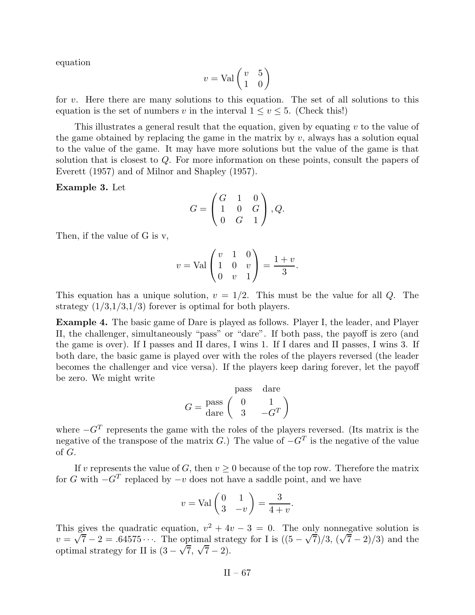equation

$$
v = \text{Val}\begin{pmatrix} v & 5\\ 1 & 0 \end{pmatrix}
$$

for v. Here there are many solutions to this equation. The set of all solutions to this equation is the set of numbers v in the interval  $1 \le v \le 5$ . (Check this!)

This illustrates a general result that the equation, given by equating  $v$  to the value of the game obtained by replacing the game in the matrix by  $v$ , always has a solution equal to the value of the game. It may have more solutions but the value of the game is that solution that is closest to Q. For more information on these points, consult the papers of Everett (1957) and of Milnor and Shapley (1957).

**Example 3.** Let

$$
G = \begin{pmatrix} G & 1 & 0 \\ 1 & 0 & G \\ 0 & G & 1 \end{pmatrix}, Q.
$$

Then, if the value of G is v,

$$
v = \text{Val}\begin{pmatrix} v & 1 & 0 \\ 1 & 0 & v \\ 0 & v & 1 \end{pmatrix} = \frac{1+v}{3}.
$$

This equation has a unique solution,  $v = 1/2$ . This must be the value for all Q. The strategy  $(1/3,1/3,1/3)$  forever is optimal for both players.

**Example 4.** The basic game of Dare is played as follows. Player I, the leader, and Player II, the challenger, simultaneously "pass" or "dare". If both pass, the payoff is zero (and the game is over). If I passes and II dares, I wins 1. If I dares and II passes, I wins 3. If both dare, the basic game is played over with the roles of the players reversed (the leader becomes the challenger and vice versa). If the players keep daring forever, let the payoff be zero. We might write

$$
G = \begin{matrix} \text{pass} & \text{dare} \\ \text{pass} & 0 & 1 \\ \text{dare} & 3 & -G^T \end{matrix}
$$

where  $-G<sup>T</sup>$  represents the game with the roles of the players reversed. (Its matrix is the negative of the transpose of the matrix G.) The value of  $-G<sup>T</sup>$  is the negative of the value of G.

If v represents the value of G, then  $v \geq 0$  because of the top row. Therefore the matrix for G with  $-G<sup>T</sup>$  replaced by  $-v$  does not have a saddle point, and we have

$$
v = \text{Val}\begin{pmatrix} 0 & 1 \\ 3 & -v \end{pmatrix} = \frac{3}{4+v}.
$$

This gives the quadratic equation,  $v^2 + 4v - 3 = 0$ . The only nonnegative solution is This gives the quadratic equation,  $v^- + 4v - 3 = 0$ . The only nonnegative solution is  $v = \sqrt{7} - 2 = .64575...$  The optimal strategy for I is  $((5 - \sqrt{7})/3, (\sqrt{7} - 2)/3)$  and the  $v = \sqrt{7 - 2} = .64575...$  The optimal strategy for II is  $(3 - \sqrt{7}, \sqrt{7} - 2)$ .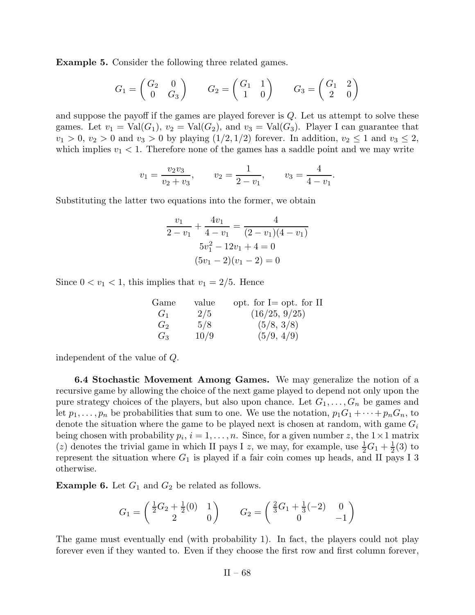**Example 5.** Consider the following three related games.

$$
G_1 = \begin{pmatrix} G_2 & 0 \\ 0 & G_3 \end{pmatrix} \qquad G_2 = \begin{pmatrix} G_1 & 1 \\ 1 & 0 \end{pmatrix} \qquad G_3 = \begin{pmatrix} G_1 & 2 \\ 2 & 0 \end{pmatrix}
$$

and suppose the payoff if the games are played forever is Q. Let us attempt to solve these games. Let  $v_1 = Val(G_1), v_2 = Val(G_2),$  and  $v_3 = Val(G_3)$ . Player I can guarantee that  $v_1 > 0$ ,  $v_2 > 0$  and  $v_3 > 0$  by playing  $(1/2, 1/2)$  forever. In addition,  $v_2 \leq 1$  and  $v_3 \leq 2$ , which implies  $v_1 < 1$ . Therefore none of the games has a saddle point and we may write

$$
v_1 = \frac{v_2 v_3}{v_2 + v_3}
$$
,  $v_2 = \frac{1}{2 - v_1}$ ,  $v_3 = \frac{4}{4 - v_1}$ .

Substituting the latter two equations into the former, we obtain

$$
\frac{v_1}{2 - v_1} + \frac{4v_1}{4 - v_1} = \frac{4}{(2 - v_1)(4 - v_1)}
$$

$$
5v_1^2 - 12v_1 + 4 = 0
$$

$$
(5v_1 - 2)(v_1 - 2) = 0
$$

Since  $0 < v_1 < 1$ , this implies that  $v_1 = 2/5$ . Hence

| Game  | value | opt. for $I = opt$ . for II |
|-------|-------|-----------------------------|
| $G_1$ | 2/5   | (16/25, 9/25)               |
| $G_2$ | 5/8   | (5/8, 3/8)                  |
| $G_3$ | 10/9  | (5/9, 4/9)                  |

independent of the value of Q.

**6.4 Stochastic Movement Among Games.** We may generalize the notion of a recursive game by allowing the choice of the next game played to depend not only upon the pure strategy choices of the players, but also upon chance. Let  $G_1, \ldots, G_n$  be games and let  $p_1,\ldots,p_n$  be probabilities that sum to one. We use the notation,  $p_1G_1+\cdots+p_nG_n$ , to denote the situation where the game to be played next is chosen at random, with game  $G_i$ being chosen with probability  $p_i$ ,  $i = 1, \ldots, n$ . Since, for a given number z, the  $1 \times 1$  matrix (*z*) denotes the trivial game in which II pays I *z*, we may, for example, use  $\frac{1}{2}G_1 + \frac{1}{2}(3)$  to represent the situation where  $G_1$  is played if a fair coin comes up heads, and II pays I 3 otherwise.

**Example 6.** Let  $G_1$  and  $G_2$  be related as follows.

$$
G_1 = \begin{pmatrix} \frac{1}{2}G_2 + \frac{1}{2}(0) & 1\\ 2 & 0 \end{pmatrix} \qquad G_2 = \begin{pmatrix} \frac{2}{3}G_1 + \frac{1}{3}(-2) & 0\\ 0 & -1 \end{pmatrix}
$$

The game must eventually end (with probability 1). In fact, the players could not play forever even if they wanted to. Even if they choose the first row and first column forever,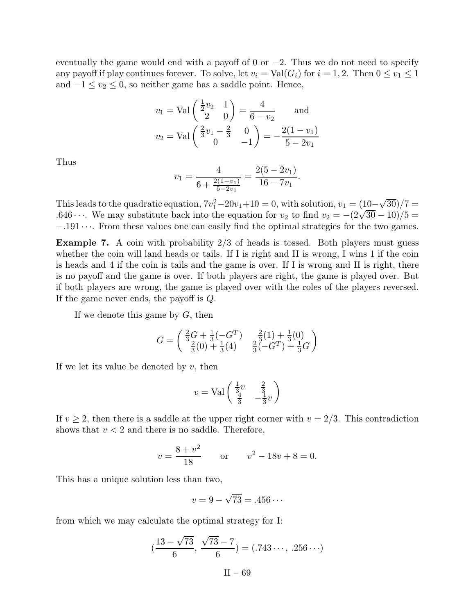eventually the game would end with a payoff of 0 or  $-2$ . Thus we do not need to specify any payoff if play continues forever. To solve, let  $v_i = \text{Val}(G_i)$  for  $i = 1, 2$ . Then  $0 \le v_1 \le 1$ and  $-1 \le v_2 \le 0$ , so neither game has a saddle point. Hence,

$$
v_1 = \text{Val}\left(\frac{\frac{1}{2}v_2}{2} - \frac{1}{0}\right) = \frac{4}{6 - v_2} \quad \text{and}
$$

$$
v_2 = \text{Val}\left(\frac{\frac{2}{3}v_1 - \frac{2}{3}}{0} - \frac{1}{1}\right) = -\frac{2(1 - v_1)}{5 - 2v_1}
$$

Thus

$$
v_1 = \frac{4}{6 + \frac{2(1 - v_1)}{5 - 2v_1}} = \frac{2(5 - 2v_1)}{16 - 7v_1}.
$$

This leads to the quadratic equation,  $7v_1^2 - 20v_1 + 10 = 0$ , with solution,  $v_1 = (10-\sqrt{30})/7 =$ .646 ···. We may substitute back into the equation for  $v_2$  to find  $v_2 = -(2\sqrt{30} - 10)/5 =$  $-191 \cdots$ . From these values one can easily find the optimal strategies for the two games.

**Example 7.** A coin with probability 2/3 of heads is tossed. Both players must guess whether the coin will land heads or tails. If I is right and II is wrong, I wins 1 if the coin is heads and 4 if the coin is tails and the game is over. If I is wrong and II is right, there is no payoff and the game is over. If both players are right, the game is played over. But if both players are wrong, the game is played over with the roles of the players reversed. If the game never ends, the payoff is Q.

If we denote this game by  $G$ , then

$$
G = \begin{pmatrix} \frac{2}{3}G + \frac{1}{3}(-G^T) & \frac{2}{3}(1) + \frac{1}{3}(0) \\ \frac{2}{3}(0) + \frac{1}{3}(4) & \frac{2}{3}(-G^T) + \frac{1}{3}G \end{pmatrix}
$$

If we let its value be denoted by  $v$ , then

$$
v = \text{Val}\left(\begin{array}{cc} \frac{1}{3}v & \frac{2}{3} \\ \frac{4}{3} & -\frac{1}{3}v \end{array}\right)
$$

If  $v \geq 2$ , then there is a saddle at the upper right corner with  $v = 2/3$ . This contradiction shows that  $v < 2$  and there is no saddle. Therefore,

$$
v = \frac{8 + v^2}{18}
$$
 or  $v^2 - 18v + 8 = 0$ .

This has a unique solution less than two,

$$
v=9-\sqrt{73}=.456\cdots
$$

from which we may calculate the optimal strategy for I:

$$
(\frac{13 - \sqrt{73}}{6}, \frac{\sqrt{73} - 7}{6}) = (.743 \cdots, .256 \cdots)
$$
  
II - 69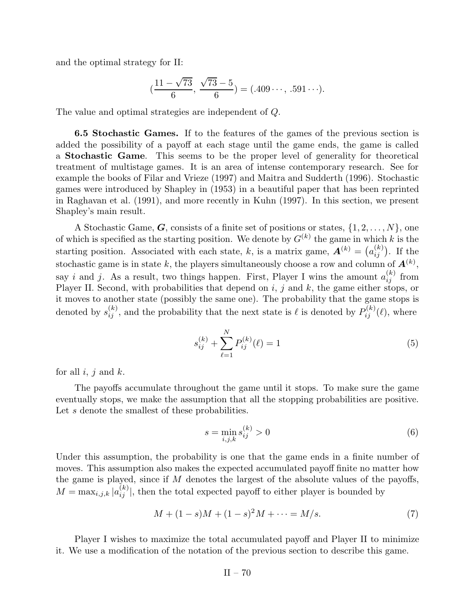and the optimal strategy for II:

$$
(\frac{11-\sqrt{73}}{6}, \frac{\sqrt{73}-5}{6}) = (.409\cdots, .591\cdots).
$$

The value and optimal strategies are independent of Q.

**6.5 Stochastic Games.** If to the features of the games of the previous section is added the possibility of a payoff at each stage until the game ends, the game is called a **Stochastic Game**. This seems to be the proper level of generality for theoretical treatment of multistage games. It is an area of intense contemporary research. See for example the books of Filar and Vrieze (1997) and Maitra and Sudderth (1996). Stochastic games were introduced by Shapley in (1953) in a beautiful paper that has been reprinted in Raghavan et al. (1991), and more recently in Kuhn (1997). In this section, we present Shapley's main result.

A Stochastic Game,  $\boldsymbol{G}$ , consists of a finite set of positions or states,  $\{1, 2, ..., N\}$ , one of which is specified as the starting position. We denote by  $G^{(k)}$  the game in which k is the starting position. Associated with each state, k, is a matrix game,  $\mathbf{A}^{(k)} = (a_{ij}^{(k)})$ . If the stochastic game is in state k, the players simultaneously choose a row and column of  $A^{(k)}$ , say *i* and *j*. As a result, two things happen. First, Player I wins the amount  $a_{ij}^{(k)}$  from Player II. Second, with probabilities that depend on  $i, j$  and  $k$ , the game either stops, or it moves to another state (possibly the same one). The probability that the game stops is denoted by  $s_{ij}^{(k)}$ , and the probability that the next state is  $\ell$  is denoted by  $P_{ij}^{(k)}(\ell)$ , where

$$
s_{ij}^{(k)} + \sum_{\ell=1}^{N} P_{ij}^{(k)}(\ell) = 1
$$
\n(5)

for all  $i, j$  and  $k$ .

The payoffs accumulate throughout the game until it stops. To make sure the game eventually stops, we make the assumption that all the stopping probabilities are positive. Let s denote the smallest of these probabilities.

$$
s = \min_{i,j,k} s_{ij}^{(k)} > 0
$$
 (6)

Under this assumption, the probability is one that the game ends in a finite number of moves. This assumption also makes the expected accumulated payoff finite no matter how the game is played, since if  $M$  denotes the largest of the absolute values of the payoffs,  $M = \max_{i,j,k} |a_{ij}^{(k)}|$ , then the total expected payoff to either player is bounded by

$$
M + (1 - s)M + (1 - s)^{2}M + \dots = M/s.
$$
 (7)

Player I wishes to maximize the total accumulated payoff and Player II to minimize it. We use a modification of the notation of the previous section to describe this game.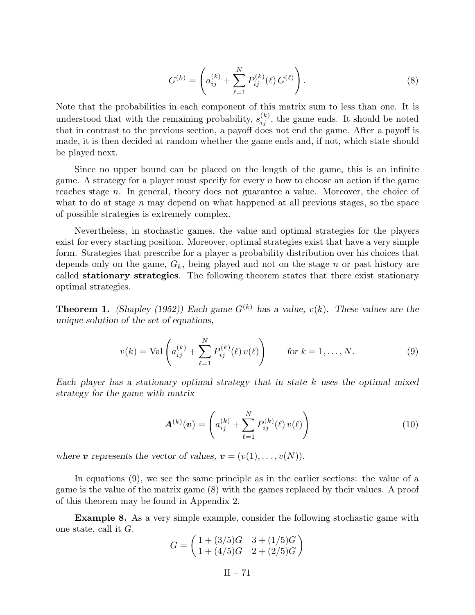$$
G^{(k)} = \left( a_{ij}^{(k)} + \sum_{\ell=1}^{N} P_{ij}^{(k)}(\ell) G^{(\ell)} \right). \tag{8}
$$

Note that the probabilities in each component of this matrix sum to less than one. It is understood that with the remaining probability,  $s_{ij}^{(k)}$ , the game ends. It should be noted that in contrast to the previous section, a payoff does not end the game. After a payoff is made, it is then decided at random whether the game ends and, if not, which state should be played next.

Since no upper bound can be placed on the length of the game, this is an infinite game. A strategy for a player must specify for every  $n$  how to choose an action if the game reaches stage n. In general, theory does not guarantee a value. Moreover, the choice of what to do at stage  $n$  may depend on what happened at all previous stages, so the space of possible strategies is extremely complex.

Nevertheless, in stochastic games, the value and optimal strategies for the players exist for every starting position. Moreover, optimal strategies exist that have a very simple form. Strategies that prescribe for a player a probability distribution over his choices that depends only on the game,  $G_k$ , being played and not on the stage n or past history are called **stationary strategies**. The following theorem states that there exist stationary optimal strategies.

**Theorem 1.** *(Shapley (1952))* Each game  $G^{(k)}$  has a value,  $v(k)$ . These values are the *unique solution of the set of equations,*

$$
v(k) = \text{Val}\left(a_{ij}^{(k)} + \sum_{\ell=1}^{N} P_{ij}^{(k)}(\ell) v(\ell)\right) \qquad \text{for } k = 1, ..., N. \tag{9}
$$

*Each player has a stationary optimal strategy that in state* k *uses the optimal mixed strategy for the game with matrix*

$$
\mathbf{A}^{(k)}(\mathbf{v}) = \left(a_{ij}^{(k)} + \sum_{\ell=1}^{N} P_{ij}^{(k)}(\ell) v(\ell)\right)
$$
(10)

where  $\bf{v}$  represents the vector of values,  $\bf{v} = (v(1), \ldots, v(N))$ .

In equations (9), we see the same principle as in the earlier sections: the value of a game is the value of the matrix game (8) with the games replaced by their values. A proof of this theorem may be found in Appendix 2.

**Example 8.** As a very simple example, consider the following stochastic game with one state, call it G.

$$
G = \begin{pmatrix} 1 + (3/5)G & 3 + (1/5)G \\ 1 + (4/5)G & 2 + (2/5)G \end{pmatrix}
$$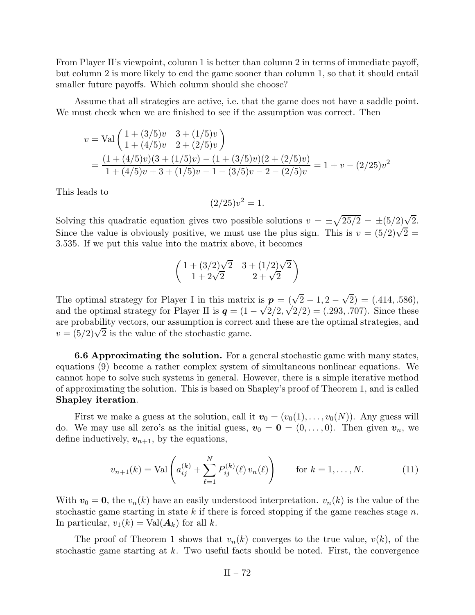From Player II's viewpoint, column 1 is better than column 2 in terms of immediate payoff, but column 2 is more likely to end the game sooner than column 1, so that it should entail smaller future payoffs. Which column should she choose?

Assume that all strategies are active, i.e. that the game does not have a saddle point. We must check when we are finished to see if the assumption was correct. Then

$$
v = \text{Val}\left(\frac{1 + (3/5)v - 3 + (1/5)v}{1 + (4/5)v - 2 + (2/5)v}\right)
$$
  
= 
$$
\frac{(1 + (4/5)v)(3 + (1/5)v) - (1 + (3/5)v)(2 + (2/5)v)}{1 + (4/5)v + 3 + (1/5)v - 1 - (3/5)v - 2 - (2/5)v} = 1 + v - (2/25)v^2
$$

This leads to

$$
(2/25)v^2 = 1.
$$

Solving this quadratic equation gives two possible solutions  $v = \pm \sqrt{25/2} = \pm (5/2)\sqrt{2}$ . Solving this quadratic equation gives two possible solutions  $v = \pm \sqrt{29}/2 = \pm (9/2)\sqrt{2}$ .<br>Since the value is obviously positive, we must use the plus sign. This is  $v = (5/2)\sqrt{2} =$ 3.535. If we put this value into the matrix above, it becomes

$$
\begin{pmatrix} 1 + (3/2)\sqrt{2} & 3 + (1/2)\sqrt{2} \\ 1 + 2\sqrt{2} & 2 + \sqrt{2} \end{pmatrix}
$$

The optimal strategy for Player I in this matrix is  $p = (\sqrt{2} - 1, 2 - \sqrt{2}) = (.414, .586),$ The optimal strategy for Player I in this matrix is  $p = (\sqrt{2} - 1, 2 - \sqrt{2}) = (.414, .380)$ ,<br>and the optimal strategy for Player II is  $q = (1 - \sqrt{2}/2, \sqrt{2}/2) = (.293, .707)$ . Since these are probability vectors, our assumption is correct and these are the optimal strategies, and  $v = (5/2)\sqrt{2}$  is the value of the stochastic game.

**6.6 Approximating the solution.** For a general stochastic game with many states, equations (9) become a rather complex system of simultaneous nonlinear equations. We cannot hope to solve such systems in general. However, there is a simple iterative method of approximating the solution. This is based on Shapley's proof of Theorem 1, and is called **Shapley iteration**.

First we make a guess at the solution, call it  $\mathbf{v}_0 = (v_0(1), \ldots, v_0(N))$ . Any guess will do. We may use all zero's as the initial guess,  $v_0 = 0 = (0, \ldots, 0)$ . Then given  $v_n$ , we define inductively,  $v_{n+1}$ , by the equations,

$$
v_{n+1}(k) = \text{Val}\left(a_{ij}^{(k)} + \sum_{\ell=1}^{N} P_{ij}^{(k)}(\ell) v_n(\ell)\right) \qquad \text{for } k = 1, ..., N. \tag{11}
$$

With  $v_0 = 0$ , the  $v_n(k)$  have an easily understood interpretation.  $v_n(k)$  is the value of the stochastic game starting in state  $k$  if there is forced stopping if the game reaches stage  $n$ . In particular,  $v_1(k) = \text{Val}(\mathbf{A}_k)$  for all k.

The proof of Theorem 1 shows that  $v_n(k)$  converges to the true value,  $v(k)$ , of the stochastic game starting at  $k$ . Two useful facts should be noted. First, the convergence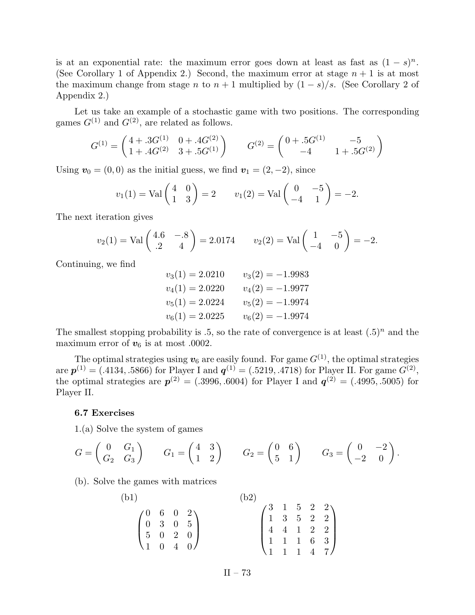is at an exponential rate: the maximum error goes down at least as fast as  $(1-s)^n$ . (See Corollary 1 of Appendix 2.) Second, the maximum error at stage  $n + 1$  is at most the maximum change from stage n to  $n + 1$  multiplied by  $(1 - s)/s$ . (See Corollary 2 of Appendix 2.)

Let us take an example of a stochastic game with two positions. The corresponding games  $G^{(1)}$  and  $G^{(2)}$ , are related as follows.

$$
G^{(1)} = \begin{pmatrix} 4+3G^{(1)} & 0+3G^{(2)} \\ 1+3G^{(2)} & 3+3G^{(1)} \end{pmatrix} \qquad G^{(2)} = \begin{pmatrix} 0+3G^{(1)} & -5 \\ -4 & 1+3G^{(2)} \end{pmatrix}
$$

Using  $v_0 = (0, 0)$  as the initial guess, we find  $v_1 = (2, -2)$ , since

$$
v_1(1) = \text{Val}\begin{pmatrix} 4 & 0 \\ 1 & 3 \end{pmatrix} = 2
$$
  $v_1(2) = \text{Val}\begin{pmatrix} 0 & -5 \\ -4 & 1 \end{pmatrix} = -2.$ 

The next iteration gives

$$
v_2(1) = \text{Val}\begin{pmatrix} 4.6 & -.8 \\ .2 & 4 \end{pmatrix} = 2.0174
$$
  $v_2(2) = \text{Val}\begin{pmatrix} 1 & -5 \\ -4 & 0 \end{pmatrix} = -2.$ 

Continuing, we find

| $v_3(1) = 2.0210$ | $v_3(2) = -1.9983$ |
|-------------------|--------------------|
| $v_4(1) = 2.0220$ | $v_4(2) = -1.9977$ |
| $v_5(1) = 2.0224$ | $v_5(2) = -1.9974$ |
| $v_6(1) = 2.0225$ | $v_6(2) = -1.9974$ |

The smallest stopping probability is .5, so the rate of convergence is at least  $(.5)^n$  and the maximum error of  $v_6$  is at most .0002.

The optimal strategies using  $v_6$  are easily found. For game  $G^{(1)}$ , the optimal strategies are  $p^{(1)} = (.4134, .5866)$  for Player I and  $q^{(1)} = (.5219, .4718)$  for Player II. For game  $G^{(2)}$ , the optimal strategies are  $p^{(2)} = (.3996, .6004)$  for Player I and  $q^{(2)} = (.4995, .5005)$  for Player II.

## **6.7 Exercises**

1.(a) Solve the system of games

$$
G = \begin{pmatrix} 0 & G_1 \\ G_2 & G_3 \end{pmatrix} \qquad G_1 = \begin{pmatrix} 4 & 3 \\ 1 & 2 \end{pmatrix} \qquad G_2 = \begin{pmatrix} 0 & 6 \\ 5 & 1 \end{pmatrix} \qquad G_3 = \begin{pmatrix} 0 & -2 \\ -2 & 0 \end{pmatrix}.
$$

(b). Solve the games with matrices

| (b1) |  |                                                                                                  |  |  |  |                                                                                                                                       |
|------|--|--------------------------------------------------------------------------------------------------|--|--|--|---------------------------------------------------------------------------------------------------------------------------------------|
|      |  | $\begin{pmatrix} 0 & 6 & 0 & 2 \\ 0 & 3 & 0 & 5 \\ 5 & 0 & 2 & 0 \\ 1 & 0 & 4 & 0 \end{pmatrix}$ |  |  |  | $\begin{pmatrix} 3 & 1 & 5 & 2 & 2 \\ 1 & 3 & 5 & 2 & 2 \\ 4 & 4 & 1 & 2 & 2 \\ 1 & 1 & 1 & 6 & 3 \\ 1 & 1 & 1 & 4 & 7 \end{pmatrix}$ |
|      |  |                                                                                                  |  |  |  |                                                                                                                                       |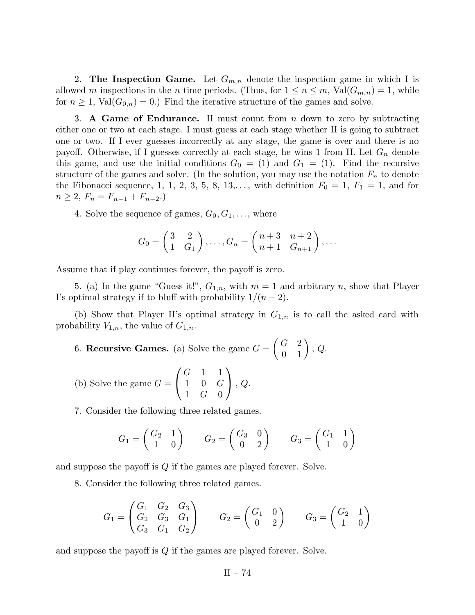2. **The Inspection Game.** Let  $G_{m,n}$  denote the inspection game in which I is allowed m inspections in the n time periods. (Thus, for  $1 \leq n \leq m$ , Val $(G_{m,n}) = 1$ , while for  $n \geq 1$ , Val $(G_{0,n}) = 0$ .) Find the iterative structure of the games and solve.

3. **A Game of Endurance.** II must count from n down to zero by subtracting either one or two at each stage. I must guess at each stage whether II is going to subtract one or two. If I ever guesses incorrectly at any stage, the game is over and there is no payoff. Otherwise, if I guesses correctly at each stage, he wins 1 from II. Let  $G_n$  denote this game, and use the initial conditions  $G_0 = (1)$  and  $G_1 = (1)$ . Find the recursive structure of the games and solve. (In the solution, you may use the notation  $F_n$  to denote the Fibonacci sequence, 1, 1, 2, 3, 5, 8, 13,..., with definition  $F_0 = 1$ ,  $F_1 = 1$ , and for  $n \geq 2$ ,  $F_n = F_{n-1} + F_{n-2}$ .

4. Solve the sequence of games,  $G_0, G_1, \ldots$ , where

$$
G_0 = \begin{pmatrix} 3 & 2 \\ 1 & G_1 \end{pmatrix}, \dots, G_n = \begin{pmatrix} n+3 & n+2 \\ n+1 & G_{n+1} \end{pmatrix}, \dots
$$

Assume that if play continues forever, the payoff is zero.

5. (a) In the game "Guess it!",  $G_{1,n}$ , with  $m = 1$  and arbitrary n, show that Player I's optimal strategy if to bluff with probability  $1/(n+2)$ .

(b) Show that Player II's optimal strategy in  $G_{1,n}$  is to call the asked card with probability  $V_{1,n}$ , the value of  $G_{1,n}$ .

6. **Recursive Games.** (a) Solve the game  $G = \begin{pmatrix} G & 2 \\ 0 & 1 \end{pmatrix}$ , Q.

(b) Solve the game 
$$
G = \begin{pmatrix} G & 1 & 1 \\ 1 & 0 & G \\ 1 & G & 0 \end{pmatrix}
$$
, Q.

7. Consider the following three related games.

$$
G_1 = \begin{pmatrix} G_2 & 1 \\ 1 & 0 \end{pmatrix} \qquad G_2 = \begin{pmatrix} G_3 & 0 \\ 0 & 2 \end{pmatrix} \qquad G_3 = \begin{pmatrix} G_1 & 1 \\ 1 & 0 \end{pmatrix}
$$

and suppose the payoff is Q if the games are played forever. Solve.

8. Consider the following three related games.

$$
G_1 = \begin{pmatrix} G_1 & G_2 & G_3 \\ G_2 & G_3 & G_1 \\ G_3 & G_1 & G_2 \end{pmatrix} \qquad G_2 = \begin{pmatrix} G_1 & 0 \\ 0 & 2 \end{pmatrix} \qquad G_3 = \begin{pmatrix} G_2 & 1 \\ 1 & 0 \end{pmatrix}
$$

and suppose the payoff is Q if the games are played forever. Solve.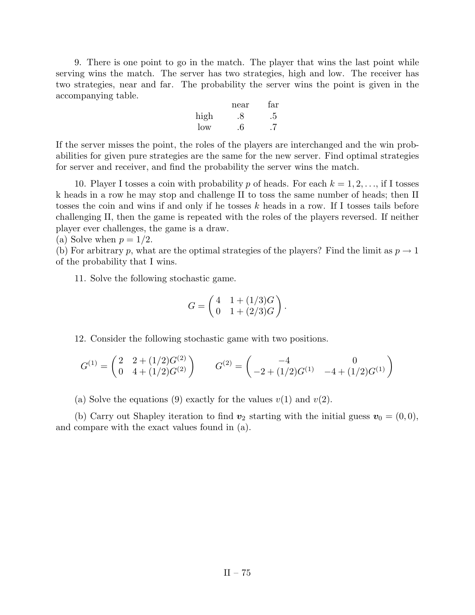9. There is one point to go in the match. The player that wins the last point while serving wins the match. The server has two strategies, high and low. The receiver has two strategies, near and far. The probability the server wins the point is given in the accompanying table.

|      | near | far |
|------|------|-----|
| high | .8   | .5  |
| low  | .6   | .7  |

If the server misses the point, the roles of the players are interchanged and the win probabilities for given pure strategies are the same for the new server. Find optimal strategies for server and receiver, and find the probability the server wins the match.

10. Player I tosses a coin with probability p of heads. For each  $k = 1, 2, \ldots$ , if I tosses k heads in a row he may stop and challenge II to toss the same number of heads; then II tosses the coin and wins if and only if he tosses k heads in a row. If I tosses tails before challenging II, then the game is repeated with the roles of the players reversed. If neither player ever challenges, the game is a draw.

(a) Solve when  $p = 1/2$ .

(b) For arbitrary p, what are the optimal strategies of the players? Find the limit as  $p \to 1$ of the probability that I wins.

11. Solve the following stochastic game.

$$
G = \begin{pmatrix} 4 & 1 + (1/3)G \\ 0 & 1 + (2/3)G \end{pmatrix}.
$$

12. Consider the following stochastic game with two positions.

$$
G^{(1)} = \begin{pmatrix} 2 & 2 + (1/2)G^{(2)} \\ 0 & 4 + (1/2)G^{(2)} \end{pmatrix} \qquad G^{(2)} = \begin{pmatrix} -4 & 0 \\ -2 + (1/2)G^{(1)} & -4 + (1/2)G^{(1)} \end{pmatrix}
$$

(a) Solve the equations (9) exactly for the values  $v(1)$  and  $v(2)$ .

(b) Carry out Shapley iteration to find  $v_2$  starting with the initial guess  $v_0 = (0,0)$ , and compare with the exact values found in (a).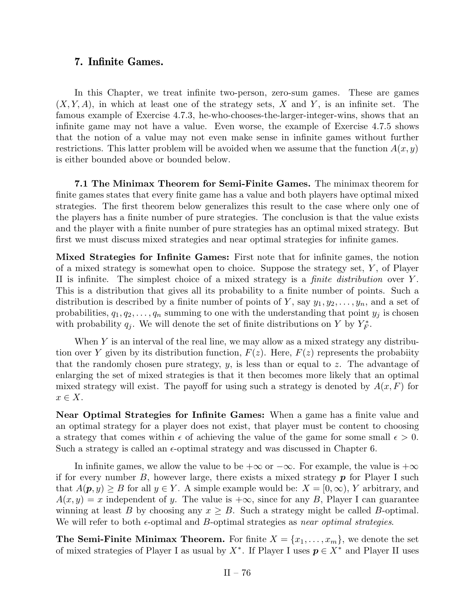## **7. Infinite Games.**

In this Chapter, we treat infinite two-person, zero-sum games. These are games  $(X, Y, A)$ , in which at least one of the strategy sets, X and Y, is an infinite set. The famous example of Exercise 4.7.3, he-who-chooses-the-larger-integer-wins, shows that an infinite game may not have a value. Even worse, the example of Exercise 4.7.5 shows that the notion of a value may not even make sense in infinite games without further restrictions. This latter problem will be avoided when we assume that the function  $A(x, y)$ is either bounded above or bounded below.

**7.1 The Minimax Theorem for Semi-Finite Games.** The minimax theorem for finite games states that every finite game has a value and both players have optimal mixed strategies. The first theorem below generalizes this result to the case where only one of the players has a finite number of pure strategies. The conclusion is that the value exists and the player with a finite number of pure strategies has an optimal mixed strategy. But first we must discuss mixed strategies and near optimal strategies for infinite games.

**Mixed Strategies for Infinite Games:** First note that for infinite games, the notion of a mixed strategy is somewhat open to choice. Suppose the strategy set, Y , of Player II is infinite. The simplest choice of a mixed strategy is a *finite distribution* over  $Y$ . This is a distribution that gives all its probability to a finite number of points. Such a distribution is described by a finite number of points of Y, say  $y_1, y_2, \ldots, y_n$ , and a set of probabilities,  $q_1, q_2, \ldots, q_n$  summing to one with the understanding that point  $y_j$  is chosen with probability  $q_j$ . We will denote the set of finite distributions on Y by  $Y_F^*$ .

When Y is an interval of the real line, we may allow as a mixed strategy any distribution over Y given by its distribution function,  $F(z)$ . Here,  $F(z)$  represents the probabiity that the randomly chosen pure strategy,  $y$ , is less than or equal to z. The advantage of enlarging the set of mixed strategies is that it then becomes more likely that an optimal mixed strategy will exist. The payoff for using such a strategy is denoted by  $A(x, F)$  for  $x \in X$ .

**Near Optimal Strategies for Infinite Games:** When a game has a finite value and an optimal strategy for a player does not exist, that player must be content to choosing a strategy that comes within  $\epsilon$  of achieving the value of the game for some small  $\epsilon > 0$ . Such a strategy is called an  $\epsilon$ -optimal strategy and was discussed in Chapter 6.

In infinite games, we allow the value to be  $+\infty$  or  $-\infty$ . For example, the value is  $+\infty$ if for every number B, however large, there exists a mixed strategy *p* for Player I such that  $A(\mathbf{p}, y) \geq B$  for all  $y \in Y$ . A simple example would be:  $X = [0, \infty)$ , Y arbitrary, and  $A(x, y) = x$  independent of y. The value is  $+\infty$ , since for any B, Player I can guarantee winning at least B by choosing any  $x \geq B$ . Such a strategy might be called B-optimal. We will refer to both  $\epsilon$ -optimal and B-optimal strategies as near optimal strategies.

**The Semi-Finite Minimax Theorem.** For finite  $X = \{x_1, \ldots, x_m\}$ , we denote the set of mixed strategies of Player I as usual by  $X^*$ . If Player I uses  $p \in X^*$  and Player II uses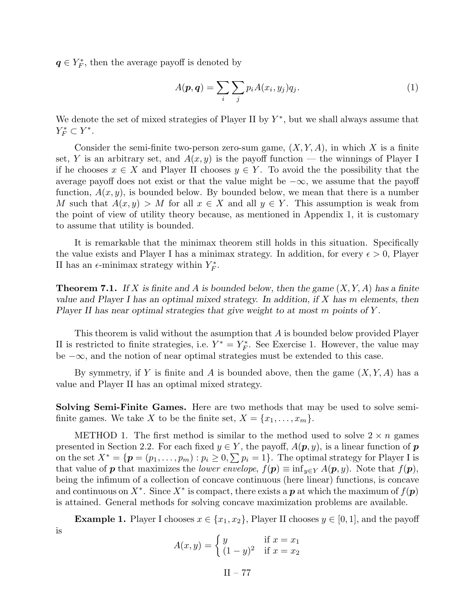$q \in Y_F^*$ , then the average payoff is denoted by

$$
A(\boldsymbol{p}, \boldsymbol{q}) = \sum_{i} \sum_{j} p_i A(x_i, y_j) q_j.
$$
 (1)

We denote the set of mixed strategies of Player II by  $Y^*$ , but we shall always assume that  $Y^*_{F} \subset Y^*$ .

Consider the semi-finite two-person zero-sum game,  $(X, Y, A)$ , in which X is a finite set, Y is an arbitrary set, and  $A(x, y)$  is the payoff function — the winnings of Player I if he chooses  $x \in X$  and Player II chooses  $y \in Y$ . To avoid the the possibility that the average payoff does not exist or that the value might be  $-\infty$ , we assume that the payoff function,  $A(x, y)$ , is bounded below. By bounded below, we mean that there is a number M such that  $A(x, y) > M$  for all  $x \in X$  and all  $y \in Y$ . This assumption is weak from the point of view of utility theory because, as mentioned in Appendix 1, it is customary to assume that utility is bounded.

It is remarkable that the minimax theorem still holds in this situation. Specifically the value exists and Player I has a minimax strategy. In addition, for every  $\epsilon > 0$ , Player II has an  $\epsilon$ -minimax strategy within  $Y_F^*$ .

**Theorem 7.1.** *If* X *is finite and* A *is bounded below, then the game* (X, Y, A) *has a finite value and Player I has an optimal mixed strategy. In addition, if* X *has* m *elements, then Player II has near optimal strategies that give weight to at most* m *points of* Y *.*

This theorem is valid without the asumption that A is bounded below provided Player II is restricted to finite strategies, i.e.  $Y^* = Y_F^*$ . See Exercise 1. However, the value may be  $-\infty$ , and the notion of near optimal strategies must be extended to this case.

By symmetry, if Y is finite and A is bounded above, then the game  $(X, Y, A)$  has a value and Player II has an optimal mixed strategy.

**Solving Semi-Finite Games.** Here are two methods that may be used to solve semifinite games. We take X to be the finite set,  $X = \{x_1, \ldots, x_m\}$ .

METHOD 1. The first method is similar to the method used to solve  $2 \times n$  games presented in Section 2.2. For each fixed  $y \in Y$ , the payoff,  $A(\mathbf{p}, y)$ , is a linear function of  $\mathbf{p}$ on the set  $X^* = \{p = (p_1, \ldots, p_m) : p_i \ge 0, \sum p_i = 1\}$ . The optimal strategy for Player I is that value of *p* that maximizes the *lower envelope*,  $f(\mathbf{p}) \equiv \inf_{y \in Y} A(\mathbf{p}, y)$ . Note that  $f(\mathbf{p})$ , being the infimum of a collection of concave continuous (here linear) functions, is concave and continuous on  $X^*$ . Since  $X^*$  is compact, there exists a **p** at which the maximum of  $f(\mathbf{p})$ is attained. General methods for solving concave maximization problems are available.

**Example 1.** Player I chooses  $x \in \{x_1, x_2\}$ , Player II chooses  $y \in [0, 1]$ , and the payoff is

$$
A(x,y) = \begin{cases} y & \text{if } x = x_1 \\ (1-y)^2 & \text{if } x = x_2 \end{cases}
$$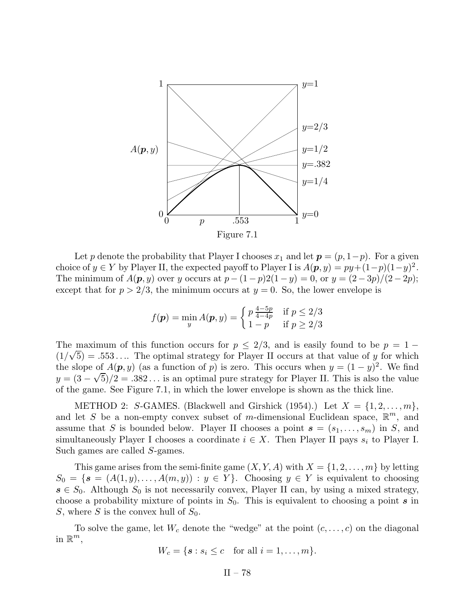

Let p denote the probability that Player I chooses  $x_1$  and let  $p = (p, 1-p)$ . For a given choice of y ∈ Y by Player II, the expected payoff to Player I is  $A(\mathbf{p}, y) = py + (1-p)(1-y)^2$ . The minimum of  $A(p, y)$  over y occurs at  $p - (1 - p)2(1 - y) = 0$ , or  $y = (2 - 3p)/(2 - 2p)$ ; except that for  $p > 2/3$ , the minimum occurs at  $y = 0$ . So, the lower envelope is

$$
f(\mathbf{p}) = \min_{y} A(\mathbf{p}, y) = \begin{cases} p \frac{4-5p}{4-4p} & \text{if } p \le 2/3 \\ 1-p & \text{if } p \ge 2/3 \end{cases}
$$

The maximum of this function occurs for  $p \leq 2/3$ , and is easily found to be  $p = 1 -$ The maximum of this function occurs for  $p \le 2/3$ , and is easily found to be  $p = 1 - (1/\sqrt{5}) = .553...$  The optimal strategy for Player II occurs at that value of y for which the slope of  $A(\mathbf{p}, y)$  (as a function of p) is zero. This occurs when  $y = (1 - y)^2$ . We find  $y = (3 - \sqrt{5})/2 = .382...$  is an optimal pure strategy for Player II. This is also the value of the game. See Figure 7.1, in which the lower envelope is shown as the thick line.

METHOD 2: S-GAMES. (Blackwell and Girshick (1954).) Let  $X = \{1, 2, \ldots, m\},\$ and let S be a non-empty convex subset of m-dimensional Euclidean space,  $\mathbb{R}^m$ , and assume that S is bounded below. Player II chooses a point  $\mathbf{s} = (s_1, \ldots, s_m)$  in S, and simultaneously Player I chooses a coordinate  $i \in X$ . Then Player II pays  $s_i$  to Player I. Such games are called S-games.

This game arises from the semi-finite game  $(X, Y, A)$  with  $X = \{1, 2, \ldots, m\}$  by letting  $S_0 = \{s \in (A(1,y), \ldots, A(m,y)) : y \in Y\}.$  Choosing  $y \in Y$  is equivalent to choosing  $s \in S_0$ . Although  $S_0$  is not necessarily convex, Player II can, by using a mixed strategy, choose a probability mixture of points in S0. This is equivalent to choosing a point *s* in S, where S is the convex hull of  $S_0$ .

To solve the game, let  $W_c$  denote the "wedge" at the point  $(c, \ldots, c)$  on the diagonal in  $\mathbb{R}^m$ ,

$$
W_c = \{ \mathbf{s} : s_i \leq c \quad \text{for all } i = 1, \dots, m \}.
$$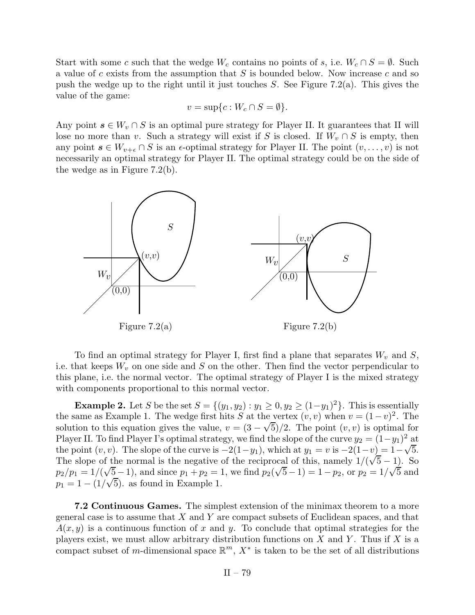Start with some c such that the wedge  $W_c$  contains no points of s, i.e.  $W_c \cap S = \emptyset$ . Such a value of c exists from the assumption that  $S$  is bounded below. Now increase c and so push the wedge up to the right until it just touches S. See Figure 7.2(a). This gives the value of the game:

$$
v = \sup\{c : W_c \cap S = \emptyset\}.
$$

Any point  $s \in W_v \cap S$  is an optimal pure strategy for Player II. It guarantees that II will lose no more than v. Such a strategy will exist if S is closed. If  $W_v \cap S$  is empty, then any point  $s \in W_{v+\epsilon} \cap S$  is an  $\epsilon$ -optimal strategy for Player II. The point  $(v,\ldots,v)$  is not necessarily an optimal strategy for Player II. The optimal strategy could be on the side of the wedge as in Figure 7.2(b).



To find an optimal strategy for Player I, first find a plane that separates  $W_v$  and S, i.e. that keeps  $W_v$  on one side and S on the other. Then find the vector perpendicular to this plane, i.e. the normal vector. The optimal strategy of Player I is the mixed strategy with components proportional to this normal vector.

**Example 2.** Let S be the set  $S = \{(y_1, y_2) : y_1 \geq 0, y_2 \geq (1-y_1)^2\}$ . This is essentially the same as Example 1. The wedge first hits S at the vertex  $(v, v)$  when  $v = (1-v)^2$ . The solution to this equation gives the value,  $v = (3 - \sqrt{5})/2$ . The point  $(v, v)$  is optimal for Player II. To find Player I's optimal strategy, we find the slope of the curve  $y_2 = (1-y_1)^2$  at the point  $(v, v)$ . The slope of the curve is  $-2(1-y_1)$ , which at  $y_1 = v$  is  $-2(1-v) = 1-\sqrt{5}$ . The slope of the normal is the negative of the reciprocal of this, namely  $1/(\sqrt{5}-1)$ . So<br>The slope of the normal is the negative of the reciprocal of this, namely  $1/(\sqrt{5}-1)$ . So The slope of the normal is the negative of the reciprocal of this, namely  $1/(\sqrt{5}-1)$ . So  $p_2/p_1 = 1/(\sqrt{5}-1)$ , and since  $p_1 + p_2 = 1$ , we find  $p_2(\sqrt{5}-1) = 1-p_2$ , or  $p_2 = 1/\sqrt{5}$  and  $p_1 = 1 - (1/\sqrt{5})$ . as found in Example 1.

**7.2 Continuous Games.** The simplest extension of the minimax theorem to a more general case is to assume that  $X$  and  $Y$  are compact subsets of Euclidean spaces, and that  $A(x, y)$  is a continuous function of x and y. To conclude that optimal strategies for the players exist, we must allow arbitrary distribution functions on  $X$  and  $Y$ . Thus if  $X$  is a compact subset of m-dimensional space  $\mathbb{R}^m$ ,  $X^*$  is taken to be the set of all distributions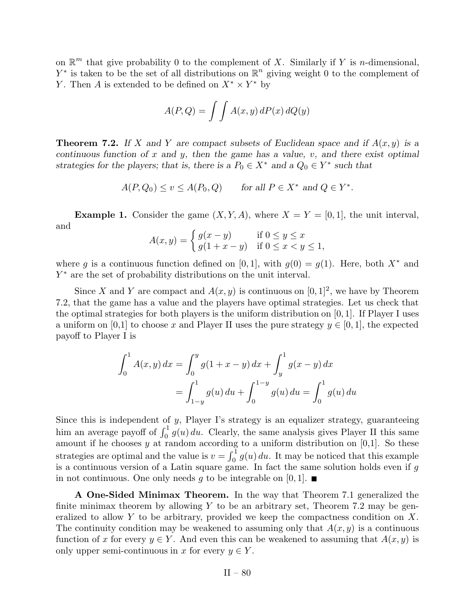on  $\mathbb{R}^m$  that give probability 0 to the complement of X. Similarly if Y is n-dimensional,  $Y^*$  is taken to be the set of all distributions on  $\mathbb{R}^n$  giving weight 0 to the complement of Y. Then A is extended to be defined on  $X^* \times Y^*$  by

$$
A(P,Q) = \int \int A(x,y) \, dP(x) \, dQ(y)
$$

**Theorem 7.2.** If X and Y are compact subsets of Euclidean space and if  $A(x, y)$  is a *continuous function of* x *and* y*, then the game has a value,* v*, and there exist optimal strategies for the players; that is, there is a*  $P_0 \in X^*$  *and a*  $Q_0 \in Y^*$  *such that* 

$$
A(P,Q_0) \le v \le A(P_0,Q) \qquad \text{for all } P \in X^* \text{ and } Q \in Y^*.
$$

**Example 1.** Consider the game  $(X, Y, A)$ , where  $X = Y = [0, 1]$ , the unit interval, and

$$
A(x,y) = \begin{cases} g(x-y) & \text{if } 0 \le y \le x \\ g(1+x-y) & \text{if } 0 \le x < y \le 1, \end{cases}
$$

where g is a continuous function defined on [0, 1], with  $g(0) = g(1)$ . Here, both  $X^*$  and  $Y^*$  are the set of probability distributions on the unit interval.

Since X and Y are compact and  $A(x, y)$  is continuous on [0, 1]<sup>2</sup>, we have by Theorem 7.2, that the game has a value and the players have optimal strategies. Let us check that the optimal strategies for both players is the uniform distribution on  $[0, 1]$ . If Player I uses a uniform on [0,1] to choose x and Player II uses the pure strategy  $y \in [0,1]$ , the expected payoff to Player I is

$$
\int_0^1 A(x, y) dx = \int_0^y g(1 + x - y) dx + \int_y^1 g(x - y) dx
$$
  
= 
$$
\int_{1-y}^1 g(u) du + \int_0^{1-y} g(u) du = \int_0^1 g(u) du
$$

Since this is independent of y, Player I's strategy is an equalizer strategy, guaranteeing him an average payoff of  $\int_0^1 g(u) du$ . Clearly, the same analysis gives Player II this same amount if he chooses y at random according to a uniform distribution on  $[0,1]$ . So these strategies are optimal and the value is  $v = \int_0^1 g(u) du$ . It may be noticed that this example is a continuous version of a Latin square game. In fact the same solution holds even if  $g$ in not continuous. One only needs q to be integrable on [0, 1].

**A One-Sided Minimax Theorem.** In the way that Theorem 7.1 generalized the finite minimax theorem by allowing  $Y$  to be an arbitrary set, Theorem 7.2 may be generalized to allow  $Y$  to be arbitrary, provided we keep the compactness condition on  $X$ . The continuity condition may be weakened to assuming only that  $A(x, y)$  is a continuous function of x for every  $y \in Y$ . And even this can be weakened to assuming that  $A(x, y)$  is only upper semi-continuous in x for every  $y \in Y$ .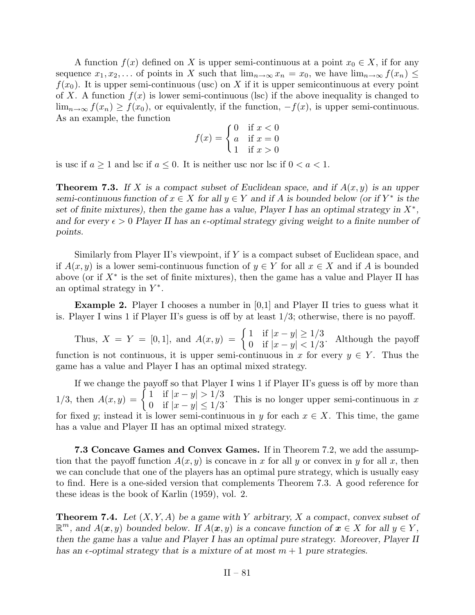A function  $f(x)$  defined on X is upper semi-continuous at a point  $x_0 \in X$ , if for any sequence  $x_1, x_2,...$  of points in X such that  $\lim_{n\to\infty} x_n = x_0$ , we have  $\lim_{n\to\infty} f(x_n) \le$  $f(x_0)$ . It is upper semi-continuous (usc) on X if it is upper semicontinuous at every point of X. A function  $f(x)$  is lower semi-continuous (lsc) if the above inequality is changed to  $\lim_{n\to\infty} f(x_n) \ge f(x_0)$ , or equivalently, if the function,  $-f(x)$ , is upper semi-continuous. As an example, the function

$$
f(x) = \begin{cases} 0 & \text{if } x < 0 \\ a & \text{if } x = 0 \\ 1 & \text{if } x > 0 \end{cases}
$$

is usc if  $a \ge 1$  and lsc if  $a \le 0$ . It is neither usc nor lsc if  $0 < a < 1$ .

**Theorem 7.3.** If X is a compact subset of Euclidean space, and if  $A(x, y)$  is an upper *semi-continuous function of*  $x \in X$  *for all*  $y \in Y$  *and if* A *is bounded below (or if*  $Y^*$  *is the* set of finite mixtures), then the game has a value, Player I has an optimal strategy in  $X^*$ , and for every  $\epsilon > 0$  Player II has an  $\epsilon$ -optimal strategy giving weight to a finite number of *points.*

Similarly from Player II's viewpoint, if Y is a compact subset of Euclidean space, and if  $A(x, y)$  is a lower semi-continuous function of  $y \in Y$  for all  $x \in X$  and if A is bounded above (or if  $X^*$  is the set of finite mixtures), then the game has a value and Player II has an optimal strategy in  $Y^*$ .

**Example 2.** Player I chooses a number in [0,1] and Player II tries to guess what it is. Player I wins 1 if Player II's guess is off by at least 1/3; otherwise, there is no payoff.

Thus,  $X = Y = [0, 1]$ , and  $A(x, y) = \begin{cases} 1 & \text{if } |x - y| \ge 1/3 \\ 0 & \text{if } |x - y| < 1/3 \end{cases}$ . Although the payoff function is not continuous, it is upper semi-continuous in x for every  $y \in Y$ . Thus the game has a value and Player I has an optimal mixed strategy.

If we change the payoff so that Player I wins 1 if Player II's guess is off by more than 1/3, then  $A(x,y) = \begin{cases} 1 & \text{if } |x-y| > 1/3 \\ 0 & \text{if } |x-y| \leq 1/3 \end{cases}$ . This is no longer upper semi-continuous in x for fixed y; instead it is lower semi-continuous in y for each  $x \in X$ . This time, the game has a value and Player II has an optimal mixed strategy.

**7.3 Concave Games and Convex Games.** If in Theorem 7.2, we add the assumption that the payoff function  $A(x, y)$  is concave in x for all y or convex in y for all x, then we can conclude that one of the players has an optimal pure strategy, which is usually easy to find. Here is a one-sided version that complements Theorem 7.3. A good reference for these ideas is the book of Karlin (1959), vol. 2.

**Theorem 7.4.** *Let* (X, Y, A) *be a game with* Y *arbitrary,* X *a compact, convex subset of*  $\mathbb{R}^m$ , and  $A(x, y)$  bounded below. If  $A(x, y)$  is a concave function of  $x \in X$  for all  $y \in Y$ , *then the game has a value and Player I has an optimal pure strategy. Moreover, Player II* has an  $\epsilon$ -optimal strategy that is a mixture of at most  $m + 1$  pure strategies.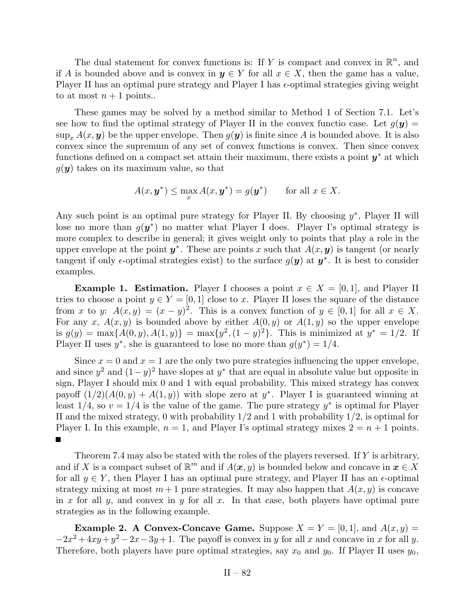The dual statement for convex functions is: If Y is compact and convex in  $\mathbb{R}^n$ , and if A is bounded above and is convex in  $y \in Y$  for all  $x \in X$ , then the game has a value, Player II has an optimal pure strategy and Player I has  $\epsilon$ -optimal strategies giving weight to at most  $n+1$  points..

These games may be solved by a method similar to Method 1 of Section 7.1. Let's see how to find the optimal strategy of Player II in the convex functio case. Let  $g(\mathbf{y}) =$  $\sup_x A(x, y)$  be the upper envelope. Then  $g(y)$  is finite since A is bounded above. It is also convex since the supremum of any set of convex functions is convex. Then since convex functions defined on a compact set attain their maximum, there exists a point *y*<sup>∗</sup> at which  $g(y)$  takes on its maximum value, so that

$$
A(x, y^*) \le \max_x A(x, y^*) = g(y^*) \quad \text{for all } x \in X.
$$

Any such point is an optimal pure strategy for Player II. By choosing  $y^*$ , Player II will lose no more than  $q(\mathbf{y}^*)$  no matter what Player I does. Player I's optimal strategy is more complex to describe in general; it gives weight only to points that play a role in the upper envelope at the point  $y^*$ . These are points x such that  $A(x, y)$  is tangent (or nearly tangent if only  $\epsilon$ -optimal strategies exist) to the surface  $g(y)$  at  $y^*$ . It is best to consider examples.

**Example 1. Estimation.** Player I chooses a point  $x \in X = [0, 1]$ , and Player II tries to choose a point  $y \in Y = [0, 1]$  close to x. Player II loses the square of the distance from x to y:  $A(x, y) = (x - y)^2$ . This is a convex function of  $y \in [0, 1]$  for all  $x \in X$ . For any x,  $A(x, y)$  is bounded above by either  $A(0, y)$  or  $A(1, y)$  so the upper envelope is  $g(y) = \max\{A(0, y), A(1, y)\} = \max\{y^2, (1 - y)^2\}$ . This is minimized at  $y^* = 1/2$ . If Player II uses  $y^*$ , she is guaranteed to lose no more than  $g(y^*)=1/4$ .

Since  $x = 0$  and  $x = 1$  are the only two pure strategies influencing the upper envelope, and since  $y^2$  and  $(1-y)^2$  have slopes at  $y^*$  that are equal in absolute value but opposite in sign, Player I should mix 0 and 1 with equal probability. This mixed strategy has convex payoff  $(1/2)(A(0, y) + A(1, y))$  with slope zero at y<sup>\*</sup>. Player I is guaranteed winning at least  $1/4$ , so  $v = 1/4$  is the value of the game. The pure strategy  $y^*$  is optimal for Player II and the mixed strategy, 0 with probability  $1/2$  and 1 with probability  $1/2$ , is optimal for Player I. In this example,  $n = 1$ , and Player I's optimal strategy mixes  $2 = n + 1$  points.

Theorem 7.4 may also be stated with the roles of the players reversed. If Y is arbitrary, and if X is a compact subset of  $\mathbb{R}^m$  and if  $A(x, y)$  is bounded below and concave in  $x \in X$ for all  $y \in Y$ , then Player I has an optimal pure strategy, and Player II has an  $\epsilon$ -optimal strategy mixing at most  $m+1$  pure strategies. It may also happen that  $A(x, y)$  is concave in x for all y, and convex in y for all x. In that case, both players have optimal pure strategies as in the following example.

**Example 2. A Convex-Concave Game.** Suppose  $X = Y = [0, 1]$ , and  $A(x, y) =$  $-2x^2+4xy+y^2-2x-3y+1$ . The payoff is convex in y for all x and concave in x for all y. Therefore, both players have pure optimal strategies, say  $x_0$  and  $y_0$ . If Player II uses  $y_0$ ,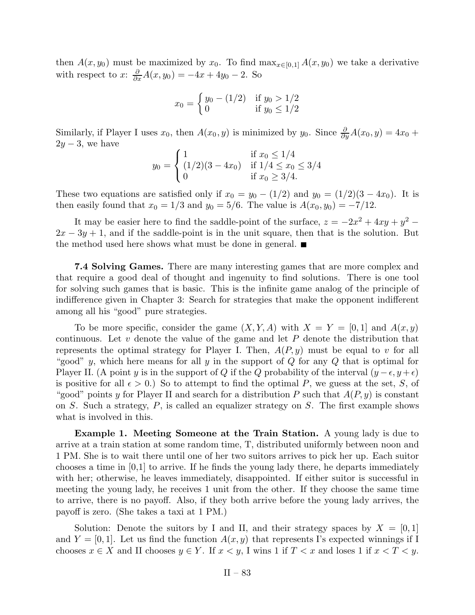then  $A(x, y_0)$  must be maximized by  $x_0$ . To find  $\max_{x \in [0,1]} A(x, y_0)$  we take a derivative with respect to x:  $\frac{\partial}{\partial x}A(x, y_0) = -4x + 4y_0 - 2$ . So

$$
x_0 = \begin{cases} y_0 - (1/2) & \text{if } y_0 > 1/2 \\ 0 & \text{if } y_0 \le 1/2 \end{cases}
$$

Similarly, if Player I uses  $x_0$ , then  $A(x_0, y)$  is minimized by  $y_0$ . Since  $\frac{\partial}{\partial y}A(x_0, y) = 4x_0 +$  $2y - 3$ , we have

$$
y_0 = \begin{cases} 1 & \text{if } x_0 \le 1/4 \\ (1/2)(3 - 4x_0) & \text{if } 1/4 \le x_0 \le 3/4 \\ 0 & \text{if } x_0 \ge 3/4. \end{cases}
$$

These two equations are satisfied only if  $x_0 = y_0 - (1/2)$  and  $y_0 = (1/2)(3 - 4x_0)$ . It is then easily found that  $x_0 = 1/3$  and  $y_0 = 5/6$ . The value is  $A(x_0, y_0) = -7/12$ .

It may be easier here to find the saddle-point of the surface,  $z = -2x^2 + 4xy + y^2 2x - 3y + 1$ , and if the saddle-point is in the unit square, then that is the solution. But the method used here shows what must be done in general.  $\blacksquare$ 

**7.4 Solving Games.** There are many interesting games that are more complex and that require a good deal of thought and ingenuity to find solutions. There is one tool for solving such games that is basic. This is the infinite game analog of the principle of indifference given in Chapter 3: Search for strategies that make the opponent indifferent among all his "good" pure strategies.

To be more specific, consider the game  $(X, Y, A)$  with  $X = Y = [0, 1]$  and  $A(x, y)$ continuous. Let  $v$  denote the value of the game and let  $P$  denote the distribution that represents the optimal strategy for Player I. Then,  $A(P, y)$  must be equal to v for all "good" y, which here means for all y in the support of  $Q$  for any  $Q$  that is optimal for Player II. (A point y is in the support of Q if the Q probability of the interval  $(y - \epsilon, y + \epsilon)$ is positive for all  $\epsilon > 0$ .) So to attempt to find the optimal P, we guess at the set, S, of "good" points y for Player II and search for a distribution P such that  $A(P, y)$  is constant on S. Such a strategy,  $P$ , is called an equalizer strategy on S. The first example shows what is involved in this.

**Example 1. Meeting Someone at the Train Station.** A young lady is due to arrive at a train station at some random time, T, distributed uniformly between noon and 1 PM. She is to wait there until one of her two suitors arrives to pick her up. Each suitor chooses a time in  $[0,1]$  to arrive. If he finds the young lady there, he departs immediately with her; otherwise, he leaves immediately, disappointed. If either suitor is successful in meeting the young lady, he receives 1 unit from the other. If they choose the same time to arrive, there is no payoff. Also, if they both arrive before the young lady arrives, the payoff is zero. (She takes a taxi at 1 PM.)

Solution: Denote the suitors by I and II, and their strategy spaces by  $X = [0, 1]$ and  $Y = [0, 1]$ . Let us find the function  $A(x, y)$  that represents I's expected winnings if I chooses  $x \in X$  and II chooses  $y \in Y$ . If  $x < y$ , I wins 1 if  $T < x$  and loses 1 if  $x < T < y$ .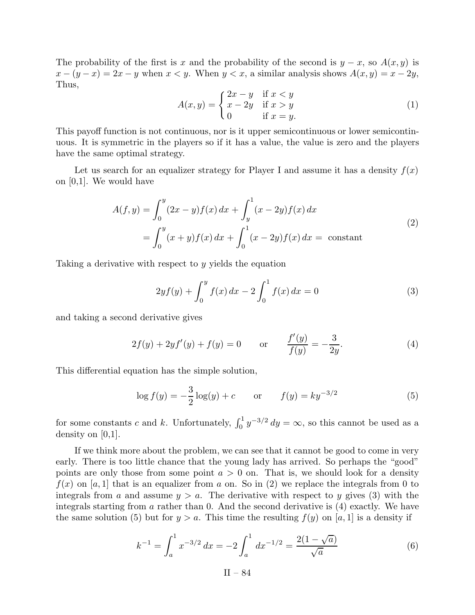The probability of the first is x and the probability of the second is  $y - x$ , so  $A(x, y)$  is  $x - (y - x) = 2x - y$  when  $x < y$ . When  $y < x$ , a similar analysis shows  $A(x, y) = x - 2y$ , Thus,

$$
A(x,y) = \begin{cases} 2x - y & \text{if } x < y \\ x - 2y & \text{if } x > y \\ 0 & \text{if } x = y. \end{cases}
$$
 (1)

This payoff function is not continuous, nor is it upper semicontinuous or lower semicontinuous. It is symmetric in the players so if it has a value, the value is zero and the players have the same optimal strategy.

Let us search for an equalizer strategy for Player I and assume it has a density  $f(x)$ on [0,1]. We would have

$$
A(f, y) = \int_0^y (2x - y)f(x) dx + \int_y^1 (x - 2y)f(x) dx
$$
  
= 
$$
\int_0^y (x + y)f(x) dx + \int_0^1 (x - 2y)f(x) dx = \text{constant}
$$
 (2)

Taking a derivative with respect to y yields the equation

$$
2y f(y) + \int_0^y f(x) dx - 2 \int_0^1 f(x) dx = 0
$$
 (3)

and taking a second derivative gives

$$
2f(y) + 2y f'(y) + f(y) = 0 \qquad \text{or} \qquad \frac{f'(y)}{f(y)} = -\frac{3}{2y}.\tag{4}
$$

This differential equation has the simple solution,

$$
\log f(y) = -\frac{3}{2}\log(y) + c \qquad \text{or} \qquad f(y) = ky^{-3/2} \tag{5}
$$

for some constants c and k. Unfortunately,  $\int_0^1 y^{-3/2} dy = \infty$ , so this cannot be used as a density on [0,1].

If we think more about the problem, we can see that it cannot be good to come in very early. There is too little chance that the young lady has arrived. So perhaps the "good" points are only those from some point  $a > 0$  on. That is, we should look for a density  $f(x)$  on [a, 1] that is an equalizer from a on. So in (2) we replace the integrals from 0 to integrals from a and assume  $y > a$ . The derivative with respect to y gives (3) with the integrals starting from  $\alpha$  rather than 0. And the second derivative is (4) exactly. We have the same solution (5) but for  $y>a$ . This time the resulting  $f(y)$  on [a, 1] is a density if

$$
k^{-1} = \int_{a}^{1} x^{-3/2} dx = -2 \int_{a}^{1} dx^{-1/2} = \frac{2(1 - \sqrt{a})}{\sqrt{a}} \tag{6}
$$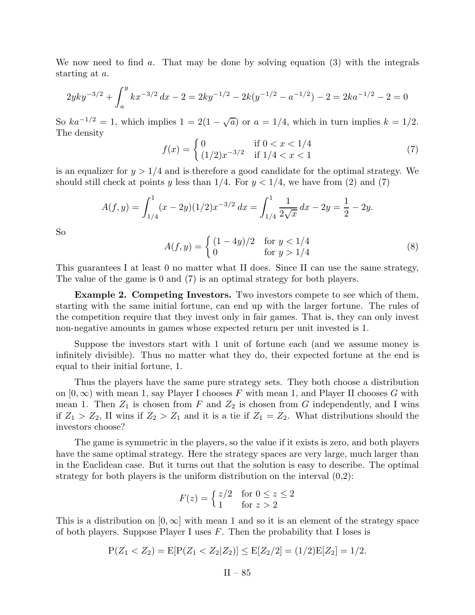We now need to find a. That may be done by solving equation  $(3)$  with the integrals starting at a.

$$
2yky^{-3/2} + \int_a^y kx^{-3/2} dx - 2 = 2ky^{-1/2} - 2k(y^{-1/2} - a^{-1/2}) - 2 = 2ka^{-1/2} - 2 = 0
$$

So  $ka^{-1/2} = 1$ , which implies  $1 = 2(1 - \sqrt{a})$  or  $a = 1/4$ , which in turn implies  $k = 1/2$ . The density

$$
f(x) = \begin{cases} 0 & \text{if } 0 < x < 1/4 \\ (1/2)x^{-3/2} & \text{if } 1/4 < x < 1 \end{cases}
$$
 (7)

is an equalizer for  $y > 1/4$  and is therefore a good candidate for the optimal strategy. We should still check at points y less than  $1/4$ . For  $y < 1/4$ , we have from (2) and (7)

$$
A(f, y) = \int_{1/4}^{1} (x - 2y)(1/2)x^{-3/2} dx = \int_{1/4}^{1} \frac{1}{2\sqrt{x}} dx - 2y = \frac{1}{2} - 2y.
$$

So

$$
A(f, y) = \begin{cases} (1 - 4y)/2 & \text{for } y < 1/4 \\ 0 & \text{for } y > 1/4 \end{cases}
$$
 (8)

This guarantees I at least 0 no matter what II does. Since II can use the same strategy, The value of the game is 0 and (7) is an optimal strategy for both players.

**Example 2. Competing Investors.** Two investors compete to see which of them, starting with the same initial fortune, can end up with the larger fortune. The rules of the competition require that they invest only in fair games. That is, they can only invest non-negative amounts in games whose expected return per unit invested is 1.

Suppose the investors start with 1 unit of fortune each (and we assume money is infinitely divisible). Thus no matter what they do, their expected fortune at the end is equal to their initial fortune, 1.

Thus the players have the same pure strategy sets. They both choose a distribution on  $[0, \infty)$  with mean 1, say Player I chooses F with mean 1, and Player II chooses G with mean 1. Then  $Z_1$  is chosen from F and  $Z_2$  is chosen from G independently, and I wins if  $Z_1 > Z_2$ , II wins if  $Z_2 > Z_1$  and it is a tie if  $Z_1 = Z_2$ . What distributions should the investors choose?

The game is symmetric in the players, so the value if it exists is zero, and both players have the same optimal strategy. Here the strategy spaces are very large, much larger than in the Euclidean case. But it turns out that the solution is easy to describe. The optimal strategy for both players is the uniform distribution on the interval (0,2):

$$
F(z) = \begin{cases} z/2 & \text{for } 0 \le z \le 2\\ 1 & \text{for } z > 2 \end{cases}
$$

This is a distribution on  $[0, \infty]$  with mean 1 and so it is an element of the strategy space of both players. Suppose Player I uses  $F$ . Then the probability that I loses is

$$
P(Z_1 < Z_2) = E[P(Z_1 < Z_2 | Z_2)] \le E[Z_2/2] = (1/2)E[Z_2] = 1/2.
$$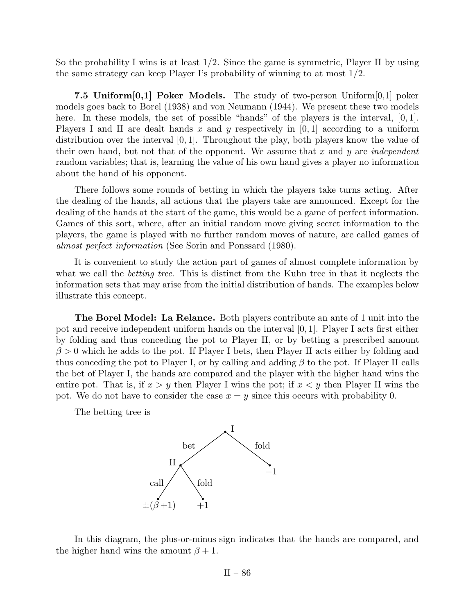So the probability I wins is at least  $1/2$ . Since the game is symmetric, Player II by using the same strategy can keep Player I's probability of winning to at most  $1/2$ .

**7.5 Uniform[0,1] Poker Models.** The study of two-person Uniform[0,1] poker models goes back to Borel (1938) and von Neumann (1944). We present these two models here. In these models, the set of possible "hands" of the players is the interval, [0,1]. Players I and II are dealt hands x and y respectively in  $[0, 1]$  according to a uniform distribution over the interval [0, 1]. Throughout the play, both players know the value of their own hand, but not that of the opponent. We assume that  $x$  and  $y$  are *independent* random variables; that is, learning the value of his own hand gives a player no information about the hand of his opponent.

There follows some rounds of betting in which the players take turns acting. After the dealing of the hands, all actions that the players take are announced. Except for the dealing of the hands at the start of the game, this would be a game of perfect information. Games of this sort, where, after an initial random move giving secret information to the players, the game is played with no further random moves of nature, are called games of almost perfect information (See Sorin and Ponssard (1980).

It is convenient to study the action part of games of almost complete information by what we call the *betting tree*. This is distinct from the Kuhn tree in that it neglects the information sets that may arise from the initial distribution of hands. The examples below illustrate this concept.

**The Borel Model: La Relance.** Both players contribute an ante of 1 unit into the pot and receive independent uniform hands on the interval [0, 1]. Player I acts first either by folding and thus conceding the pot to Player II, or by betting a prescribed amount  $\beta > 0$  which he adds to the pot. If Player I bets, then Player II acts either by folding and thus conceding the pot to Player I, or by calling and adding  $\beta$  to the pot. If Player II calls the bet of Player I, the hands are compared and the player with the higher hand wins the entire pot. That is, if  $x > y$  then Player I wins the pot; if  $x < y$  then Player II wins the pot. We do not have to consider the case  $x = y$  since this occurs with probability 0.

The betting tree is



In this diagram, the plus-or-minus sign indicates that the hands are compared, and the higher hand wins the amount  $\beta + 1$ .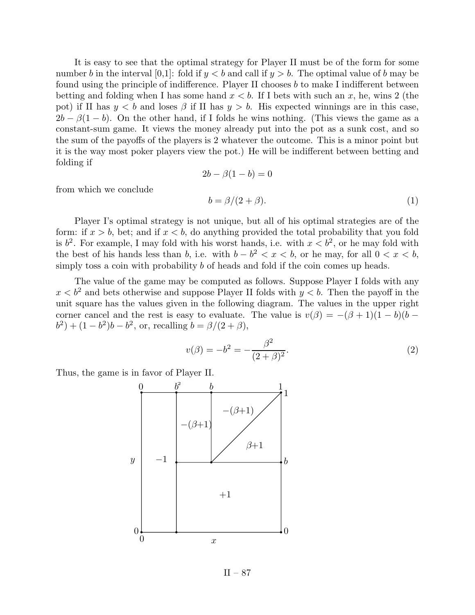It is easy to see that the optimal strategy for Player II must be of the form for some number b in the interval [0,1]: fold if  $y < b$  and call if  $y > b$ . The optimal value of b may be found using the principle of indifference. Player II chooses  $b$  to make I indifferent between betting and folding when I has some hand  $x < b$ . If I bets with such an x, he, wins 2 (the pot) if II has  $y < b$  and loses  $\beta$  if II has  $y > b$ . His expected winnings are in this case,  $2b - \beta(1 - b)$ . On the other hand, if I folds he wins nothing. (This views the game as a constant-sum game. It views the money already put into the pot as a sunk cost, and so the sum of the payoffs of the players is 2 whatever the outcome. This is a minor point but it is the way most poker players view the pot.) He will be indifferent between betting and folding if

$$
2b - \beta(1 - b) = 0
$$
  

$$
b = \beta/(2 + \beta).
$$
 (1)

from which we conclude

Player I's optimal strategy is not unique, but all of his optimal strategies are of the form: if  $x > b$ , bet; and if  $x < b$ , do anything provided the total probability that you fold is  $b^2$ . For example, I may fold with his worst hands, i.e. with  $x < b^2$ , or he may fold with the best of his hands less than b, i.e. with  $b - b^2 < x < b$ , or he may, for all  $0 < x < b$ , simply toss a coin with probability b of heads and fold if the coin comes up heads.

The value of the game may be computed as follows. Suppose Player I folds with any  $x < b<sup>2</sup>$  and bets otherwise and suppose Player II folds with  $y < b$ . Then the payoff in the unit square has the values given in the following diagram. The values in the upper right corner cancel and the rest is easy to evaluate. The value is  $v(\beta) = -(\beta + 1)(1 - b)(b - c)$  $b^2$  +  $(1-b^2)b - b^2$ , or, recalling  $b = \beta/(2+\beta)$ ,

$$
v(\beta) = -b^2 = -\frac{\beta^2}{(2+\beta)^2}.
$$
\n(2)

Thus, the game is in favor of Player II.

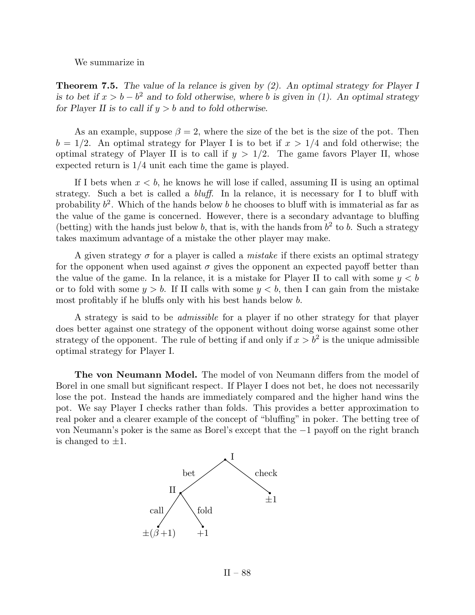We summarize in

**Theorem 7.5.** *The value of la relance is given by (2). An optimal strategy for Player I is to bet if*  $x > b - b^2$  *and to fold otherwise, where b is given in (1). An optimal strategy for Player II is to call if*  $y > b$  *and to fold otherwise.* 

As an example, suppose  $\beta = 2$ , where the size of the bet is the size of the pot. Then  $b = 1/2$ . An optimal strategy for Player I is to bet if  $x > 1/4$  and fold otherwise; the optimal strategy of Player II is to call if  $y > 1/2$ . The game favors Player II, whose expected return is 1/4 unit each time the game is played.

If I bets when  $x < b$ , he knows he will lose if called, assuming II is using an optimal strategy. Such a bet is called a bluff. In la relance, it is necessary for I to bluff with probability  $b^2$ . Which of the hands below b he chooses to bluff with is immaterial as far as the value of the game is concerned. However, there is a secondary advantage to bluffing (betting) with the hands just below b, that is, with the hands from  $b<sup>2</sup>$  to b. Such a strategy takes maximum advantage of a mistake the other player may make.

A given strategy  $\sigma$  for a player is called a *mistake* if there exists an optimal strategy for the opponent when used against  $\sigma$  gives the opponent an expected payoff better than the value of the game. In la relance, it is a mistake for Player II to call with some  $y < b$ or to fold with some  $y > b$ . If II calls with some  $y < b$ , then I can gain from the mistake most profitably if he bluffs only with his best hands below b.

A strategy is said to be admissible for a player if no other strategy for that player does better against one strategy of the opponent without doing worse against some other strategy of the opponent. The rule of betting if and only if  $x > b^2$  is the unique admissible optimal strategy for Player I.

**The von Neumann Model.** The model of von Neumann differs from the model of Borel in one small but significant respect. If Player I does not bet, he does not necessarily lose the pot. Instead the hands are immediately compared and the higher hand wins the pot. We say Player I checks rather than folds. This provides a better approximation to real poker and a clearer example of the concept of "bluffing" in poker. The betting tree of von Neumann's poker is the same as Borel's except that the −1 payoff on the right branch is changed to  $\pm 1$ .

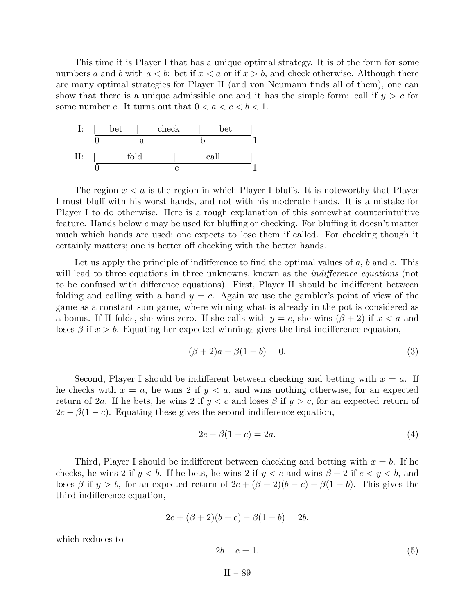This time it is Player I that has a unique optimal strategy. It is of the form for some numbers a and b with  $a < b$ : bet if  $x < a$  or if  $x > b$ , and check otherwise. Although there are many optimal strategies for Player II (and von Neumann finds all of them), one can show that there is a unique admissible one and it has the simple form: call if  $y>c$  for some number c. It turns out that  $0 < a < c < b < 1$ .



The region  $x < a$  is the region in which Player I bluffs. It is noteworthy that Player I must bluff with his worst hands, and not with his moderate hands. It is a mistake for Player I to do otherwise. Here is a rough explanation of this somewhat counterintuitive feature. Hands below c may be used for bluffing or checking. For bluffing it doesn't matter much which hands are used; one expects to lose them if called. For checking though it certainly matters; one is better off checking with the better hands.

Let us apply the principle of indifference to find the optimal values of  $a, b$  and  $c$ . This will lead to three equations in three unknowns, known as the *indifference equations* (not to be confused with difference equations). First, Player II should be indifferent between folding and calling with a hand  $y = c$ . Again we use the gambler's point of view of the game as a constant sum game, where winning what is already in the pot is considered as a bonus. If II folds, she wins zero. If she calls with  $y = c$ , she wins  $(\beta + 2)$  if  $x < a$  and loses  $\beta$  if  $x > b$ . Equating her expected winnings gives the first indifference equation,

$$
(\beta + 2)a - \beta(1 - b) = 0.
$$
 (3)

Second, Player I should be indifferent between checking and betting with  $x = a$ . If he checks with  $x = a$ , he wins 2 if  $y < a$ , and wins nothing otherwise, for an expected return of 2a. If he bets, he wins 2 if  $y < c$  and loses  $\beta$  if  $y > c$ , for an expected return of  $2c - \beta(1 - c)$ . Equating these gives the second indifference equation,

$$
2c - \beta(1 - c) = 2a.\tag{4}
$$

Third, Player I should be indifferent between checking and betting with  $x = b$ . If he checks, he wins 2 if  $y < b$ . If he bets, he wins 2 if  $y < c$  and wins  $\beta + 2$  if  $c < y < b$ , and loses  $\beta$  if  $y > b$ , for an expected return of  $2c + (\beta + 2)(b - c) - \beta(1 - b)$ . This gives the third indifference equation,

$$
2c + (\beta + 2)(b - c) - \beta(1 - b) = 2b,
$$

which reduces to

$$
2b - c = 1.\t\t(5)
$$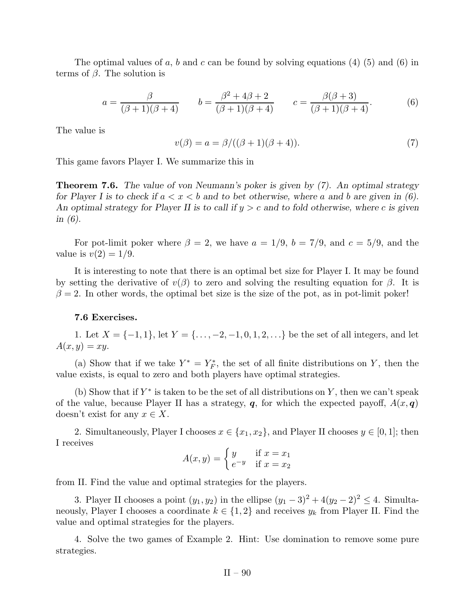The optimal values of a, b and c can be found by solving equations  $(4)$  (5) and  $(6)$  in terms of  $\beta$ . The solution is

$$
a = \frac{\beta}{(\beta + 1)(\beta + 4)} \qquad b = \frac{\beta^2 + 4\beta + 2}{(\beta + 1)(\beta + 4)} \qquad c = \frac{\beta(\beta + 3)}{(\beta + 1)(\beta + 4)}.
$$
 (6)

The value is

$$
v(\beta) = a = \beta/((\beta + 1)(\beta + 4)).
$$
\n<sup>(7)</sup>

This game favors Player I. We summarize this in

**Theorem 7.6.** *The value of von Neumann's poker is given by (7). An optimal strategy for Player I is to check if*  $a < x < b$  *and to bet otherwise, where* a *and* b are given in (6). *An optimal strategy for Player II is to call if* y>c *and to fold otherwise, where* c *is given in (6).*

For pot-limit poker where  $\beta = 2$ , we have  $a = 1/9$ ,  $b = 7/9$ , and  $c = 5/9$ , and the value is  $v(2) = 1/9$ .

It is interesting to note that there is an optimal bet size for Player I. It may be found by setting the derivative of  $v(\beta)$  to zero and solving the resulting equation for  $\beta$ . It is  $\beta = 2$ . In other words, the optimal bet size is the size of the pot, as in pot-limit poker!

## **7.6 Exercises.**

1. Let  $X = \{-1, 1\}$ , let  $Y = \{\ldots, -2, -1, 0, 1, 2, \ldots\}$  be the set of all integers, and let  $A(x, y) = xy.$ 

(a) Show that if we take  $Y^* = Y^*$ , the set of all finite distributions on Y, then the value exists, is equal to zero and both players have optimal strategies.

(b) Show that if  $Y^*$  is taken to be the set of all distributions on Y, then we can't speak of the value, because Player II has a strategy,  $q$ , for which the expected payoff,  $A(x,q)$ doesn't exist for any  $x \in X$ .

2. Simultaneously, Player I chooses  $x \in \{x_1, x_2\}$ , and Player II chooses  $y \in [0, 1]$ ; then I receives

$$
A(x,y) = \begin{cases} y & \text{if } x = x_1 \\ e^{-y} & \text{if } x = x_2 \end{cases}
$$

from II. Find the value and optimal strategies for the players.

3. Player II chooses a point  $(y_1, y_2)$  in the ellipse  $(y_1 - 3)^2 + 4(y_2 - 2)^2 \le 4$ . Simultaneously, Player I chooses a coordinate  $k \in \{1,2\}$  and receives  $y_k$  from Player II. Find the value and optimal strategies for the players.

4. Solve the two games of Example 2. Hint: Use domination to remove some pure strategies.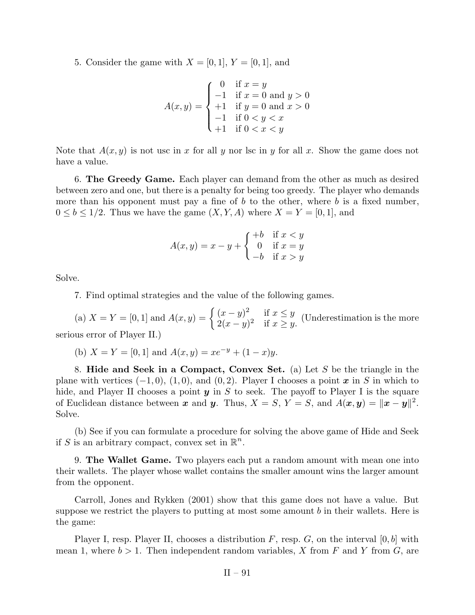5. Consider the game with  $X = [0, 1], Y = [0, 1],$  and

$$
A(x,y) = \begin{cases} 0 & \text{if } x = y \\ -1 & \text{if } x = 0 \text{ and } y > 0 \\ +1 & \text{if } y = 0 \text{ and } x > 0 \\ -1 & \text{if } 0 < y < x \\ +1 & \text{if } 0 < x < y \end{cases}
$$

Note that  $A(x, y)$  is not usc in x for all y nor lsc in y for all x. Show the game does not have a value.

6. **The Greedy Game.** Each player can demand from the other as much as desired between zero and one, but there is a penalty for being too greedy. The player who demands more than his opponent must pay a fine of  $b$  to the other, where  $b$  is a fixed number,  $0 \leq b \leq 1/2$ . Thus we have the game  $(X, Y, A)$  where  $X = Y = [0, 1]$ , and

$$
A(x,y) = x - y + \begin{cases} +b & \text{if } x < y \\ 0 & \text{if } x = y \\ -b & \text{if } x > y \end{cases}
$$

Solve.

7. Find optimal strategies and the value of the following games.

(a)  $X = Y = [0, 1]$  and  $A(x, y) = \begin{cases} (x - y)^2 & \text{if } x \leq y \\ 2(x - y)^2 & \text{if } x \geq y. \end{cases}$  (Underestimation is the more serious error of Player II.)

(b)  $X = Y = [0, 1]$  and  $A(x, y) = xe^{-y} + (1 - x)y$ .

8. **Hide and Seek in a Compact, Convex Set.** (a) Let S be the triangle in the plane with vertices  $(-1, 0)$ ,  $(1, 0)$ , and  $(0, 2)$ . Player I chooses a point x in S in which to hide, and Player II chooses a point **y** in S to seek. The payoff to Player I is the square of Euclidean distance between *x* and *y*. Thus,  $X = S$ ,  $Y = S$ , and  $A(x, y) = ||x - y||^2$ . Solve.

(b) See if you can formulate a procedure for solving the above game of Hide and Seek if S is an arbitrary compact, convex set in  $\mathbb{R}^n$ .

9. **The Wallet Game.** Two players each put a random amount with mean one into their wallets. The player whose wallet contains the smaller amount wins the larger amount from the opponent.

Carroll, Jones and Rykken (2001) show that this game does not have a value. But suppose we restrict the players to putting at most some amount  $b$  in their wallets. Here is the game:

Player I, resp. Player II, chooses a distribution F, resp. G, on the interval  $[0, b]$  with mean 1, where  $b > 1$ . Then independent random variables, X from F and Y from G, are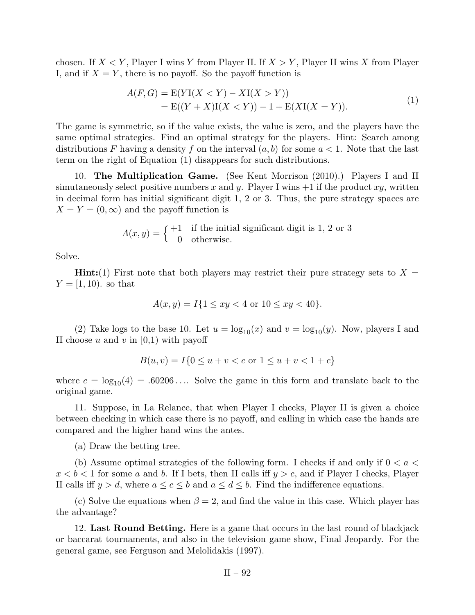chosen. If  $X < Y$ , Player I wins Y from Player II. If  $X > Y$ , Player II wins X from Player I, and if  $X = Y$ , there is no payoff. So the payoff function is

$$
A(F, G) = E(YI(X < Y) - XI(X > Y))
$$
  
= E((Y + X)I(X < Y)) - 1 + E(XI(X = Y)). (1)

The game is symmetric, so if the value exists, the value is zero, and the players have the same optimal strategies. Find an optimal strategy for the players. Hint: Search among distributions F having a density f on the interval  $(a, b)$  for some  $a < 1$ . Note that the last term on the right of Equation (1) disappears for such distributions.

10. **The Multiplication Game.** (See Kent Morrison (2010).) Players I and II simutaneously select positive numbers x and y. Player I wins  $+1$  if the product xy, written in decimal form has initial significant digit 1, 2 or 3. Thus, the pure strategy spaces are  $X = Y = (0, \infty)$  and the payoff function is

$$
A(x,y) = \begin{cases} +1 & \text{if the initial significant digit is 1, 2 or 3} \\ 0 & \text{otherwise.} \end{cases}
$$

Solve.

**Hint:**(1) First note that both players may restrict their pure strategy sets to  $X =$  $Y = [1, 10)$ . so that

$$
A(x, y) = I\{1 \le xy < 4 \text{ or } 10 \le xy < 40\}.
$$

(2) Take logs to the base 10. Let  $u = \log_{10}(x)$  and  $v = \log_{10}(y)$ . Now, players I and II choose u and v in  $(0,1)$  with payoff

$$
B(u, v) = I\{0 \le u + v < c \text{ or } 1 \le u + v < 1 + c\}
$$

where  $c = \log_{10}(4) = .60206...$  Solve the game in this form and translate back to the original game.

11. Suppose, in La Relance, that when Player I checks, Player II is given a choice between checking in which case there is no payoff, and calling in which case the hands are compared and the higher hand wins the antes.

(a) Draw the betting tree.

(b) Assume optimal strategies of the following form. I checks if and only if  $0 < a <$  $x < b < 1$  for some a and b. If I bets, then II calls iff  $y > c$ , and if Player I checks, Player II calls iff  $y > d$ , where  $a \leq c \leq b$  and  $a \leq d \leq b$ . Find the indifference equations.

(c) Solve the equations when  $\beta = 2$ , and find the value in this case. Which player has the advantage?

12. **Last Round Betting.** Here is a game that occurs in the last round of blackjack or baccarat tournaments, and also in the television game show, Final Jeopardy. For the general game, see Ferguson and Melolidakis (1997).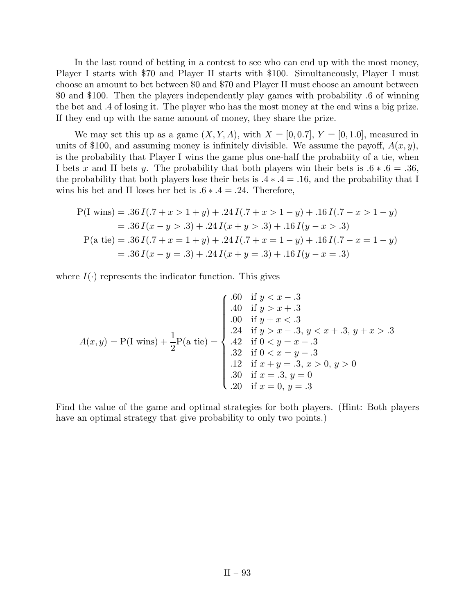In the last round of betting in a contest to see who can end up with the most money, Player I starts with \$70 and Player II starts with \$100. Simultaneously, Player I must choose an amount to bet between \$0 and \$70 and Player II must choose an amount between \$0 and \$100. Then the players independently play games with probability .6 of winning the bet and .4 of losing it. The player who has the most money at the end wins a big prize. If they end up with the same amount of money, they share the prize.

We may set this up as a game  $(X, Y, A)$ , with  $X = [0, 0.7], Y = [0, 1.0]$ , measured in units of \$100, and assuming money is infinitely divisible. We assume the payoff,  $A(x, y)$ , is the probability that Player I wins the game plus one-half the probabiity of a tie, when I bets x and II bets y. The probability that both players win their bets is  $.6 * .6 = .36$ , the probability that both players lose their bets is  $.4 * .4 = .16$ , and the probability that I wins his bet and II loses her bet is  $.6 * .4 = .24$ . Therefore,

$$
P(I wins) = .36 I(.7 + x > 1 + y) + .24 I(.7 + x > 1 - y) + .16 I(.7 - x > 1 - y)
$$
  
= .36 I(x - y > .3) + .24 I(x + y > .3) + .16 I(y - x > .3)  

$$
P(a\text{ tie}) = .36 I(.7 + x = 1 + y) + .24 I(.7 + x = 1 - y) + .16 I(.7 - x = 1 - y)
$$
  
= .36 I(x - y = .3) + .24 I(x + y = .3) + .16 I(y - x = .3)

where  $I(\cdot)$  represents the indicator function. This gives

$$
A(x,y) = P(I \text{ wins}) + \frac{1}{2}P(a \text{ tie}) = \begin{cases} .60 & \text{if } y < x - .3 \\ .40 & \text{if } y > x + .3 \\ .00 & \text{if } y + x < .3 \\ .24 & \text{if } y > x - .3, y < x + .3, y + x > .3 \\ .42 & \text{if } 0 < y = x - .3 \\ .32 & \text{if } 0 < x = y - .3 \\ .12 & \text{if } x + y = .3, x > 0, y > 0 \\ .30 & \text{if } x = .3, y = 0 \\ .20 & \text{if } x = 0, y = .3 \end{cases}
$$

Find the value of the game and optimal strategies for both players. (Hint: Both players have an optimal strategy that give probability to only two points.)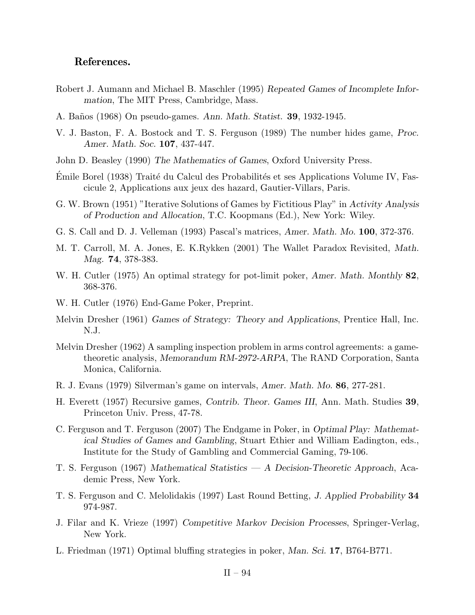## **References.**

- Robert J. Aumann and Michael B. Maschler (1995) *Repeated Games of Incomplete Information*, The MIT Press, Cambridge, Mass.
- A. Ba˜nos (1968) On pseudo-games. *Ann. Math. Statist.* **39**, 1932-1945.
- V. J. Baston, F. A. Bostock and T. S. Ferguson (1989) The number hides game, *Proc. Amer. Math. Soc.* **107**, 437-447.
- John D. Beasley (1990) *The Mathematics of Games*, Oxford University Press.
- Emile Borel (1938) Traité du Calcul des Probabilités et ses Applications Volume IV, Fascicule 2, Applications aux jeux des hazard, Gautier-Villars, Paris.
- G. W. Brown (1951) "Iterative Solutions of Games by Fictitious Play" in *Activity Analysis of Production and Allocation*, T.C. Koopmans (Ed.), New York: Wiley.
- G. S. Call and D. J. Velleman (1993) Pascal's matrices, *Amer. Math. Mo.* **100**, 372-376.
- M. T. Carroll, M. A. Jones, E. K.Rykken (2001) The Wallet Paradox Revisited, *Math. Mag.* **74**, 378-383.
- W. H. Cutler (1975) An optimal strategy for pot-limit poker, *Amer. Math. Monthly* **82**, 368-376.
- W. H. Cutler (1976) End-Game Poker, Preprint.
- Melvin Dresher (1961) *Games of Strategy: Theory and Applications*, Prentice Hall, Inc. N.J.
- Melvin Dresher (1962) A sampling inspection problem in arms control agreements: a gametheoretic analysis, *Memorandum RM-2972-ARPA*, The RAND Corporation, Santa Monica, California.
- R. J. Evans (1979) Silverman's game on intervals, *Amer. Math. Mo.* **86**, 277-281.
- H. Everett (1957) Recursive games, *Contrib. Theor. Games III*, Ann. Math. Studies **39**, Princeton Univ. Press, 47-78.
- C. Ferguson and T. Ferguson (2007) The Endgame in Poker, in *Optimal Play: Mathematical Studies of Games and Gambling*, Stuart Ethier and William Eadington, eds., Institute for the Study of Gambling and Commercial Gaming, 79-106.
- T. S. Ferguson (1967) *Mathematical Statistics A Decision-Theoretic Approach*, Academic Press, New York.
- T. S. Ferguson and C. Melolidakis (1997) Last Round Betting, *J. Applied Probability* **34** 974-987.
- J. Filar and K. Vrieze (1997) *Competitive Markov Decision Processes*, Springer-Verlag, New York.
- L. Friedman (1971) Optimal bluffing strategies in poker, *Man. Sci.* **17**, B764-B771.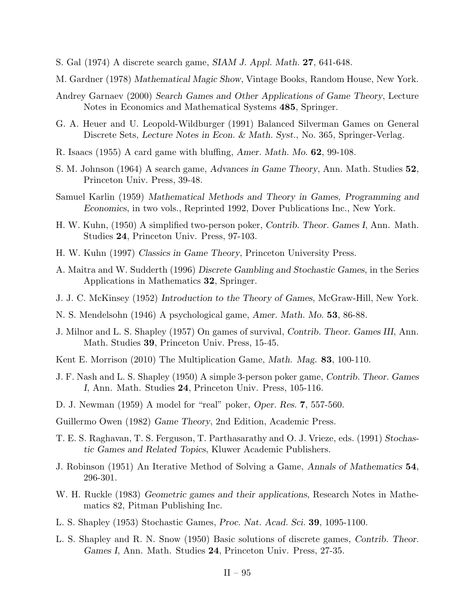- S. Gal (1974) A discrete search game, *SIAM J. Appl. Math.* **27**, 641-648.
- M. Gardner (1978) *Mathematical Magic Show*, Vintage Books, Random House, New York.
- Andrey Garnaev (2000) *Search Games and Other Applications of Game Theory*, Lecture Notes in Economics and Mathematical Systems **485**, Springer.
- G. A. Heuer and U. Leopold-Wildburger (1991) Balanced Silverman Games on General Discrete Sets, *Lecture Notes in Econ. & Math. Syst.*, No. 365, Springer-Verlag.
- R. Isaacs (1955) A card game with bluffing, *Amer. Math. Mo.* **62**, 99-108.
- S. M. Johnson (1964) A search game, *Advances in Game Theory*, Ann. Math. Studies **52**, Princeton Univ. Press, 39-48.
- Samuel Karlin (1959) *Mathematical Methods and Theory in Games, Programming and Economics*, in two vols., Reprinted 1992, Dover Publications Inc., New York.
- H. W. Kuhn, (1950) A simplified two-person poker, *Contrib. Theor. Games I*, Ann. Math. Studies **24**, Princeton Univ. Press, 97-103.
- H. W. Kuhn (1997) *Classics in Game Theory*, Princeton University Press.
- A. Maitra and W. Sudderth (1996) *Discrete Gambling and Stochastic Games*, in the Series Applications in Mathematics **32**, Springer.
- J. J. C. McKinsey (1952) *Introduction to the Theory of Games*, McGraw-Hill, New York.
- N. S. Mendelsohn (1946) A psychological game, *Amer. Math. Mo.* **53**, 86-88.
- J. Milnor and L. S. Shapley (1957) On games of survival, *Contrib. Theor. Games III*, Ann. Math. Studies **39**, Princeton Univ. Press, 15-45.
- Kent E. Morrison (2010) The Multiplication Game, *Math. Mag.* **83**, 100-110.
- J. F. Nash and L. S. Shapley (1950) A simple 3-person poker game, *Contrib. Theor. Games I*, Ann. Math. Studies **24**, Princeton Univ. Press, 105-116.
- D. J. Newman (1959) A model for "real" poker, *Oper. Res.* **7**, 557-560.
- Guillermo Owen (1982) *Game Theory*, 2nd Edition, Academic Press.
- T. E. S. Raghavan, T. S. Ferguson, T. Parthasarathy and O. J. Vrieze, eds. (1991) *Stochastic Games and Related Topics*, Kluwer Academic Publishers.
- J. Robinson (1951) An Iterative Method of Solving a Game, *Annals of Mathematics* **54**, 296-301.
- W. H. Ruckle (1983) *Geometric games and their applications*, Research Notes in Mathematics 82, Pitman Publishing Inc.
- L. S. Shapley (1953) Stochastic Games, *Proc. Nat. Acad. Sci.* **39**, 1095-1100.
- L. S. Shapley and R. N. Snow (1950) Basic solutions of discrete games, *Contrib. Theor. Games I*, Ann. Math. Studies **24**, Princeton Univ. Press, 27-35.